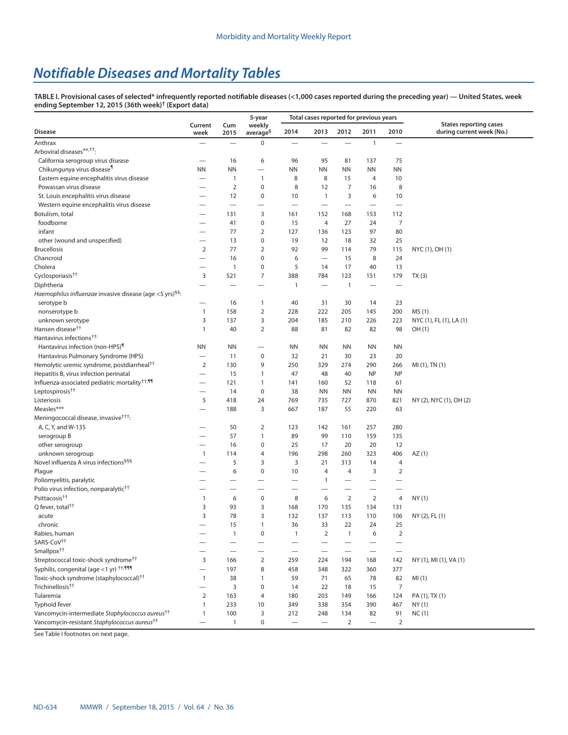## *Notifiable Diseases and Mortality Tables*

**TABLE I. Provisional cases of selected\* infrequently reported notifiable diseases (<1,000 cases reported during the preceding year) — United States, week ending September 12, 2015 (36th week)† [\(Export data](https://data.cdc.gov/NNDSS/NNDSS-Table-I-infrequently-reported-notifiable-dis/pb4z-432k))**

|                                                                      |                          |                          | 5-year                         |                          | Total cases reported for previous years |                          |                          |                          |                                                            |
|----------------------------------------------------------------------|--------------------------|--------------------------|--------------------------------|--------------------------|-----------------------------------------|--------------------------|--------------------------|--------------------------|------------------------------------------------------------|
| <b>Disease</b>                                                       | Current<br>week          | Cum<br>2015              | weekly<br>average <sup>§</sup> | 2014                     | 2013                                    | 2012                     | 2011                     | 2010                     | <b>States reporting cases</b><br>during current week (No.) |
| Anthrax                                                              |                          |                          | 0                              |                          |                                         |                          | $\mathbf{1}$             |                          |                                                            |
| Arboviral diseases**, <sup>††</sup> :                                |                          |                          |                                |                          |                                         |                          |                          |                          |                                                            |
| California serogroup virus disease                                   | —                        | 16                       | 6                              | 96                       | 95                                      | 81                       | 137                      | 75                       |                                                            |
| Chikungunya virus disease <sup>1</sup>                               | <b>NN</b>                | <b>NN</b>                | $\overline{\phantom{0}}$       | ΝN                       | ΝN                                      | <b>NN</b>                | <b>NN</b>                | <b>NN</b>                |                                                            |
| Eastern equine encephalitis virus disease                            |                          | 1                        | $\mathbf{1}$                   | 8                        | 8                                       | 15                       | 4                        | 10                       |                                                            |
| Powassan virus disease                                               |                          | $\overline{2}$           | $\pmb{0}$                      | 8                        | 12                                      | $\overline{7}$           | 16                       | 8                        |                                                            |
| St. Louis encephalitis virus disease                                 | $\overline{\phantom{0}}$ | 12                       | $\pmb{0}$                      | 10                       | $\mathbf{1}$                            | 3                        | 6                        | 10                       |                                                            |
| Western equine encephalitis virus disease                            |                          |                          | $\overline{\phantom{0}}$       | $\overline{\phantom{0}}$ | $\overline{\phantom{0}}$                | $\overline{\phantom{0}}$ |                          | $\overline{\phantom{0}}$ |                                                            |
| Botulism, total                                                      | -                        | 131                      | 3                              | 161                      | 152                                     | 168                      | 153                      | 112                      |                                                            |
| foodborne                                                            | -                        | 41                       | 0                              | 15                       | $\overline{4}$                          | 27                       | 24                       | 7                        |                                                            |
| infant                                                               |                          | 77                       | $\mathbf 2$                    | 127                      | 136                                     | 123                      | 97                       | 80                       |                                                            |
| other (wound and unspecified)                                        | $\overline{\phantom{0}}$ | 13                       | 0                              | 19                       | 12                                      | 18                       | 32                       | 25                       |                                                            |
| <b>Brucellosis</b>                                                   | $\overline{2}$           | 77                       | $\overline{2}$                 | 92                       | 99                                      | 114                      | 79                       | 115                      | NYC (1), OH (1)                                            |
| Chancroid                                                            | -                        | 16                       | 0                              | 6                        |                                         | 15                       | 8                        | 24                       |                                                            |
| Cholera                                                              | -                        | $\mathbf{1}$             | 0                              | 5                        | 14                                      | 17                       | 40                       | 13                       |                                                            |
| Cyclosporiasis <sup>††</sup>                                         | 3                        | 521                      | $\overline{7}$                 | 388                      | 784                                     | 123                      | 151                      | 179                      | TX(3)                                                      |
| Diphtheria                                                           | $\overline{\phantom{0}}$ |                          |                                | $\mathbf{1}$             | $\overline{\phantom{0}}$                | $\mathbf{1}$             | $\overline{\phantom{0}}$ |                          |                                                            |
| Haemophilus influenzae invasive disease (age <5 yrs) <sup>§§</sup> : |                          |                          |                                |                          |                                         |                          |                          |                          |                                                            |
| serotype b                                                           | $\overline{\phantom{0}}$ | 16                       | 1                              | 40                       | 31                                      | 30                       | 14                       | 23                       |                                                            |
| nonserotype b                                                        | $\mathbf{1}$             | 158                      | $\overline{2}$                 | 228                      | 222                                     | 205                      | 145                      | 200                      | MS (1)                                                     |
| unknown serotype                                                     | 3                        | 137                      | 3                              | 204                      | 185                                     | 210                      | 226                      | 223                      | NYC (1), FL (1), LA (1)                                    |
| Hansen disease <sup>††</sup>                                         | $\mathbf{1}$             | 40                       | $\mathbf 2$                    | 88                       | 81                                      | 82                       | 82                       | 98                       | OH (1)                                                     |
| Hantavirus infections <sup>††:</sup>                                 |                          |                          |                                |                          |                                         |                          |                          |                          |                                                            |
| Hantavirus infection (non-HPS) <sup>1</sup>                          | <b>NN</b>                | <b>NN</b>                |                                | <b>NN</b>                | <b>NN</b>                               | <b>NN</b>                | <b>NN</b>                | <b>NN</b>                |                                                            |
| Hantavirus Pulmonary Syndrome (HPS)                                  | —                        | 11                       | $\pmb{0}$                      | 32                       | 21                                      | 30                       | 23                       | 20                       |                                                            |
| Hemolytic uremic syndrome, postdiarrheal <sup>††</sup>               | $\overline{2}$           | 130                      | 9                              | 250                      | 329                                     | 274                      | 290                      | 266                      | MI (1), TN (1)                                             |
| Hepatitis B, virus infection perinatal                               | $\overline{\phantom{0}}$ | 15                       | 1                              | 47                       | 48                                      | 40                       | <b>NP</b>                | <b>NP</b>                |                                                            |
| Influenza-associated pediatric mortality <sup>††,¶¶</sup>            |                          | 121                      | $\mathbf{1}$                   | 141                      | 160                                     | 52                       | 118                      | 61                       |                                                            |
| Leptospirosis <sup>††</sup>                                          | -                        | 14                       | $\pmb{0}$                      | 38                       | <b>NN</b>                               | <b>NN</b>                | <b>NN</b>                | <b>NN</b>                |                                                            |
| Listeriosis                                                          | 5                        | 418                      | 24                             | 769                      | 735                                     | 727                      | 870                      | 821                      | NY (2), NYC (1), OH (2)                                    |
| Measles***                                                           |                          | 188                      | 3                              | 667                      | 187                                     | 55                       | 220                      | 63                       |                                                            |
| Meningococcal disease, invasive <sup>†††</sup> :                     |                          |                          |                                |                          |                                         |                          |                          |                          |                                                            |
| A, C, Y, and W-135                                                   |                          | 50                       | $\overline{2}$                 | 123                      | 142                                     | 161                      | 257                      | 280                      |                                                            |
| serogroup B                                                          |                          | 57                       | $\mathbf{1}$                   | 89                       | 99                                      | 110                      | 159                      | 135                      |                                                            |
| other serogroup                                                      |                          | 16                       | 0                              | 25                       | 17                                      | 20                       | 20                       | 12                       |                                                            |
| unknown serogroup                                                    | $\mathbf{1}$             | 114                      | 4                              | 196                      | 298                                     | 260                      | 323                      | 406                      | AZ(1)                                                      |
| Novel influenza A virus infections <sup>999</sup>                    |                          | 5                        | 3                              | 3                        | 21                                      | 313                      | 14                       | 4                        |                                                            |
| Plague                                                               |                          | 6                        | $\pmb{0}$                      | 10                       | $\overline{a}$                          | 4                        | 3                        | $\overline{2}$           |                                                            |
| Poliomyelitis, paralytic                                             |                          |                          |                                |                          | 1                                       |                          |                          |                          |                                                            |
| Polio virus infection, nonparalytic <sup>††</sup>                    |                          |                          |                                | -                        |                                         | -                        | —                        |                          |                                                            |
| Psittacosis <sup>††</sup>                                            | $\mathbf{1}$             | 6                        | $\pmb{0}$                      | 8                        | 6                                       | $\overline{2}$           | $\overline{2}$           | 4                        | NY (1)                                                     |
| Q fever, total <sup>††</sup>                                         | 3                        | 93                       | 3                              | 168                      | 170                                     | 135                      | 134                      | 131                      |                                                            |
| acute                                                                | 3                        | 78                       | 3                              | 132                      | 137                                     | 113                      | 110                      | 106                      | NY (2), FL (1)                                             |
| chronic                                                              |                          | 15                       | 1                              | 36                       | 33                                      | 22                       | 24                       | 25                       |                                                            |
| Rabies, human                                                        |                          | 1                        | $\pmb{0}$                      | $\mathbf{1}$             | $\overline{2}$                          | $\mathbf{1}$             | 6                        | $\overline{2}$           |                                                            |
| SARS-CoV <sup>++</sup>                                               |                          |                          |                                | $\overline{\phantom{0}}$ |                                         |                          |                          |                          |                                                            |
| Smallpox <sup>††</sup>                                               |                          | $\overline{\phantom{0}}$ |                                | $\overline{\phantom{0}}$ |                                         | $\overline{\phantom{0}}$ | $\overline{\phantom{0}}$ | $\overline{\phantom{0}}$ |                                                            |
| Streptococcal toxic-shock syndrome <sup>tt</sup>                     | 3                        | 166                      | $\overline{2}$                 | 259                      | 224                                     | 194                      | 168                      | 142                      | NY (1), MI (1), VA (1)                                     |
| Syphilis, congenital (age <1 yr) $^{++,999}$                         | $\overline{\phantom{0}}$ | 197                      | 8                              | 458                      | 348                                     | 322                      | 360                      | 377                      |                                                            |
| Toxic-shock syndrome (staphylococcal) <sup>††</sup>                  | $\mathbf{1}$             | 38                       | $\mathbf{1}$                   | 59                       | 71                                      | 65                       | 78                       | 82                       | MI(1)                                                      |
| Trichinellosis <sup>††</sup>                                         | -                        | 3                        | 0                              | 14                       | 22                                      | 18                       | 15                       | $\overline{7}$           |                                                            |
| Tularemia                                                            | $\overline{2}$           | 163                      | 4                              | 180                      | 203                                     | 149                      | 166                      | 124                      | PA (1), TX (1)                                             |
| <b>Typhoid fever</b>                                                 | $\mathbf{1}$             | 233                      | 10                             | 349                      | 338                                     | 354                      | 390                      | 467                      | NY(1)                                                      |
| Vancomycin-intermediate Staphylococcus aureus <sup>††</sup>          | $\mathbf{1}$             | 100                      | 3                              | 212                      | 248                                     | 134                      | 82                       | 91                       | NC(1)                                                      |
| Vancomycin-resistant Staphylococcus aureus <sup>††</sup>             |                          | 1                        | $\pmb{0}$                      |                          |                                         | $\overline{2}$           |                          | $\overline{2}$           |                                                            |

See Table I footnotes on next page.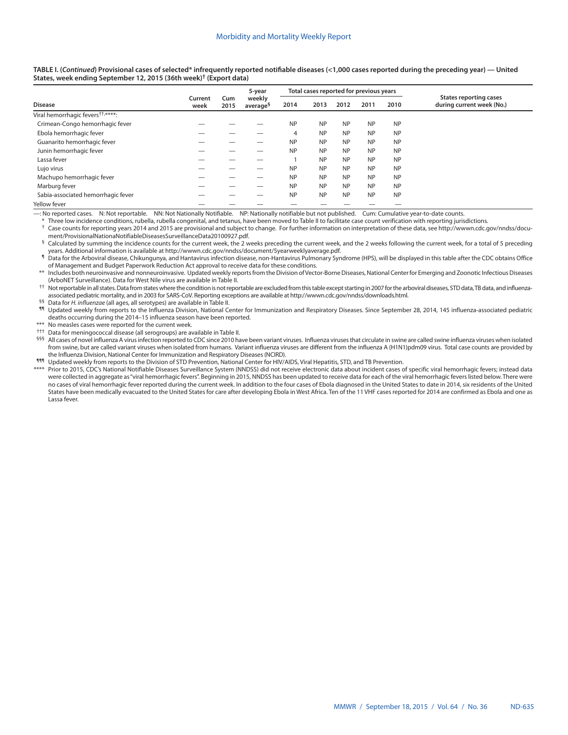**TABLE I. (***Continued***) Provisional cases of selected\* infrequently reported notifiable diseases (<1,000 cases reported during the preceding year) — United States, week ending September 12, 2015 (36th week)† ([Export data\)](https://data.cdc.gov/NNDSS/NNDSS-Table-I-infrequently-reported-notifiable-dis/pb4z-432k)**

|                                               |                 |             | 5-year                         | Total cases reported for previous years |           |           |           |           |                                                            |
|-----------------------------------------------|-----------------|-------------|--------------------------------|-----------------------------------------|-----------|-----------|-----------|-----------|------------------------------------------------------------|
| <b>Disease</b>                                | Current<br>week | Cum<br>2015 | weekly<br>average <sup>§</sup> | 2014                                    | 2013      | 2012      | 2011      | 2010      | <b>States reporting cases</b><br>during current week (No.) |
| Viral hemorrhagic fevers <sup>††,****</sup> : |                 |             |                                |                                         |           |           |           |           |                                                            |
| Crimean-Congo hemorrhagic fever               |                 |             |                                | <b>NP</b>                               | <b>NP</b> | <b>NP</b> | <b>NP</b> | <b>NP</b> |                                                            |
| Ebola hemorrhagic fever                       |                 |             |                                | 4                                       | <b>NP</b> | <b>NP</b> | <b>NP</b> | <b>NP</b> |                                                            |
| Guanarito hemorrhagic fever                   |                 |             |                                | <b>NP</b>                               | <b>NP</b> | <b>NP</b> | <b>NP</b> | <b>NP</b> |                                                            |
| Junin hemorrhagic fever                       |                 |             |                                | <b>NP</b>                               | <b>NP</b> | <b>NP</b> | <b>NP</b> | <b>NP</b> |                                                            |
| Lassa fever                                   |                 |             |                                |                                         | <b>NP</b> | <b>NP</b> | <b>NP</b> | <b>NP</b> |                                                            |
| Lujo virus                                    |                 |             |                                | <b>NP</b>                               | <b>NP</b> | <b>NP</b> | <b>NP</b> | <b>NP</b> |                                                            |
| Machupo hemorrhagic fever                     |                 |             |                                | <b>NP</b>                               | <b>NP</b> | <b>NP</b> | <b>NP</b> | <b>NP</b> |                                                            |
| Marburg fever                                 |                 |             |                                | <b>NP</b>                               | <b>NP</b> | <b>NP</b> | <b>NP</b> | <b>NP</b> |                                                            |
| Sabia-associated hemorrhagic fever            |                 |             |                                | <b>NP</b>                               | <b>NP</b> | <b>NP</b> | <b>NP</b> | <b>NP</b> |                                                            |
| Yellow fever                                  |                 |             |                                |                                         |           |           |           |           |                                                            |

—: No reported cases. N: Not reportable. NN: Not Nationally Notifiable. NP: Nationally notifiable but not published. Cum: Cumulative year-to-date counts.

Three low incidence conditions, rubella, rubella congenital, and tetanus, have been moved to Table II to facilitate case count verification with reporting jurisdictions.

Case counts for reporting years 2014 and 2015 are provisional and subject to change. For further information on interpretation of these data, see http://wwwn.cdc.gov/nndss/docu-<br>ment/ProvisionalNationaNotifiableDiseasesSur

Calculated by summing the incidence counts for the current week, the 2 weeks preceding the current week, and the 2 weeks following the current week, for a total of 5 preceding years. Additional information is available at

1 Data for the Arboviral disease, Chikungunya, and Hantavirus infection disease, non-Hantavirus Pulmonary Syndrome (HPS), will be displayed in this table after the CDC obtains Office of Management and Budget Paperwork Reduction Act approval to receive data for these conditions.

\*\* Includes both neuroinvasive and nonneuroinvasive. Updated weekly reports from the Division of Vector-Borne Diseases, National Center for Emerging and Zoonotic Infectious Diseases (ArboNET Surveillance). Data for West Nile virus are available in Table II.

†† Not reportable in all states. Data from states where the condition is not reportable are excluded from this table except starting in 2007 for the arboviral diseases, STD data, TB data, and influenzaassociated pediatric mortality, and in 2003 for SARS-CoV. Reporting exceptions are available at<http://wwwn.cdc.gov/nndss/downloads.html>.

§§ Data for *H. influenzae* (all ages, all serotypes) are available in Table II.

Updated weekly from reports to the Influenza Division, National Center for Immunization and Respiratory Diseases. Since September 28, 2014, 145 influenza-associated pediatric deaths occurring during the 2014–15 influenza season have been reported.

No measles cases were reported for the current week.

††† Data for meningococcal disease (all serogroups) are available in Table II.

§§§ All cases of novel influenza A virus infection reported to CDC since 2010 have been variant viruses. Influenza viruses that circulate in swine are called swine influenza viruses when isolated from swine, but are called variant viruses when isolated from humans. Variant influenza viruses are different from the influenza A (H1N1)pdm09 virus. Total case counts are provided by the Influenza Division, National Center for Immunization and Respiratory Diseases (NCIRD).

¶¶¶ Updated weekly from reports to the Division of STD Prevention, National Center for HIV/AIDS, Viral Hepatitis, STD, and TB Prevention.

\*\*\*\* Prior to 2015, CDC's National Notifiable Diseases Surveillance System (NNDSS) did not receive electronic data about incident cases of specific viral hemorrhagic fevers; instead data were collected in aggregate as "viral hemorrhagic fevers". Beginning in 2015, NNDSS has been updated to receive data for each of the viral hemorrhagic fevers listed below. There were no cases of viral hemorrhagic fever reported during the current week. In addition to the four cases of Ebola diagnosed in the United States to date in 2014, six residents of the United States have been medically evacuated to the United States for care after developing Ebola in West Africa. Ten of the 11 VHF cases reported for 2014 are confirmed as Ebola and one as Lassa fever.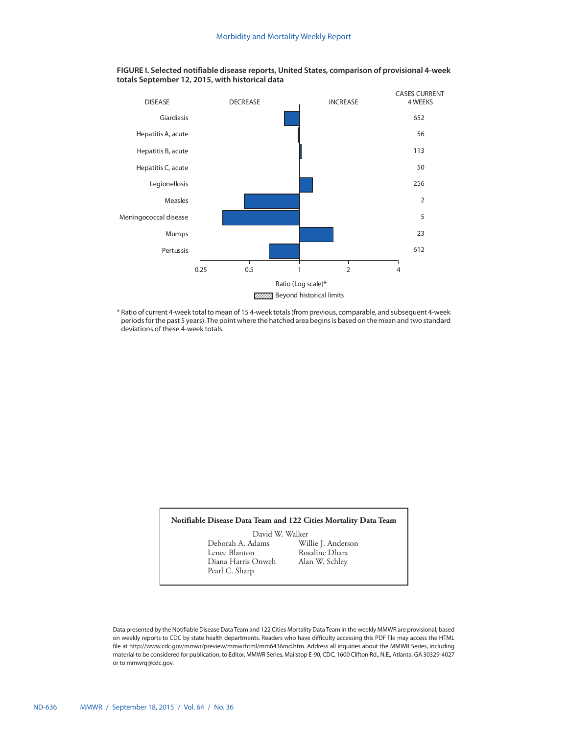

**FIGURE I. Selected notifiable disease reports, United States, comparison of provisional 4-week totals September 12, 2015, with historical data**

\* Ratio of current 4-week total to mean of 15 4-week totals (from previous, comparable, and subsequent 4-week periods for the past 5 years). The point where the hatched area begins is based on the mean and two standard deviations of these 4-week totals.

## **Notifiable Disease Data Team and 122 Cities Mortality Data Team**

David W. Walker<br>Deborah A. Adams Wi Deborah A. Adams Willie J. Anderson Diana Harris Onweh Pearl C. Sharp

Rosaline Dhara<br>Alan W. Schley

Data presented by the Notifiable Disease Data Team and 122 Cities Mortality Data Team in the weekly MMWR are provisional, based on weekly reports to CDC by state health departments. Readers who have difficulty accessing this PDF file may access the HTML file at http://www.cdc.gov/mmwr/preview/mmwrhtml/mm6436md.htm. Address all inquiries about the MMWR Series, including material to be considered for publication, to Editor, MMWR Series, Mailstop E-90, CDC, 1600 Clifton Rd., N.E., Atlanta, GA 30329-4027 or to [mmwrq@cdc.gov](mailto:mmwrq@cdc.gov).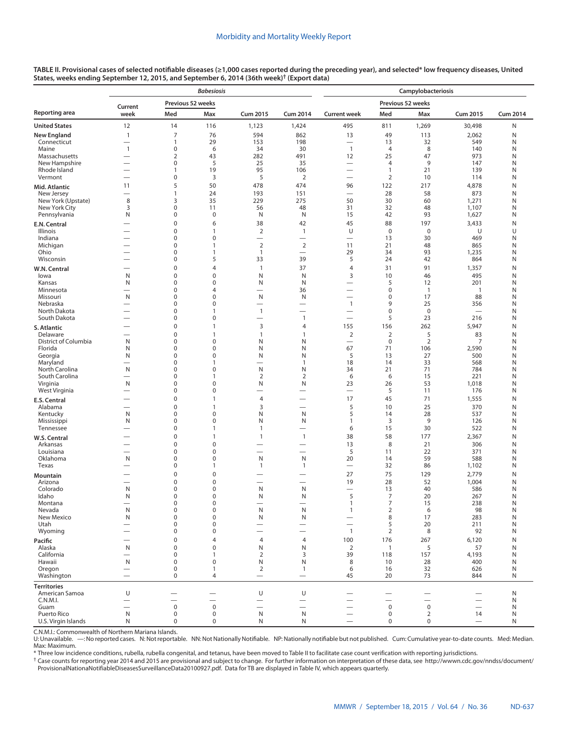| TABLE II. Provisional cases of selected notifiable diseases (≥1,000 cases reported during the preceding year), and selected* low frequency diseases, United |  |
|-------------------------------------------------------------------------------------------------------------------------------------------------------------|--|
| States, weeks ending September 12, 2015, and September 6, 2014 (36th week) <sup>†</sup> (Export data)                                                       |  |

|                               |                                                      |                          | <b>Babesiosis</b>              |                                |                                          | Campylobacteriosis                                          |                            |                             |                                |                 |  |  |  |
|-------------------------------|------------------------------------------------------|--------------------------|--------------------------------|--------------------------------|------------------------------------------|-------------------------------------------------------------|----------------------------|-----------------------------|--------------------------------|-----------------|--|--|--|
|                               | Current                                              | Previous 52 weeks        |                                |                                |                                          |                                                             |                            | Previous 52 weeks           |                                |                 |  |  |  |
| Reporting area                | week                                                 | Med                      | Max                            | <b>Cum 2015</b>                | <b>Cum 2014</b>                          | <b>Current week</b>                                         | Med                        | Max                         | <b>Cum 2015</b>                | <b>Cum 2014</b> |  |  |  |
| <b>United States</b>          | 12                                                   | 14                       | 116                            | 1,123                          | 1,424                                    | 495                                                         | 811                        | 1,269                       | 30,498                         | N               |  |  |  |
| <b>New England</b>            | $\mathbf{1}$                                         | 7                        | 76                             | 594                            | 862                                      | 13                                                          | 49                         | 113                         | 2,062                          | N               |  |  |  |
| Connecticut<br>Maine          | $\overline{\phantom{0}}$<br>$\mathbf{1}$             | 1<br>0                   | 29<br>6                        | 153<br>34                      | 198<br>30                                | $\overbrace{\phantom{1232211}}$<br>$\overline{1}$           | 13<br>4                    | 32<br>8                     | 549<br>140                     | N<br>N          |  |  |  |
| Massachusetts                 | $\overline{\phantom{0}}$                             | $\overline{2}$           | 43                             | 282                            | 491                                      | 12                                                          | 25                         | 47                          | 973                            | N               |  |  |  |
| New Hampshire                 | $\overline{\phantom{0}}$                             | 0                        | 5                              | 25                             | 35                                       | $\overbrace{\phantom{1232211}}$                             | 4                          | 9                           | 147                            | N               |  |  |  |
| Rhode Island<br>Vermont       | $\overline{\phantom{0}}$<br>$\overline{\phantom{0}}$ | 1<br>0                   | 19<br>3                        | 95<br>5                        | 106<br>2                                 | $\overline{\phantom{0}}$<br>$\overline{\phantom{0}}$        | $\mathbf{1}$<br>2          | 21<br>10                    | 139<br>114                     | N<br>Ν          |  |  |  |
| Mid. Atlantic                 | 11                                                   | 5                        | 50                             | 478                            | 474                                      | 96                                                          | 122                        | 217                         | 4,878                          | N               |  |  |  |
| New Jersey                    | $\overline{\phantom{0}}$                             | $\mathbf{1}$             | 24                             | 193                            | 151                                      | $\overbrace{\phantom{12322111}}$                            | 28                         | 58                          | 873                            | N               |  |  |  |
| New York (Upstate)            | 8                                                    | 3                        | 35                             | 229                            | 275                                      | 50                                                          | 30                         | 60                          | 1,271                          | N               |  |  |  |
| New York City<br>Pennsylvania | 3<br>N                                               | 0<br>0                   | 11<br>$\pmb{0}$                | 56<br>N                        | 48<br>N                                  | 31<br>15                                                    | 32<br>42                   | 48<br>93                    | 1,107<br>1,627                 | N<br>N          |  |  |  |
| E.N. Central                  | $\overline{\phantom{0}}$                             | 0                        | 6                              | 38                             | 42                                       | 45                                                          | 88                         | 197                         | 3,433                          | N               |  |  |  |
| Illinois                      | $\overline{\phantom{0}}$                             | 0                        | $\mathbf{1}$                   | $\overline{2}$                 | 1                                        | U                                                           | $\mathbf 0$                | $\mathbf 0$                 | U                              | U               |  |  |  |
| Indiana                       | $\overline{\phantom{0}}$                             | 0                        | $\pmb{0}$                      | $\equiv$                       | $\overline{\phantom{0}}$                 | $\overline{\phantom{0}}$                                    | 13                         | 30                          | 469                            | N               |  |  |  |
| Michigan<br>Ohio              | -<br>$\overline{\phantom{0}}$                        | 0<br>0                   | $\mathbf{1}$<br>$\mathbf{1}$   | $\overline{2}$<br>$\mathbf{1}$ | $\mathbf 2$<br>$\overline{\phantom{0}}$  | 11<br>29                                                    | 21<br>34                   | 48<br>93                    | 865                            | N<br>N          |  |  |  |
| Wisconsin                     | $\overline{\phantom{0}}$                             | 0                        | 5                              | 33                             | 39                                       | 5                                                           | 24                         | 42                          | 1,235<br>864                   | N               |  |  |  |
| W.N. Central                  |                                                      | 0                        | $\overline{4}$                 | $\mathbf{1}$                   | 37                                       | $\overline{4}$                                              | 31                         | 91                          | 1,357                          | N               |  |  |  |
| lowa                          | N                                                    | 0                        | $\mathbf 0$                    | N                              | N                                        | 3                                                           | 10                         | 46                          | 495                            | N               |  |  |  |
| Kansas                        | N                                                    | 0                        | $\pmb{0}$                      | N                              | N                                        | $\overline{\phantom{0}}$                                    | 5                          | 12                          | 201                            | N               |  |  |  |
| Minnesota<br>Missouri         | -<br>N                                               | 0<br>0                   | $\overline{4}$<br>$\pmb{0}$    | $\overline{\phantom{0}}$<br>N  | 36<br>N                                  | $\overbrace{\phantom{1232211}}$<br>$\overline{\phantom{0}}$ | $\pmb{0}$<br>$\pmb{0}$     | $\overline{1}$<br>17        | $\overline{1}$<br>88           | N<br>N          |  |  |  |
| Nebraska                      | $\overline{\phantom{0}}$                             | 0                        | $\mathbf 0$                    | $\overline{\phantom{0}}$       |                                          | $\mathbf{1}$                                                | 9                          | 25                          | 356                            | N               |  |  |  |
| North Dakota                  |                                                      | 0                        | $\mathbf{1}$                   | $\mathbf{1}$                   |                                          |                                                             | $\pmb{0}$                  | $\mathbf 0$                 |                                | N               |  |  |  |
| South Dakota                  | $\overline{\phantom{0}}$                             | 0<br>0                   | $\pmb{0}$<br>$\mathbf{1}$      | 3                              | $\mathbf{1}$<br>4                        | $\overbrace{\phantom{1232211}}$<br>155                      | 5<br>156                   | 23<br>262                   | 216                            | N<br>N          |  |  |  |
| S. Atlantic<br>Delaware       | $\overline{\phantom{0}}$<br>-                        | 0                        | $\mathbf{1}$                   | $\mathbf{1}$                   | 1                                        | $\overline{2}$                                              | $\overline{2}$             | 5                           | 5,947<br>83                    | N               |  |  |  |
| District of Columbia          | N                                                    | 0                        | $\pmb{0}$                      | N                              | N                                        | $\overbrace{\phantom{12322111}}$                            | $\pmb{0}$                  | $\overline{2}$              | 7                              | N               |  |  |  |
| Florida                       | N                                                    | 0                        | $\mathbf 0$                    | N                              | N                                        | 67                                                          | 71                         | 106                         | 2,590                          | N               |  |  |  |
| Georgia<br>Maryland           | N                                                    | 0<br>0                   | $\pmb{0}$<br>$\mathbf{1}$      | N<br>$\overline{\phantom{0}}$  | N<br>1                                   | 5<br>18                                                     | 13<br>14                   | 27<br>33                    | 500<br>568                     | N<br>N          |  |  |  |
| North Carolina                | N                                                    | 0                        | $\pmb{0}$                      | N                              | N                                        | 34                                                          | 21                         | 71                          | 784                            | N               |  |  |  |
| South Carolina                |                                                      | 0                        | $\mathbf{1}$                   | $\overline{2}$                 | $\overline{2}$                           | 6                                                           | 6                          | 15                          | 221                            | N               |  |  |  |
| Virginia<br>West Virginia     | N<br>$\overline{\phantom{0}}$                        | 0<br>0                   | $\pmb{0}$<br>$\pmb{0}$         | N<br>$\overline{\phantom{0}}$  | N                                        | 23<br>$\overline{\phantom{0}}$                              | 26<br>5                    | 53<br>11                    | 1,018<br>176                   | N<br>N          |  |  |  |
| E.S. Central                  | -                                                    | 0                        | $\mathbf{1}$                   | $\overline{4}$                 | $\overline{\phantom{0}}$                 | 17                                                          | 45                         | 71                          | 1,555                          | N               |  |  |  |
| Alabama                       | $\overline{\phantom{0}}$                             | 0                        | $\mathbf{1}$                   | 3                              |                                          | 5                                                           | 10                         | 25                          | 370                            | N               |  |  |  |
| Kentucky                      | N                                                    | 0                        | $\pmb{0}$                      | N                              | N                                        | 5                                                           | 14                         | 28                          | 537                            | N               |  |  |  |
| Mississippi                   | N                                                    | 0                        | $\pmb{0}$<br>$\mathbf{1}$      | N                              | N                                        | $\mathbf{1}$                                                | 3                          | 9                           | 126                            | N               |  |  |  |
| Tennessee                     | -<br>-                                               | 0<br>0                   | $\mathbf{1}$                   | $\mathbf{1}$<br>$\mathbf{1}$   | $\overline{\phantom{0}}$<br>$\mathbf{1}$ | 6<br>38                                                     | 15<br>58                   | 30<br>177                   | 522<br>2,367                   | N<br>N          |  |  |  |
| W.S. Central<br>Arkansas      |                                                      | 0                        | $\pmb{0}$                      | $\overline{\phantom{0}}$       |                                          | 13                                                          | 8                          | 21                          | 306                            | N               |  |  |  |
| Louisiana                     | $\overline{\phantom{0}}$                             | 0                        | $\pmb{0}$                      | $\overline{\phantom{0}}$       |                                          | 5                                                           | 11                         | 22                          | 371                            | N               |  |  |  |
| Oklahoma<br>Texas             | N                                                    | 0<br>0                   | $\pmb{0}$<br>$\mathbf{1}$      | N                              | N                                        | 20                                                          | 14<br>32                   | 59<br>86                    | 588                            | N<br>N          |  |  |  |
|                               | $\overline{\phantom{0}}$                             | 0                        | $\pmb{0}$                      | $\mathbf{1}$                   | 1                                        | 27                                                          | 75                         | 129                         | 1,102<br>2,779                 | N               |  |  |  |
| Mountain<br>Arizona           | $\overline{\phantom{0}}$                             | 0                        | $\mathbf 0$                    |                                |                                          | 19                                                          | 28                         | 52                          | 1,004                          | N               |  |  |  |
| Colorado                      | N                                                    | 0                        | $\pmb{0}$                      | N                              | N                                        | $\overline{\phantom{0}}$                                    | 13                         | 40                          | 586                            | N               |  |  |  |
| Idaho                         | N                                                    | 0                        | $\mathbf 0$                    | N                              | N                                        | 5                                                           | $\overline{7}$             | 20                          | 267                            | N               |  |  |  |
| Montana<br>Nevada             | $\mathsf N$                                          | 0<br>0                   | 0<br>$\pmb{0}$                 | N                              | N                                        | $\mathbf{1}$                                                | 7<br>$\overline{2}$        | 15<br>6                     | 238<br>98                      | N<br>N          |  |  |  |
| New Mexico                    | N                                                    | 0                        | $\pmb{0}$                      | N                              | N                                        |                                                             | 8                          | 17                          | 283                            | N               |  |  |  |
| Utah                          | $\overline{\phantom{0}}$                             | 0                        | $\pmb{0}$                      |                                |                                          | $\overline{\phantom{0}}$                                    | 5                          | 20                          | 211                            | N               |  |  |  |
| Wyoming                       | $\overline{\phantom{0}}$<br>-                        | 0<br>0                   | $\mathbf 0$<br>$\overline{4}$  | 4                              | 4                                        | $\overline{1}$<br>100                                       | 2<br>176                   | 8<br>267                    | 92<br>6,120                    | N<br>N          |  |  |  |
| Pacific<br>Alaska             | N                                                    | 0                        | $\mathbf 0$                    | N                              | N                                        | 2                                                           | $\mathbf{1}$               | 5                           | 57                             | N               |  |  |  |
| California                    |                                                      | 0                        | $\mathbf{1}$                   | 2                              | 3                                        | 39                                                          | 118                        | 157                         | 4,193                          | N               |  |  |  |
| Hawaii                        | N                                                    | $\mathbf 0$              | $\pmb{0}$                      | N                              | N                                        | 8                                                           | 10                         | 28                          | 400                            | N               |  |  |  |
| Oregon<br>Washington          | $\overline{\phantom{0}}$<br>$\overline{\phantom{0}}$ | 0<br>0                   | $\mathbf{1}$<br>$\overline{4}$ | 2                              | $\mathbf{1}$<br>$\qquad \qquad$          | 6<br>45                                                     | 16<br>20                   | 32<br>73                    | 626<br>844                     | N<br>N          |  |  |  |
| <b>Territories</b>            |                                                      |                          |                                |                                |                                          |                                                             |                            |                             |                                |                 |  |  |  |
| American Samoa                | U                                                    | $\overline{\phantom{0}}$ |                                | U                              | U                                        |                                                             |                            | $\overline{\phantom{0}}$    |                                | N               |  |  |  |
| C.N.M.I.                      | $\overline{\phantom{0}}$                             |                          |                                |                                |                                          |                                                             |                            | $\overline{\phantom{0}}$    |                                | N               |  |  |  |
| Guam<br>Puerto Rico           | $\overline{\phantom{0}}$<br>N                        | $\bf 0$<br>$\mathbf 0$   | $\mathbf 0$<br>$\pmb{0}$       | -<br>N                         | N                                        | $\overbrace{\phantom{1232211}}$                             | $\mathsf 0$<br>$\mathbf 0$ | $\pmb{0}$<br>$\overline{2}$ | $\overline{\phantom{0}}$<br>14 | N<br>N          |  |  |  |
| U.S. Virgin Islands           | N                                                    | $\mathbf 0$              | $\pmb{0}$                      | N                              | N                                        | $\overline{\phantom{0}}$                                    | $\mathbf 0$                | $\mathbf 0$                 | $\overline{\phantom{m}}$       | N               |  |  |  |
|                               |                                                      |                          |                                |                                |                                          |                                                             |                            |                             |                                |                 |  |  |  |

C.N.M.I.: Commonwealth of Northern Mariana Islands.

U: Unavailable. —: No reported cases. N: Not reportable. NN: Not Nationally Notifiable. NP: Nationally notifiable but not published. Cum: Cumulative year-to-date counts. Med: Median. Max: Maximum.

\* Three low incidence conditions, rubella, rubella congenital, and tetanus, have been moved to Table II to facilitate case count verification with reporting jurisdictions.

† Case counts for reporting year 2014 and 2015 are provisional and subject to change. For further information on interpretation of these data, see [http://wwwn.cdc.gov/nndss/document/](http://wwwn.cdc.gov/nndss/document/ProvisionalNationaNotifiableDiseasesSurveillanceData20100927.pdf) [ProvisionalNationaNotifiableDiseasesSurveillanceData20100927.pdf](http://wwwn.cdc.gov/nndss/document/ProvisionalNationaNotifiableDiseasesSurveillanceData20100927.pdf). Data for TB are displayed in Table IV, which appears quarterly.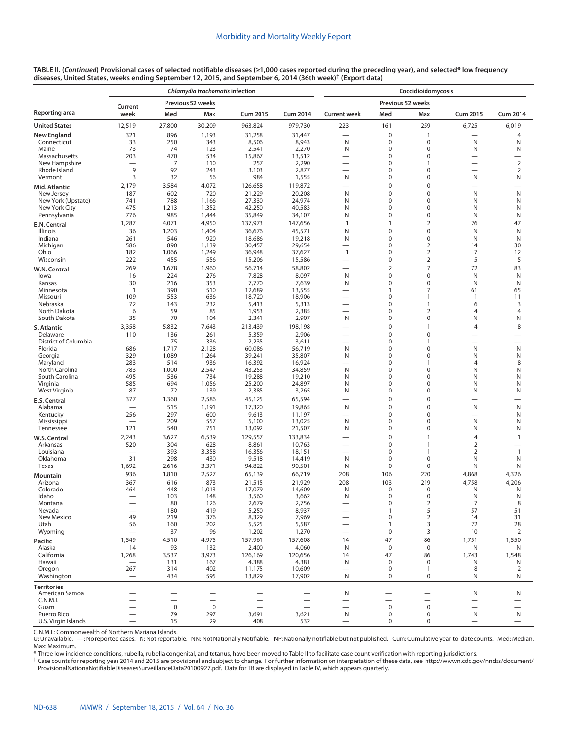|                                      |                                 |                | Chlamydia trachomatis infection |                  |                  |                          |                         | Coccidioidomycosis             |                          |                          |
|--------------------------------------|---------------------------------|----------------|---------------------------------|------------------|------------------|--------------------------|-------------------------|--------------------------------|--------------------------|--------------------------|
|                                      | Current                         |                | Previous 52 weeks               |                  |                  |                          | Previous 52 weeks       |                                |                          |                          |
| <b>Reporting area</b>                | week                            | Med            | Max                             | <b>Cum 2015</b>  | <b>Cum 2014</b>  | <b>Current week</b>      | Med                     | Max                            | <b>Cum 2015</b>          | <b>Cum 2014</b>          |
| United States                        | 12,519                          | 27,800         | 30,209                          | 963,824          | 979,730          | 223                      | 161                     | 259                            | 6,725                    | 6,019                    |
| New England<br>Connecticut           | 321<br>33                       | 896<br>250     | 1,193<br>343                    | 31,258<br>8,506  | 31,447<br>8,943  | -<br>N                   | 0<br>0                  | $\mathbf{1}$<br>$\mathbf 0$    | N                        | $\overline{4}$<br>N      |
| Maine                                | 73                              | 74             | 123                             | 2,541            | 2,270            | N                        | 0                       | $\mathbf 0$                    | N                        | N                        |
| Massachusetts                        | 203                             | 470            | 534                             | 15,867           | 13,512           | $\overline{\phantom{0}}$ | 0                       | $\mathbf 0$                    | $\overline{\phantom{0}}$ | $\overline{\phantom{0}}$ |
| New Hampshire                        |                                 | $\overline{7}$ | 110                             | 257              | 2,290            | $\overline{\phantom{0}}$ | 0                       | $\mathbf{1}$                   | $\overline{\phantom{0}}$ | $\sqrt{2}$               |
| Rhode Island<br>Vermont              | 9<br>3                          | 92<br>32       | 243<br>56                       | 3,103<br>984     | 2,877<br>1,555   | N                        | 0<br>0                  | $\mathbf 0$<br>$\mathbf 0$     | N                        | $\overline{2}$<br>N      |
| Mid. Atlantic                        | 2,179                           | 3,584          | 4,072                           | 126,658          | 119,872          |                          | $\mathbf 0$             | $\mathbf 0$                    | -                        |                          |
| New Jersey                           | 187                             | 602            | 720                             | 21,229           | 20,208           | N                        | $\mathbf 0$             | $\mathbf 0$                    | N                        | N                        |
| New York (Upstate)                   | 741                             | 788            | 1,166                           | 27,330           | 24,974           | N                        | 0                       | $\mathbf 0$                    | N                        | N                        |
| New York City                        | 475                             | 1,213          | 1,352                           | 42,250           | 40,583           | N                        | 0                       | $\mathbf 0$                    | N                        | N                        |
| Pennsylvania                         | 776                             | 985            | 1,444                           | 35,849           | 34,107           | N                        | 0                       | $\mathbf 0$                    | N                        | N                        |
| E.N. Central                         | 1,287                           | 4,071          | 4,950                           | 137,973          | 147,656          | $\mathbf{1}$             | $\mathbf{1}$            | $\overline{2}$                 | 26                       | 47                       |
| <b>Illinois</b><br>Indiana           | 36<br>261                       | 1,203<br>546   | 1,404<br>920                    | 36,676<br>18,686 | 45,571<br>19,218 | N<br>N                   | $\mathbf 0$<br>$\Omega$ | $\mathbf 0$<br>$\mathbf 0$     | N<br>N                   | N<br>N                   |
| Michigan                             | 586                             | 890            | 1,139                           | 30,457           | 29,654           |                          | 0                       | $\overline{2}$                 | 14                       | 30                       |
| Ohio                                 | 182                             | 1,066          | 1,249                           | 36,948           | 37,627           | 1                        | 0                       | $\overline{2}$                 | 7                        | 12                       |
| Wisconsin                            | 222                             | 455            | 556                             | 15,206           | 15,586           |                          | 0                       | $\overline{2}$                 | 5                        | 5                        |
| W.N. Central                         | 269                             | 1,678          | 1,960                           | 56,714           | 58,802           |                          | $\overline{2}$          | $\overline{7}$                 | 72                       | 83                       |
| lowa                                 | 16                              | 224            | 276                             | 7,828            | 8,097            | N                        | $\mathbf 0$             | $\mathbf 0$                    | N                        | N                        |
| Kansas                               | 30                              | 216            | 353                             | 7,770            | 7,639            | N                        | 0                       | $\mathbf 0$                    | N                        | N                        |
| Minnesota<br>Missouri                | $\overline{1}$<br>109           | 390<br>553     | 510<br>636                      | 12,689<br>18,720 | 13,555<br>18,906 |                          | 1<br>0                  | $\overline{7}$<br>$\mathbf{1}$ | 61<br>$\mathbf{1}$       | 65<br>11                 |
| Nebraska                             | 72                              | 143            | 232                             | 5,413            | 5,313            | -                        | 0                       | $\mathbf{1}$                   | 6                        | 3                        |
| North Dakota                         | 6                               | 59             | 85                              | 1,953            | 2,385            |                          | 0                       | $\overline{2}$                 | $\overline{4}$           | $\overline{4}$           |
| South Dakota                         | 35                              | 70             | 104                             | 2,341            | 2,907            | N                        | 0                       | $\mathbf 0$                    | N                        | N                        |
| S. Atlantic                          | 3,358                           | 5,832          | 7,643                           | 213,439          | 198,198          |                          | 0                       | $\mathbf{1}$                   | 4                        | 8                        |
| Delaware                             | 110                             | 136            | 261                             | 5,359            | 2,906            |                          | 0                       | $\mathbf 0$                    |                          |                          |
| District of Columbia                 | -                               | 75             | 336                             | 2,235            | 3,611            |                          | 0                       | $\mathbf{1}$                   | -                        | -                        |
| Florida<br>Georgia                   | 686<br>329                      | 1,717<br>1,089 | 2,128<br>1,264                  | 60,086<br>39,241 | 56,719<br>35,807 | N<br>N                   | 0<br>0                  | $\mathbf 0$<br>$\mathbf 0$     | N<br>N                   | N<br>N                   |
| Maryland                             | 283                             | 514            | 936                             | 16,392           | 16,924           |                          | 0                       | $\mathbf{1}$                   | $\overline{4}$           | 8                        |
| North Carolina                       | 783                             | 1,000          | 2,547                           | 43,253           | 34,859           | N                        | 0                       | $\mathbf 0$                    | N                        | N                        |
| South Carolina                       | 495                             | 536            | 734                             | 19,288           | 19,210           | N                        | 0                       | $\mathbf 0$                    | N                        | N                        |
| Virginia                             | 585                             | 694            | 1,056                           | 25,200           | 24,897           | N                        | 0                       | $\mathbf 0$                    | N                        | N                        |
| West Virginia                        | 87                              | 72             | 139                             | 2,385            | 3,265            | N                        | 0                       | $\mathbf 0$                    | N                        | N                        |
| E.S. Central                         | 377                             | 1,360          | 2,586                           | 45,125           | 65,594           |                          | $\mathbf 0$             | $\mathbf 0$                    |                          |                          |
| Alabama<br>Kentucky                  | $\overline{\phantom{0}}$<br>256 | 515<br>297     | 1,191<br>600                    | 17,320<br>9,613  | 19,865<br>11,197 | N<br>-                   | 0<br>0                  | $\mathbf 0$<br>$\mathbf 0$     | N                        | N<br>N                   |
| Mississippi                          |                                 | 209            | 557                             | 5,100            | 13,025           | N                        | 0                       | 0                              | N                        | N                        |
| Tennessee                            | 121                             | 540            | 751                             | 13,092           | 21,507           | N                        | 0                       | $\mathbf 0$                    | N                        | N                        |
| W.S. Central                         | 2,243                           | 3,627          | 6,539                           | 129,557          | 133,834          |                          | $\mathbf 0$             | $\mathbf{1}$                   | $\overline{4}$           | $\mathbf{1}$             |
| Arkansas                             | 520                             | 304            | 628                             | 8,861            | 10,763           |                          | 0                       | $\mathbf{1}$                   | $\overline{2}$           |                          |
| Louisiana                            |                                 | 393            | 3,358                           | 16,356           | 18,151           | -                        | 0                       | $\mathbf{1}$                   | 2                        | $\mathbf{1}$             |
| Oklahoma<br>Texas                    | 31<br>1,692                     | 298<br>2,616   | 430<br>3,371                    | 9,518<br>94,822  | 14,419<br>90,501 | N<br>N                   | 0<br>0                  | $\mathbf 0$<br>0               | N<br>N                   | N<br>N                   |
|                                      | 936                             | 1,810          | 2,527                           | 65,139           | 66,719           | 208                      | 106                     | 220                            | 4,868                    | 4,326                    |
| Mountain<br>Arizona                  | 367                             | 616            | 873                             | 21,515           | 21,929           | 208                      | 103                     | 219                            | 4,758                    | 4,206                    |
| Colorado                             | 464                             | 448            | 1,013                           | 17,079           | 14,609           | N                        | 0                       | 0                              | N                        | N                        |
| Idaho                                |                                 | 103            | 148                             | 3,560            | 3,662            | N                        | 0                       | $\mathbf 0$                    | N                        | N                        |
| Montana                              |                                 | 80             | 126                             | 2,679            | 2,756            |                          |                         | $\angle$                       |                          | ୪                        |
| Nevada                               | 49                              | 180            | 419                             | 5,250            | 8,937            |                          |                         | 5<br>$\overline{2}$            | 57                       | 51                       |
| New Mexico<br>Utah                   | 56                              | 219<br>160     | 376<br>202                      | 8,329<br>5,525   | 7,969<br>5,587   |                          | 0<br>1                  | 3                              | 14<br>22                 | 31<br>28                 |
| Wyoming                              |                                 | 37             | 96                              | 1,202            | 1,270            |                          | 0                       | 3                              | 10                       | $\overline{2}$           |
| Pacific                              | 1,549                           | 4,510          | 4,975                           | 157,961          | 157,608          | 14                       | 47                      | 86                             | 1,751                    | 1,550                    |
| Alaska                               | 14                              | 93             | 132                             | 2,400            | 4,060            | N                        | $\mathbf 0$             | $\boldsymbol{0}$               | N                        | N                        |
| California                           | 1,268                           | 3,537          | 3,973                           | 126,169          | 120,656          | 14                       | 47                      | 86                             | 1,743                    | 1,548                    |
| Hawaii                               |                                 | 131            | 167                             | 4,388            | 4,381            | N                        | 0                       | 0                              | N                        | N                        |
| Oregon                               | 267                             | 314            | 402                             | 11,175           | 10,609           |                          | $\pmb{0}$               | $\mathbf{1}$                   | 8                        | 2                        |
| Washington                           | $\overline{\phantom{0}}$        | 434            | 595                             | 13,829           | 17,902           | N                        | 0                       | $\boldsymbol{0}$               | N                        | N                        |
| <b>Territories</b><br>American Samoa |                                 |                |                                 |                  |                  | N                        |                         |                                | N                        | N                        |
| C.N.M.I.                             |                                 |                | —                               |                  |                  |                          |                         |                                | $\qquad \qquad$          |                          |
| Guam                                 |                                 | $\pmb{0}$      | $\mathbf 0$                     |                  |                  |                          | $\pmb{0}$               | $\pmb{0}$                      |                          |                          |
| Puerto Rico                          |                                 | 79             | 297                             | 3,691            | 3,621            | N                        | 0                       | 0                              | N                        | N                        |
| U.S. Virgin Islands                  |                                 | 15             | 29                              | 408              | 532              |                          | 0                       | $\pmb{0}$                      |                          |                          |

C.N.M.I.: Commonwealth of Northern Mariana Islands.

U: Unavailable. —: No reported cases. N: Not reportable. NN: Not Nationally Notifiable. NP: Nationally notifiable but not published. Cum: Cumulative year-to-date counts. Med: Median. Max: Maximum.

\* Three low incidence conditions, rubella, rubella congenital, and tetanus, have been moved to Table II to facilitate case count verification with reporting jurisdictions.

† Case counts for reporting year 2014 and 2015 are provisional and subject to change. For further information on interpretation of these data, see [http://wwwn.cdc.gov/nndss/document/](http://wwwn.cdc.gov/nndss/document/ProvisionalNationaNotifiableDiseasesSurveillanceData20100927.pdf) [ProvisionalNationaNotifiableDiseasesSurveillanceData20100927.pdf](http://wwwn.cdc.gov/nndss/document/ProvisionalNationaNotifiableDiseasesSurveillanceData20100927.pdf). Data for TB are displayed in Table IV, which appears quarterly.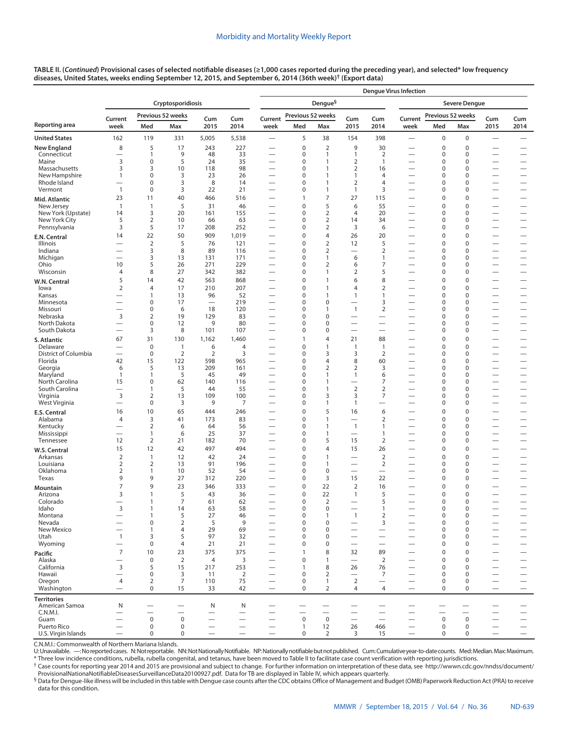## Morbidity and Mortality Weekly Report

**TABLE II. (***Continued***) Provisional cases of selected notifiable diseases (≥1,000 cases reported during the preceding year), and selected\* low frequency diseases, United States, weeks ending September 12, 2015, and September 6, 2014 (36th week)† ([Export data\)](https://data.cdc.gov/NNDSS/NNDSS-Table-II-Cryptosporidiosis-to-Dengue/9n3x-apcd)**

|                               |                                                      |                                |                      |                                |                          | <b>Denque Virus Infection</b>                        |                             |                                  |                                                      |                                 |                                                      |                   |                            |                                                      |                                                      |  |  |
|-------------------------------|------------------------------------------------------|--------------------------------|----------------------|--------------------------------|--------------------------|------------------------------------------------------|-----------------------------|----------------------------------|------------------------------------------------------|---------------------------------|------------------------------------------------------|-------------------|----------------------------|------------------------------------------------------|------------------------------------------------------|--|--|
|                               |                                                      |                                | Cryptosporidiosis    |                                |                          |                                                      |                             | Dengue <sup>§</sup>              |                                                      |                                 |                                                      |                   | <b>Severe Dengue</b>       |                                                      |                                                      |  |  |
|                               | Current                                              |                                | Previous 52 weeks    | Cum                            | Cum                      | Current                                              | Previous 52 weeks           |                                  | Cum                                                  | Cum                             | Current                                              | Previous 52 weeks |                            | Cum                                                  | Cum                                                  |  |  |
| Reporting area                | week                                                 | Med                            | Max                  | 2015                           | 2014                     | week                                                 | Med                         | Max                              | 2015                                                 | 2014                            | week                                                 | Med               | Max                        | 2015                                                 | 2014                                                 |  |  |
| <b>United States</b>          | 162                                                  | 119                            | 331                  | 5,005                          | 5,538                    | $\overline{\phantom{0}}$                             | 5                           | 38                               | 154                                                  | 398                             | $\overline{\phantom{0}}$                             | 0                 | 0                          | $\overline{\phantom{0}}$                             |                                                      |  |  |
| <b>New England</b>            | 8                                                    | 5                              | 17                   | 243                            | 227                      | $\overline{\phantom{0}}$                             | $\mathbf 0$                 | $\overline{2}$                   | 9                                                    | 30                              |                                                      | 0                 | $\mathbf 0$                |                                                      |                                                      |  |  |
| Connecticut<br>Maine          | 3                                                    | $\mathbf{1}$<br>$\mathbf 0$    | 9<br>5               | 48<br>24                       | 33<br>35                 |                                                      | 0<br>$\mathbf 0$            | 1<br>1                           | 1<br>$\overline{2}$                                  | $\overline{2}$<br>$\mathbf{1}$  |                                                      | 0<br>0            | 0<br>$\mathbf 0$           |                                                      |                                                      |  |  |
| Massachusetts                 | 3                                                    | 3                              | 10                   | 118                            | 98                       | $\overline{\phantom{0}}$                             | $\mathbf 0$                 | 1                                | $\overline{2}$                                       | 16                              | $\overline{\phantom{0}}$                             | 0                 | $\mathbf 0$                |                                                      |                                                      |  |  |
| New Hampshire                 | $\mathbf{1}$                                         | $\mathbf 0$                    | 3                    | 23                             | 26                       | $\qquad \qquad$                                      | $\mathbf 0$                 | 1                                | 1                                                    | 4                               |                                                      | 0                 | $\mathbf 0$                | $\overline{\phantom{0}}$                             |                                                      |  |  |
| Rhode Island<br>Vermont       | $\overline{\phantom{0}}$<br>$\mathbf{1}$             | $\mathbf 0$<br>$\mathsf 0$     | 3<br>3               | 8<br>22                        | 14<br>21                 | $\overline{\phantom{0}}$<br>$\overline{\phantom{0}}$ | $\mathbf 0$<br>$\bf 0$      | 1<br>1                           | $\overline{2}$<br>1                                  | 4<br>3                          | $\overline{\phantom{0}}$<br>$\overline{\phantom{0}}$ | 0<br>0            | $\mathbf 0$<br>$\mathbf 0$ | $\overline{\phantom{0}}$                             |                                                      |  |  |
| Mid. Atlantic                 | 23                                                   | 11                             | 40                   | 466                            | 516                      |                                                      | $\mathbf{1}$                | $\overline{7}$                   | 27                                                   | 115                             |                                                      | $\mathbf 0$       | $\bf 0$                    |                                                      | $\overline{\phantom{0}}$                             |  |  |
| New Jersey                    | $\mathbf{1}$                                         | $\overline{1}$                 | 5                    | 31                             | 46                       | $\overline{\phantom{0}}$                             | $\mathbf 0$                 | 5                                | 6                                                    | 55                              | $\overline{\phantom{0}}$                             | 0                 | $\mathbf 0$                |                                                      | $\overline{\phantom{0}}$                             |  |  |
| New York (Upstate)            | 14                                                   | $\overline{3}$                 | 20                   | 161                            | 155                      | $\overline{\phantom{0}}$                             | $\mathbf 0$                 | $\overline{2}$                   | $\overline{4}$                                       | 20                              |                                                      | 0                 | $\mathbf 0$                |                                                      |                                                      |  |  |
| New York City<br>Pennsylvania | 5<br>3                                               | $\overline{2}$<br>5            | 10<br>17             | 66<br>208                      | 63<br>252                | $\overline{\phantom{0}}$                             | $\mathbf 0$<br>$\mathbf 0$  | $\overline{2}$<br>$\overline{2}$ | 14<br>3                                              | 34<br>6                         | $\overline{\phantom{0}}$                             | 0<br>0            | $\mathbf 0$<br>$\mathbf 0$ | $\overline{\phantom{0}}$                             |                                                      |  |  |
| E.N. Central                  | 14                                                   | 22                             | 50                   | 909                            | 1,019                    |                                                      | $\mathbf 0$                 | 4                                | 26                                                   | 20                              | $\overline{\phantom{0}}$                             | 0                 | $\mathbf 0$                |                                                      | $\overline{\phantom{0}}$                             |  |  |
| Illinois                      |                                                      | $\overline{2}$                 | 5                    | 76                             | 121                      |                                                      | $\mathbf 0$                 | $\overline{2}$                   | 12                                                   | 5                               |                                                      | 0                 | $\mathbf 0$                | $\overline{\phantom{0}}$                             | —                                                    |  |  |
| Indiana                       | $\overline{\phantom{0}}$                             | 3                              | 8                    | 89                             | 116                      | $\overline{\phantom{0}}$                             | $\mathbf 0$                 | $\overline{2}$                   | $\overline{\phantom{0}}$                             | $\overline{2}$                  | $\overline{\phantom{0}}$                             | 0                 | $\mathbf 0$                |                                                      |                                                      |  |  |
| Michigan<br>Ohio              | $\overline{\phantom{0}}$<br>10                       | 3<br>5                         | 13<br>26             | 131<br>271                     | 171<br>229               | $\overline{\phantom{0}}$<br>$\qquad \qquad$          | $\mathbf 0$<br>$\mathbf 0$  | 1<br>$\overline{2}$              | 6<br>6                                               | 1<br>7                          | $\overline{\phantom{0}}$                             | 0<br>0            | $\mathbf 0$<br>$\mathbf 0$ | $\overline{\phantom{0}}$<br>$\overline{\phantom{0}}$ |                                                      |  |  |
| Wisconsin                     | $\overline{4}$                                       | 8                              | 27                   | 342                            | 382                      |                                                      | $\mathbf 0$                 | 1                                | 2                                                    | 5                               | $\overline{\phantom{0}}$                             | 0                 | 0                          |                                                      |                                                      |  |  |
| W.N. Central                  | 5                                                    | 14                             | 42                   | 563                            | 868                      | $\overline{\phantom{0}}$                             | $\mathbf 0$                 | 1                                | 6                                                    | 8                               |                                                      | 0                 | $\mathbf 0$                |                                                      | $\overline{\phantom{0}}$                             |  |  |
| lowa                          | $\overline{2}$                                       | $\overline{4}$                 | 17                   | 210                            | 207                      | $\overline{\phantom{0}}$                             | $\mathbf 0$                 | $\mathbf{1}$                     | 4                                                    | $\overline{2}$                  |                                                      | 0                 | $\mathbf 0$                | $\overline{\phantom{0}}$                             | —                                                    |  |  |
| Kansas<br>Minnesota           | $\overline{\phantom{0}}$                             | $\overline{1}$<br>$\mathbf 0$  | 13<br>17             | 96<br>$\overline{\phantom{0}}$ | 52<br>219                | $\overline{\phantom{0}}$<br>$\overline{\phantom{0}}$ | $\mathbf 0$<br>$\mathbf 0$  | 1<br>$\mathbf 0$                 | 1<br>$\overline{\phantom{0}}$                        | 1<br>3                          | $\overline{\phantom{0}}$<br>$\overline{\phantom{0}}$ | 0<br>0            | $\mathbf 0$<br>$\mathbf 0$ |                                                      |                                                      |  |  |
| Missouri                      | $\overline{\phantom{0}}$                             | $\mathbf 0$                    | 6                    | 18                             | 120                      | $\qquad \qquad$                                      | $\mathbf 0$                 | 1                                | $\overline{1}$                                       | $\overline{2}$                  |                                                      | 0                 | $\mathbf 0$                | $\overline{\phantom{0}}$                             |                                                      |  |  |
| Nebraska                      | 3                                                    | $\overline{2}$                 | 19                   | 129                            | 83                       | $\overline{\phantom{0}}$                             | $\mathbf 0$                 | $\mathbf 0$                      |                                                      | $\overline{\phantom{0}}$        | —                                                    | 0                 | $\mathbf 0$                | $\overline{\phantom{0}}$                             |                                                      |  |  |
| North Dakota<br>South Dakota  | $\overline{\phantom{0}}$<br>$\overline{\phantom{0}}$ | $\mathsf 0$<br>3               | 12<br>8              | 9<br>101                       | 80<br>107                | $\qquad \qquad$                                      | $\mathbf 0$<br>$\mathbf 0$  | $\mathbf 0$<br>$\mathbf 0$       | $\overline{\phantom{0}}$<br>$\overline{\phantom{0}}$ | $\overline{\phantom{0}}$        | $\overline{\phantom{0}}$                             | 0<br>0            | $\mathbf 0$<br>0           | $\overline{\phantom{0}}$                             | $\overline{\phantom{0}}$                             |  |  |
|                               | 67                                                   | 31                             | 130                  | 1,162                          | 1,460                    | $\qquad \qquad$                                      | 1                           | 4                                | 21                                                   | 88                              |                                                      | 0                 | $\mathbf 0$                |                                                      |                                                      |  |  |
| S. Atlantic<br>Delaware       |                                                      | $\mathbf 0$                    | $\mathbf{1}$         | 6                              | $\overline{4}$           |                                                      | $\mathbf 0$                 | $\mathbf{1}$                     | $\mathbf{1}$                                         | $\mathbf{1}$                    |                                                      | 0                 | $\mathbf 0$                | $\overline{\phantom{0}}$                             | $\overline{\phantom{0}}$                             |  |  |
| District of Columbia          | $\overline{\phantom{0}}$                             | $\mathbf 0$                    | $\overline{2}$       | 2                              | 3                        | $\qquad \qquad$                                      | $\mathbf 0$                 | 3                                | 3                                                    | 2                               |                                                      | 0                 | $\mathbf 0$                | $\overline{\phantom{0}}$                             |                                                      |  |  |
| Florida                       | 42                                                   | 15                             | 122                  | 598                            | 965                      | $\overline{\phantom{0}}$                             | $\mathbf 0$                 | $\overline{4}$                   | 8                                                    | 60                              | —                                                    | 0                 | $\mathbf 0$                | $\overline{\phantom{0}}$                             |                                                      |  |  |
| Georgia<br>Maryland           | 6<br>$\mathbf{1}$                                    | 5<br>$\overline{1}$            | 13<br>5              | 209<br>45                      | 161<br>49                | $\qquad \qquad$                                      | $\mathbf 0$<br>$\mathbf 0$  | $\overline{2}$<br>1              | $\overline{2}$<br>$\mathbf{1}$                       | 3<br>6                          |                                                      | 0<br>0            | $\mathbf 0$<br>$\mathbf 0$ |                                                      | $\overline{\phantom{0}}$                             |  |  |
| North Carolina                | 15                                                   | $\mathbf 0$                    | 62                   | 140                            | 116                      | $\overline{\phantom{0}}$                             | 0                           | 1                                |                                                      | 7                               | $\overline{\phantom{0}}$                             | 0                 | 0                          | $\overline{\phantom{0}}$                             | $\overline{\phantom{0}}$                             |  |  |
| South Carolina                |                                                      | $\overline{1}$                 | 5                    | 44                             | 55                       |                                                      | $\mathbf 0$                 | 1                                | $\mathbf 2$                                          | $\overline{2}$                  |                                                      | 0                 | 0                          | $\overline{\phantom{0}}$                             | $\overline{\phantom{0}}$                             |  |  |
| Virginia<br>West Virginia     | 3<br>$\overline{\phantom{0}}$                        | $\overline{2}$<br>$\mathbf 0$  | 13<br>3              | 109<br>9                       | 100<br>7                 | $\overline{\phantom{0}}$                             | 0<br>0                      | 3<br>1                           | 3<br>$\mathbf{1}$                                    | 7                               | $\overline{\phantom{0}}$                             | 0<br>0            | 0<br>0                     | $\overline{\phantom{0}}$                             |                                                      |  |  |
| <b>E.S. Central</b>           | 16                                                   | 10                             | 65                   | 444                            | 246                      |                                                      | 0                           | 5                                | 16                                                   | 6                               |                                                      | 0                 | 0                          |                                                      | $\overline{\phantom{0}}$                             |  |  |
| Alabama                       | 4                                                    | $\overline{3}$                 | 41                   | 173                            | 83                       |                                                      | $\mathbf 0$                 | $\mathbf{1}$                     |                                                      | $\overline{2}$                  |                                                      | 0                 | $\mathbf 0$                |                                                      |                                                      |  |  |
| Kentucky                      | $\overline{\phantom{0}}$                             | $\overline{2}$                 | 6                    | 64                             | 56                       | $\overline{\phantom{0}}$                             | 0                           | 1                                | $\mathbf{1}$                                         | 1                               | $\overline{\phantom{0}}$                             | 0                 | 0                          | $\overline{\phantom{0}}$                             | $\overline{\phantom{0}}$                             |  |  |
| Mississippi<br>Tennessee      | 12                                                   | $\mathbf{1}$<br>$\overline{2}$ | 6<br>21              | 25<br>182                      | 37<br>70                 | $\overline{\phantom{0}}$                             | $\mathbf 0$<br>0            | 1<br>5                           | 15                                                   | 1<br>$\overline{2}$             | $\overline{\phantom{0}}$                             | 0<br>0            | 0<br>0                     | $\overline{\phantom{0}}$<br>$\overline{\phantom{0}}$ | $\overline{\phantom{0}}$<br>$\overline{\phantom{0}}$ |  |  |
|                               | 15                                                   | 12                             | 42                   | 497                            | 494                      |                                                      | 0                           | 4                                | 15                                                   | 26                              |                                                      | 0                 | 0                          |                                                      | $\overline{\phantom{0}}$                             |  |  |
| W.S. Central<br>Arkansas      | $\overline{2}$                                       | $\mathbf{1}$                   | 12                   | 42                             | 24                       | $\overline{\phantom{0}}$                             | $\bf 0$                     | 1                                | $\overline{\phantom{0}}$                             | $\overline{2}$                  | $\overline{\phantom{0}}$                             | 0                 | 0                          | $\overline{\phantom{0}}$                             | $\overline{\phantom{0}}$                             |  |  |
| Louisiana                     | 2                                                    | $\overline{2}$                 | 13                   | 91                             | 196                      |                                                      | 0                           | 1                                |                                                      | $\overline{2}$                  |                                                      | 0                 | 0                          |                                                      |                                                      |  |  |
| Oklahoma<br>Texas             | $\overline{2}$<br>9                                  | $\mathbf{1}$<br>9              | 10<br>27             | 52<br>312                      | 54<br>220                | $\overline{\phantom{0}}$                             | 0<br>0                      | $\mathbf 0$<br>3                 | 15                                                   | $\overline{\phantom{0}}$<br>22  | $\overline{\phantom{0}}$                             | 0<br>0            | 0<br>0                     |                                                      | $\overline{\phantom{0}}$<br>$\overline{\phantom{0}}$ |  |  |
|                               | 7                                                    | 9                              | 23                   | 346                            | 333                      |                                                      | $\mathbf 0$                 | 22                               | $\overline{2}$                                       | 16                              |                                                      | 0                 | 0                          |                                                      |                                                      |  |  |
| Mountain<br>Arizona           | 3                                                    | $\mathbf{1}$                   | 5                    | 43                             | 36                       |                                                      | $\mathbf 0$                 | 22                               | 1                                                    | 5                               |                                                      | $\mathbf 0$       | $\Omega$                   |                                                      | $\overline{\phantom{0}}$                             |  |  |
| Colorado                      |                                                      | $\mathbf{1}$                   | 7                    | 61                             | 62                       |                                                      | 0                           | 2                                |                                                      | 5                               |                                                      | 0                 | 0                          | $\overline{\phantom{0}}$                             |                                                      |  |  |
| Idaho<br>Montana              | 3                                                    | $\mathbf{1}$<br>$\overline{1}$ | 14<br>5              | 63<br>27                       | 58<br>46                 | $\overline{\phantom{0}}$                             | $\pmb{0}$<br>$\pmb{0}$      | $\mathbf 0$<br>$\mathbf{1}$      | $\overline{1}$                                       | $\mathbf{1}$<br>$\overline{2}$  | $\qquad \qquad -$<br>$\overline{\phantom{0}}$        | 0<br>0            | $\pmb{0}$<br>$\mathbf 0$   | $\overbrace{\phantom{12322111}}$                     | $\overline{\phantom{0}}$                             |  |  |
| Nevada                        | $\equiv$                                             | $\mathsf 0$                    | $\overline{2}$       | 5                              | 9                        | $\overline{\phantom{0}}$                             | $\mathbf 0$                 | $\mathbf 0$                      | $\overline{\phantom{0}}$                             | 3                               | $\overline{\phantom{0}}$                             | 0                 | $\mathbf 0$                | $\overline{\phantom{0}}$                             | $\equiv$                                             |  |  |
| New Mexico                    | $\overline{\phantom{0}}$                             | $\mathbf{1}$                   | 4                    | 29                             | 69                       | $\overline{\phantom{0}}$                             | $\pmb{0}$                   | $\mathbf 0$                      | $\overline{\phantom{0}}$                             | $\overline{\phantom{0}}$        |                                                      | 0                 | $\mathbf 0$                | $\overbrace{\phantom{1232211}}$                      | $\qquad \qquad -$                                    |  |  |
| Utah                          | $\mathbf{1}$<br>$\overline{\phantom{0}}$             | 3                              | 5                    | 97                             | 32                       | $\overline{\phantom{0}}$                             | $\mathbf 0$                 | $\mathbf 0$                      | $\overline{\phantom{0}}$<br>$\overline{\phantom{0}}$ | $\overline{\phantom{0}}$        | $\overline{\phantom{0}}$<br>$\overline{\phantom{0}}$ | $\Omega$<br>0     | $\mathbf 0$<br>$\mathbf 0$ | $\overline{\phantom{0}}$                             |                                                      |  |  |
| Wyoming                       | $\overline{7}$                                       | $\mathbf 0$<br>10              | 4<br>23              | 21<br>375                      | 21<br>375                | $\overline{\phantom{0}}$                             | $\pmb{0}$<br>$\mathbf{1}$   | $\mathbf 0$<br>8                 | 32                                                   | 89                              | $\overline{\phantom{0}}$                             | 0                 | $\mathbf 0$                |                                                      | $\overline{\phantom{0}}$<br>$\overline{\phantom{0}}$ |  |  |
| Pacific<br>Alaska             | $\overline{\phantom{0}}$                             | $\mathsf 0$                    | $\mathbf 2$          | $\overline{4}$                 | 3                        | $\overline{\phantom{0}}$                             | $\mathbf 0$                 | $\mathbf{1}$                     | $\equiv$                                             | $\overline{2}$                  | $\overline{\phantom{0}}$                             | $\mathbf 0$       | $\mathbf 0$                | $\overline{\phantom{0}}$                             |                                                      |  |  |
| California                    | $\overline{3}$                                       | 5                              | 15                   | 217                            | 253                      |                                                      | $\mathbf{1}$                | 8                                | 26                                                   | 76                              |                                                      | 0                 | $\mathbf 0$                | $\overline{\phantom{0}}$                             | $\equiv$                                             |  |  |
| Hawaii                        | $\overline{\phantom{0}}$                             | $\mathsf 0$                    | 3                    | 11                             | $\overline{2}$           | $\overline{\phantom{0}}$                             | $\mathbf 0$                 | $\overline{2}$                   | $\overline{\phantom{0}}$                             | $\overline{7}$                  | $\overline{\phantom{0}}$                             | $\mathbf 0$       | $\mathbf 0$                | $\overbrace{\phantom{1232211}}$                      | $\overline{\phantom{0}}$                             |  |  |
| Oregon<br>Washington          | $\overline{4}$                                       | $\overline{2}$<br>$\mathbf 0$  | $\overline{7}$<br>15 | 110<br>33                      | 75<br>42                 | $\overline{\phantom{0}}$                             | $\mathbf 0$<br>0            | $\mathbf{1}$<br>2                | $\overline{2}$<br>$\overline{4}$                     | $\overline{\phantom{0}}$<br>4   | $\overline{\phantom{0}}$<br>$\overline{\phantom{0}}$ | $\Omega$<br>0     | $\mathbf 0$<br>$\mathbf 0$ | $\overline{\phantom{0}}$                             | $\qquad \qquad -$                                    |  |  |
| <b>Territories</b>            |                                                      |                                |                      |                                |                          |                                                      |                             |                                  |                                                      |                                 |                                                      |                   |                            |                                                      |                                                      |  |  |
| American Samoa                | ${\sf N}$                                            | —                              |                      | N                              | N                        |                                                      | $\overline{\phantom{0}}$    |                                  |                                                      |                                 |                                                      |                   |                            | $\overline{\phantom{0}}$                             |                                                      |  |  |
| C.N.M.I.                      | $\overline{\phantom{0}}$                             | $\overline{\phantom{0}}$       |                      | $\overline{\phantom{0}}$       | $\overline{\phantom{0}}$ |                                                      | $\overline{\phantom{0}}$    |                                  |                                                      |                                 |                                                      |                   | $\overline{\phantom{0}}$   |                                                      |                                                      |  |  |
| Guam<br>Puerto Rico           | $\overline{\phantom{0}}$                             | $\mathsf 0$<br>$\mathsf 0$     | $\mathbf 0$<br>0     | $\qquad \qquad$                |                          | $\qquad \qquad$                                      | $\mathbf 0$<br>$\mathbf{1}$ | $\mathbf 0$<br>12                | $\overline{\phantom{0}}$<br>26                       | $\overline{\phantom{0}}$<br>466 | $\overline{\phantom{0}}$                             | $\mathbf 0$<br>0  | $\mathsf 0$<br>0           | $\overline{\phantom{0}}$                             |                                                      |  |  |
| U.S. Virgin Islands           |                                                      | $\mathbf 0$                    | $\mathbf 0$          | $\qquad \qquad$                | $\overline{\phantom{0}}$ | $\overline{\phantom{0}}$                             | $\mathbf 0$                 | $\overline{2}$                   | 3                                                    | 15                              | $\overbrace{\phantom{13333}}$                        | 0                 | 0                          | $\overline{\phantom{0}}$                             | $\overline{\phantom{0}}$                             |  |  |

C.N.M.I.: Commonwealth of Northern Mariana Islands.

U: Unavailable. —: No reported cases. N: Not reportable. NN: Not Nationally Notifiable. NP: Nationally notifiable but not published. Cum: Cumulative year-to-date counts. Med: Median. Max: Maximum. \* Three low incidence conditions, rubella, rubella congenital, and tetanus, have been moved to Table II to facilitate case count verification with reporting jurisdictions.

† Case counts for reporting year 2014 and 2015 are provisional and subject to change. For further information on interpretation of these data, see [http://wwwn.cdc.gov/nndss/document/](http://wwwn.cdc.gov/nndss/document/ProvisionalNationaNotifiableDiseasesSurveillanceData20100927.pdf)

<sup>§</sup> Data for Dengue-like illness will be included in this table with Dengue case counts after the CDC obtains Office of Management and Budget (OMB) Paperwork Reduction Act (PRA) to receive data for this condition.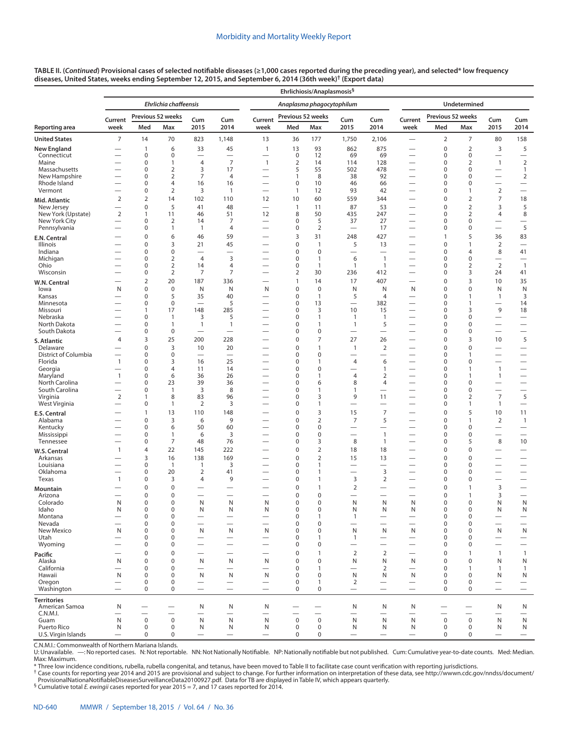| TABLE II. ( <i>Continued</i> ) Provisional cases of selected notifiable diseases (≥1,000 cases reported during the preceding year), and selected* low frequency |  |
|-----------------------------------------------------------------------------------------------------------------------------------------------------------------|--|
| diseases, United States, weeks ending September 12, 2015, and September 6, 2014 (36th week)† (Export data)                                                      |  |

|                           |                          |                               |                                  |                                            |                                            |                                          |                     | Ehrlichiosis/Anaplasmosis <sup>§</sup> |                                                |                               |                                                      |                            |                                         |                                |                                                     |
|---------------------------|--------------------------|-------------------------------|----------------------------------|--------------------------------------------|--------------------------------------------|------------------------------------------|---------------------|----------------------------------------|------------------------------------------------|-------------------------------|------------------------------------------------------|----------------------------|-----------------------------------------|--------------------------------|-----------------------------------------------------|
|                           |                          |                               | <b>Ehrlichia chaffeensis</b>     |                                            |                                            |                                          |                     | Anaplasma phagocytophilum              |                                                |                               |                                                      |                            | Undetermined                            |                                |                                                     |
|                           | Current                  |                               | Previous 52 weeks                | Cum                                        | Cum                                        | Current                                  | Previous 52 weeks   |                                        | Cum                                            | Cum                           | Current                                              | Previous 52 weeks          |                                         | Cum                            | Cum                                                 |
| Reporting area            | week                     | Med                           | Max                              | 2015                                       | 2014                                       | week                                     | Med                 | Max                                    | 2015                                           | 2014                          | week                                                 | Med                        | Max                                     | 2015                           | 2014                                                |
| <b>United States</b>      | 7                        | 14                            | 70                               | 823                                        | 1,148                                      | 13                                       | 36                  | 177                                    | 1,750                                          | 2,106                         | $\overline{\phantom{0}}$                             | $\overline{2}$             | 7                                       | 80                             | 158                                                 |
| <b>New England</b>        |                          | 1                             | 6                                | 33                                         | 45                                         | $\mathbf{1}$                             | 13                  | 93                                     | 862                                            | 875                           |                                                      | $\pmb{0}$                  | $\overline{2}$                          | 3                              | 5                                                   |
| Connecticut<br>Maine      |                          | 0<br>$\mathbf 0$              | 0<br>$\mathbf{1}$                | $\overline{\phantom{0}}$<br>$\overline{4}$ | $\overline{\phantom{0}}$<br>$\overline{7}$ | $\overline{\phantom{0}}$<br>$\mathbf{1}$ | 0<br>$\overline{2}$ | 12<br>14                               | 69<br>114                                      | 69<br>128                     | $\overline{\phantom{0}}$<br>—                        | 0<br>$\mathbf 0$           | 0<br>2                                  | $\mathbf{1}$                   | $\qquad \qquad -$<br>$\overline{2}$                 |
| Massachusetts             |                          | 0                             | $\overline{2}$                   | 3                                          | 17                                         | $\overline{\phantom{0}}$                 | 5                   | 55                                     | 502                                            | 478                           |                                                      | 0                          | 0                                       |                                | $\mathbf{1}$                                        |
| New Hampshire             |                          | $\mathbf 0$                   | $\overline{2}$                   | 7                                          | $\overline{4}$                             |                                          | $\mathbf{1}$        | 8                                      | 38                                             | 92                            | $\overline{\phantom{0}}$                             | 0                          | 0                                       | $\overline{\phantom{0}}$       | $\overline{2}$                                      |
| Rhode Island<br>Vermont   |                          | $\mathbf 0$<br>$\mathbf 0$    | $\overline{4}$<br>$\overline{2}$ | 16<br>3                                    | 16<br>$\mathbf{1}$                         | $\overline{\phantom{0}}$                 | 0<br>$\mathbf{1}$   | 10<br>12                               | 46<br>93                                       | 66<br>42                      |                                                      | $\mathbf 0$<br>$\mathbf 0$ | 0<br>$\mathbf{1}$                       | $\overline{2}$                 | $\qquad \qquad$<br>$\overbrace{\phantom{12322111}}$ |
| Mid. Atlantic             | $\overline{2}$           | $\overline{2}$                | 14                               | 102                                        | 110                                        | 12                                       | 10                  | 60                                     | 559                                            | 344                           |                                                      | $\pmb{0}$                  | $\overline{2}$                          | 7                              | 18                                                  |
| New Jersey                |                          | $\mathbf 0$                   | 5                                | 41                                         | 48                                         | $\overbrace{\phantom{1232211}}$          | $\mathbf{1}$        | 11                                     | 87                                             | 53                            | $\overline{\phantom{0}}$                             | $\mathbf 0$                | 2                                       | 3                              | 5                                                   |
| New York (Upstate)        | $\overline{2}$           | $\mathbf{1}$                  | 11                               | 46                                         | 51                                         | 12                                       | 8                   | 50                                     | 435                                            | 247                           | $\overline{\phantom{0}}$                             | 0                          | 2                                       | 4                              | 8                                                   |
| New York City             |                          | $\mathbf 0$                   | $\overline{2}$                   | 14                                         | 7                                          | —                                        | 0                   | 5                                      | 37                                             | 27                            | —                                                    | $\mathbf 0$                | 0                                       |                                | $\overline{\phantom{0}}$                            |
| Pennsylvania              |                          | 0<br>$\mathbf 0$              | $\mathbf{1}$                     | $\overline{1}$                             | $\overline{4}$                             |                                          | 0                   | $\overline{2}$                         | $\overline{\phantom{0}}$                       | 17                            | $\overline{\phantom{0}}$                             | 0<br>$\overline{1}$        | 0                                       |                                | 5                                                   |
| E.N. Central<br>Illinois  |                          | 0                             | 6<br>3                           | 46<br>21                                   | 59<br>45                                   |                                          | 3<br>0              | 31<br>1                                | 248<br>5                                       | 427<br>13                     | $\overline{\phantom{0}}$                             | 0                          | 5<br>1                                  | 36<br>2                        | 83<br>$\overbrace{\phantom{12322111}}$              |
| Indiana                   |                          | $\mathbf 0$                   | $\mathbf 0$                      | $\overline{\phantom{0}}$                   |                                            |                                          | 0                   | $\mathbf 0$                            |                                                |                               | $\overline{\phantom{0}}$                             | 0                          | 4                                       | 8                              | 41                                                  |
| Michigan                  |                          | $\mathbf 0$                   | $\overline{2}$                   | $\overline{4}$                             | 3                                          |                                          | 0                   | 1                                      | 6                                              | $\mathbf{1}$                  |                                                      | $\mathbf 0$                | 0                                       | —                              |                                                     |
| Ohio                      |                          | $\mathbf 0$                   | $\overline{2}$                   | 14                                         | $\overline{4}$                             |                                          | 0                   | 1                                      | $\mathbf{1}$                                   | $\mathbf{1}$                  | $\overline{\phantom{0}}$                             | $\mathbf 0$                | 2                                       | 2                              | $\overline{1}$                                      |
| Wisconsin                 |                          | $\mathbf 0$                   | $\overline{2}$                   | 7                                          | $\overline{7}$                             |                                          | $\overline{2}$      | 30                                     | 236                                            | 412                           |                                                      | $\mathbf 0$                | 3                                       | 24                             | 41                                                  |
| W.N. Central<br>lowa      | N                        | $\overline{2}$<br>$\mathbf 0$ | 20<br>$\mathbf 0$                | 187<br>N                                   | 336<br>N                                   | N                                        | $\mathbf{1}$<br>0   | 14<br>$\mathbf 0$                      | 17<br>N                                        | 407<br>N                      | N                                                    | $\pmb{0}$<br>0             | 3<br>0                                  | 10<br>N                        | 35<br>N                                             |
| Kansas                    |                          | $\mathbf 0$                   | 5                                | 35                                         | 40                                         |                                          | 0                   | $\mathbf{1}$                           | 5                                              | $\overline{4}$                | $\overline{\phantom{0}}$                             | $\mathbf 0$                | $\mathbf{1}$                            | $\mathbf{1}$                   | 3                                                   |
| Minnesota                 |                          | $\mathbf 0$                   | $\boldsymbol{0}$                 |                                            | 5                                          |                                          | 0                   | 13                                     | $\overline{\phantom{0}}$                       | 382                           |                                                      | $\mathbf 0$                | 1                                       |                                | 14                                                  |
| Missouri                  |                          | $\mathbf{1}$                  | 17                               | 148                                        | 285                                        |                                          | 0                   | 3                                      | 10                                             | 15                            |                                                      | $\mathbf 0$                | 3                                       | 9                              | 18                                                  |
| Nebraska<br>North Dakota  |                          | $\mathbf 0$<br>$\mathbf 0$    | $\mathbf{1}$<br>$\mathbf{1}$     | 3<br>$\overline{1}$                        | 5<br>$\mathbf{1}$                          |                                          | 0<br>0              | 1<br>1                                 | $\mathbf{1}$<br>$\mathbf{1}$                   | $\mathbf{1}$<br>5             |                                                      | $\mathbf 0$<br>$\mathbf 0$ | 0<br>0                                  | —<br>—                         | $\overline{\phantom{m}}$<br>$\qquad \qquad$         |
| South Dakota              |                          | $\mathbf 0$                   | $\mathbf 0$                      | -                                          | $\overline{\phantom{0}}$                   |                                          | 0                   | $\mathbf 0$                            |                                                | $\overline{\phantom{0}}$      |                                                      | $\mathbf 0$                | 0                                       | $\overline{\phantom{0}}$       | $\overline{\phantom{0}}$                            |
| S. Atlantic               | 4                        | 3                             | 25                               | 200                                        | 228                                        |                                          | 0                   | $\overline{7}$                         | 27                                             | 26                            |                                                      | $\mathbf 0$                | 3                                       | 10                             | 5                                                   |
| Delaware                  |                          | $\mathbf 0$                   | 3                                | 10                                         | 20                                         |                                          | 0                   | 1                                      | $\overline{1}$                                 | $\overline{2}$                |                                                      | $\pmb{0}$                  | 0                                       |                                | $\overbrace{\phantom{12322111}}$                    |
| District of Columbia      |                          | $\mathbf 0$                   | $\mathbf 0$                      | $\overline{\phantom{0}}$                   | $\overline{\phantom{0}}$                   |                                          | 0                   | $\mathbf 0$                            |                                                | $\overline{\phantom{0}}$      | $\overline{\phantom{0}}$                             | $\mathbf 0$                | 1                                       |                                | $\qquad \qquad$                                     |
| Florida<br>Georgia        | $\mathbf{1}$<br>—        | $\mathbf 0$<br>$\mathbf 0$    | 3<br>$\overline{4}$              | 16<br>11                                   | 25<br>14                                   |                                          | 0<br>0              | 1<br>$\mathbf 0$                       | $\overline{4}$<br>$\overline{\phantom{0}}$     | 6<br>$\mathbf{1}$             | $\overline{\phantom{0}}$                             | $\mathbf 0$<br>$\mathbf 0$ | 0<br>1                                  | $\mathbf{1}$                   | $\qquad \qquad$<br>$\qquad \qquad$                  |
| Maryland                  | $\overline{1}$           | $\mathbf 0$                   | 6                                | 36                                         | 26                                         |                                          | 0                   | 1                                      | $\overline{4}$                                 | $\overline{2}$                |                                                      | $\mathbf 0$                | $\mathbf{1}$                            | $\mathbf{1}$                   | $\overline{\phantom{0}}$                            |
| North Carolina            |                          | $\mathbf 0$                   | 23                               | 39                                         | 36                                         |                                          | 0                   | 6                                      | 8                                              | $\overline{4}$                |                                                      | $\mathbf 0$                | 0                                       | —                              | $\qquad \qquad$                                     |
| South Carolina            |                          | $\mathbf 0$                   | $\mathbf{1}$                     | $\overline{3}$                             | 8                                          |                                          | 0                   | 1                                      | 1                                              | $\overline{\phantom{0}}$      |                                                      | $\mathbf 0$                | $\mathbf 0$                             |                                |                                                     |
| Virginia<br>West Virginia | $\overline{2}$<br>—      | $\mathbf{1}$<br>$\mathbf 0$   | 8<br>$\mathbf{1}$                | 83<br>$\overline{2}$                       | 96<br>3                                    | —<br>—                                   | 0<br>0              | 3<br>1                                 | 9<br>$\overline{\phantom{0}}$                  | 11                            | $\overline{\phantom{0}}$<br>$\overline{\phantom{0}}$ | $\mathbf 0$<br>$\mathbf 0$ | $\overline{2}$<br>$\mathbf{1}$          | $\overline{7}$<br>$\mathbf{1}$ | 5<br>$\hspace{0.1mm}-\hspace{0.1mm}$                |
| <b>E.S. Central</b>       |                          | $\mathbf{1}$                  | 13                               | 110                                        | 148                                        |                                          | 0                   | 3                                      | 15                                             | $\overline{7}$                | $\overline{\phantom{0}}$                             | $\mathbf 0$                | 5                                       | 10                             | 11                                                  |
| Alabama                   |                          | $\mathbf 0$                   | 3                                | 6                                          | 9                                          |                                          | 0                   | $\overline{2}$                         | $\overline{7}$                                 | 5                             |                                                      | $\pmb{0}$                  | $\mathbf{1}$                            | $\overline{2}$                 | $\mathbf{1}$                                        |
| Kentucky                  |                          | $\mathbf 0$                   | 6                                | 50                                         | 60                                         | —                                        | 0                   | $\mathbf 0$                            | $\overline{\phantom{0}}$                       | $\overline{\phantom{0}}$      | $\overline{\phantom{0}}$                             | $\mathbf 0$                | 0                                       |                                | $\overline{\phantom{0}}$                            |
| Mississippi               | -                        | 0                             | $\mathbf{1}$                     | 6                                          | 3                                          |                                          | 0                   | $\mathbf 0$                            |                                                | $\mathbf{1}$                  |                                                      | $\mathbf 0$                | $\mathbf 0$                             |                                | $\qquad \qquad -$                                   |
| Tennessee                 |                          | $\mathbf 0$<br>$\overline{4}$ | 7                                | 48                                         | 76                                         | —                                        | 0<br>0              | 3<br>$\overline{2}$                    | 8                                              | $\mathbf{1}$                  | $\overline{\phantom{0}}$                             | $\mathbf 0$<br>$\mathbf 0$ | 5                                       | 8                              | 10                                                  |
| W.S. Central<br>Arkansas  | $\overline{1}$           | 3                             | 22<br>16                         | 145<br>138                                 | 222<br>169                                 | $\overline{\phantom{0}}$                 | 0                   | $\overline{2}$                         | 18<br>15                                       | 18<br>13                      | $\overline{\phantom{0}}$<br>$\overline{\phantom{0}}$ | $\mathbf 0$                | 0<br>0                                  | —                              | $\qquad \qquad$                                     |
| Louisiana                 |                          | $\mathbf 0$                   | $\mathbf{1}$                     | $\mathbf{1}$                               | 3                                          |                                          | 0                   | 1                                      |                                                |                               |                                                      | $\pmb{0}$                  | 0                                       |                                |                                                     |
| Oklahoma                  |                          | $\mathbf 0$                   | 20                               | $\overline{2}$                             | 41                                         |                                          | 0                   | 1                                      | $\overline{\phantom{0}}$                       | 3                             | $\overline{\phantom{0}}$                             | $\mathbf 0$                | $\mathbf 0$                             |                                | $\qquad \qquad$                                     |
| Texas                     | $\mathbf{1}$             | 0                             | 3                                | 4                                          | 9                                          |                                          | 0                   | 1                                      | 3                                              | 2                             | $\overline{\phantom{0}}$                             | $\mathbf 0$                | 0                                       | $\overline{\phantom{0}}$       |                                                     |
| Mountain                  |                          | $\Omega$                      | $\mathbf 0$                      |                                            |                                            |                                          | $\mathbf 0$         | 1                                      | $\overline{2}$                                 | -                             |                                                      | $\mathbf 0$                | $\mathbf{1}$                            | 3                              | $\overline{\phantom{0}}$                            |
| Arizona<br>Colorado       | —<br>N                   | $\mathbf 0$<br>0              | $\mathbf 0$<br>$\Omega$          | $\overline{\phantom{0}}$<br>N              | $\overline{\phantom{0}}$<br>N              | $\overline{\phantom{0}}$<br>N            | 0<br>0              | 0<br>0                                 | $\overline{\phantom{0}}$<br>N                  | $\overline{\phantom{0}}$<br>N | $\overline{\phantom{0}}$<br>N                        | $\mathbf 0$<br>0           | $\mathbf{1}$<br>0                       | 3<br>N                         | $\overline{\phantom{0}}$<br>N                       |
| Idaho                     | N                        | $\mathbf 0$                   | $\mathbf 0$                      | N                                          | N                                          | N                                        | $\pmb{0}$           | $\mathbf 0$                            | N                                              | Ν                             | N                                                    | $\mathbf 0$                | $\mathsf 0$                             | N                              | N                                                   |
| Montana                   |                          | $\mathbf 0$                   | $\mathbf 0$                      |                                            |                                            |                                          | 0                   | 1                                      | $\mathbf{1}$                                   |                               |                                                      | $\mathbf 0$                | 0                                       |                                | $\overline{\phantom{m}}$                            |
| Nevada<br>New Mexico      | N                        | $\mathbf 0$<br>$\mathbf 0$    | $\mathbf 0$<br>$\mathbf 0$       | N                                          | N                                          | N                                        | 0<br>0              | $\mathbf 0$<br>$\mathbf 0$             | $\overline{\phantom{0}}$<br>$\mathsf{N}$       | ${\sf N}$                     | N                                                    | $\mathbf 0$<br>$\mathbf 0$ | $\mathbf 0$<br>$\mathbf 0$              | N                              | $\overline{\phantom{0}}$<br>$\mathsf{N}$            |
| Utah                      |                          | $\mathbf 0$                   | $\mathbf 0$                      |                                            |                                            |                                          | 0                   | 1                                      | $\mathbf{1}$                                   |                               |                                                      | $\mathbf 0$                | $\mathbf 0$                             | $\overline{\phantom{0}}$       | $\qquad \qquad -$                                   |
| Wyoming                   | $\overline{\phantom{0}}$ | $\mathbf 0$                   | $\mathbf 0$                      |                                            |                                            |                                          | 0                   | $\mathbf 0$                            | $\overline{\phantom{0}}$                       |                               | $\qquad \qquad$                                      | $\mathbf 0$                | 0                                       |                                | $\qquad \qquad -$                                   |
| Pacific                   |                          | $\mathbf 0$                   | $\mathbf 0$                      | $\overline{\phantom{0}}$                   | $\overline{\phantom{0}}$                   | $\overline{\phantom{0}}$                 | $\mathbf 0$         | $\mathbf{1}$                           | $\overline{2}$                                 | $\overline{2}$                | $\overline{\phantom{0}}$                             | $\mathbf 0$                | $\mathbf{1}$                            | $\mathbf{1}$                   | $\mathbf{1}$                                        |
| Alaska                    | N                        | $\mathbf 0$                   | $\mathbf 0$                      | N                                          | N                                          | N                                        | 0                   | $\mathbf 0$                            | ${\sf N}$                                      | N                             | N                                                    | $\mathbf 0$                | $\mathbf 0$                             | N                              | ${\sf N}$                                           |
| California<br>Hawaii      | $\mathsf{N}$             | $\mathbf 0$<br>$\mathbf 0$    | $\mathbf 0$<br>$\mathbf 0$       | N                                          | $\overline{\phantom{0}}$<br>N              | N                                        | 0<br>0              | $\mathbf{1}$<br>$\mathbf 0$            | $\overbrace{\phantom{123221111}}$<br>${\sf N}$ | 2<br>N                        | N                                                    | $\mathbf 0$<br>$\mathbf 0$ | $\mathbf{1}$<br>$\mathbf 0$             | 1<br>N                         | $\mathbf{1}$                                        |
| Oregon                    |                          | $\mathbf 0$                   | $\mathbf 0$                      |                                            |                                            |                                          | 0                   | $\mathbf{1}$                           | $\overline{2}$                                 |                               | $\qquad \qquad$                                      | $\mathbf 0$                | $\mathbf 0$                             | —                              | N<br>$\qquad \qquad -$                              |
| Washington                | $\overline{\phantom{0}}$ | $\mathbf 0$                   | $\mathbf 0$                      | $\overline{\phantom{0}}$                   | $\overline{\phantom{0}}$                   | $\overline{\phantom{0}}$                 | 0                   | 0                                      | $\overbrace{\phantom{12322111}}$               |                               | $\overline{\phantom{0}}$                             | $\mathbf 0$                | $\mathbf 0$                             | $\overline{\phantom{0}}$       | $\overline{\phantom{0}}$                            |
| <b>Territories</b>        |                          |                               |                                  |                                            |                                            |                                          |                     |                                        |                                                |                               |                                                      |                            |                                         |                                |                                                     |
| American Samoa            | N                        |                               |                                  | N                                          | N                                          | N                                        |                     |                                        | N                                              | N                             | N                                                    |                            |                                         | N                              | N                                                   |
| C.N.M.I.<br>Guam          | $\mathsf{N}$             | $\boldsymbol{0}$              | $\boldsymbol{0}$                 | N                                          | N                                          | N                                        | $\mathbf 0$         | $\pmb{0}$                              | $\overbrace{\phantom{123221111}}$<br>N         | N                             | $\qquad \qquad$<br>N                                 | $\mathbf 0$                | $\overline{\phantom{0}}$<br>$\mathbf 0$ | N                              | $\hspace{0.1mm}-\hspace{0.1mm}$<br>N                |
| Puerto Rico               | N                        | $\mathbf 0$                   | $\mathbf 0$                      | N                                          | N                                          | N                                        | $\mathbf 0$         | 0                                      | N                                              | N                             | N                                                    | $\mathbf 0$                | $\mathbf 0$                             | N                              | N                                                   |
| U.S. Virgin Islands       |                          | 0                             | 0                                | $\overline{\phantom{0}}$                   | $\overline{\phantom{0}}$                   | $\overbrace{\phantom{1232211}}$          | 0                   | 0                                      | $\overbrace{\phantom{12322111}}$               |                               | $\overline{\phantom{0}}$                             | 0                          | $\mathbf 0$                             | $\overline{\phantom{0}}$       | $\qquad \qquad -$                                   |

C.N.M.I.: Commonwealth of Northern Mariana Islands.

U: Unavailable. —: No reported cases. N: Not reportable. NN: Not Nationally Notifiable. NP: Nationally notifiable but not published. Cum: Cumulative year-to-date counts. Med: Median. Max: Maximum.<br>\* Three low incidence conditions, rubella, rubella congenital, and tetanus, have been moved to Table II to facilitate case count verification with reporting jurisdictions.

† Case counts for reporting year 2014 and 2015 are provisional and subject to change. For further information on interpretation of these data, see [http://wwwn.cdc.gov/nndss/document/](http://wwwn.cdc.gov/nndss/document/ProvisionalNationaNotifiableDiseasesSurveillanceData20100927.pdf) [ProvisionalNationaNotifiableDiseasesSurveillanceData20100927.pdf](http://wwwn.cdc.gov/nndss/document/ProvisionalNationaNotifiableDiseasesSurveillanceData20100927.pdf). Data for TB are displayed in Table IV, which appears quarterly.<br><sup>§</sup> Cumulative total *E. ewingii* cases reported for year 2015 = 7, and 17 cases reported fo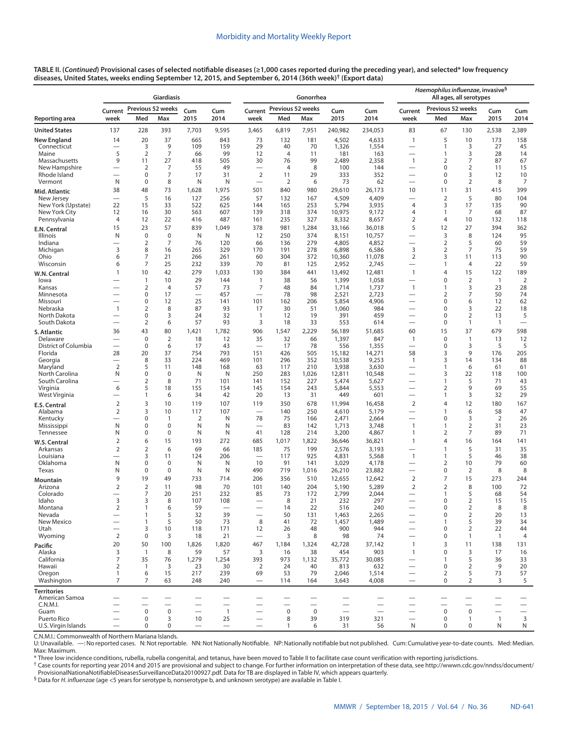|                               | <b>Giardiasis</b>                          |                                         |                                         |                          |                                            |                                         |                                       | Gonorrhea                               |                                                      |                          | Haemophilus influenzae, invasive <sup>§</sup><br>All ages, all serotypes |                                         |                                         |                          |                                      |
|-------------------------------|--------------------------------------------|-----------------------------------------|-----------------------------------------|--------------------------|--------------------------------------------|-----------------------------------------|---------------------------------------|-----------------------------------------|------------------------------------------------------|--------------------------|--------------------------------------------------------------------------|-----------------------------------------|-----------------------------------------|--------------------------|--------------------------------------|
|                               | Previous 52 weeks<br>Cum<br>Cum<br>Current |                                         |                                         |                          |                                            | Current                                 | Previous 52 weeks                     |                                         | Cum                                                  | Cum                      | Current                                                                  | Previous 52 weeks                       |                                         | Cum                      | Cum                                  |
| Reporting area                | week                                       | Med                                     | Max                                     | 2015                     | 2014                                       | week                                    | Med                                   | Max                                     | 2015                                                 | 2014                     | week                                                                     | Med                                     | Max                                     | 2015                     | 2014                                 |
| <b>United States</b>          | 137                                        | 228                                     | 393                                     | 7,703                    | 9,595                                      | 3,465                                   | 6,819                                 | 7,951                                   | 240,982                                              | 234,053                  | 83                                                                       | 67                                      | 130                                     | 2,538                    | 2,389                                |
| <b>New England</b>            | 14                                         | 20                                      | 37                                      | 665                      | 843                                        | 73                                      | 132                                   | 181                                     | 4,502                                                | 4,633                    | $\mathbf{1}$                                                             | 5                                       | 10                                      | 173                      | 158                                  |
| Connecticut<br>Maine          | 5                                          | 3<br>$\overline{2}$                     | 9<br>$\overline{7}$                     | 109<br>66                | 159<br>99                                  | 29<br>12                                | 40<br>$\overline{4}$                  | 70<br>11                                | 1,326<br>181                                         | 1,554<br>163             | —<br>$\overline{\phantom{0}}$                                            | $\overline{1}$<br>$\overline{1}$        | 3<br>3                                  | 27<br>28                 | 45<br>14                             |
| Massachusetts                 | 9                                          | 11                                      | 27                                      | 418                      | 505                                        | 30                                      | 76                                    | 99                                      | 2,489                                                | 2,358                    | $\mathbf{1}$                                                             | 2                                       | 7                                       | 87                       | 67                                   |
| New Hampshire<br>Rhode Island |                                            | 2<br>$\mathbf 0$                        | 7<br>7                                  | 55<br>17                 | 49<br>31                                   | $\overline{\phantom{0}}$<br>$\mathbf 2$ | $\overline{4}$<br>11                  | 8                                       | 100<br>333                                           | 144<br>352               | -<br>—                                                                   | $\mathbf 0$<br>$\mathbf 0$              | $\overline{2}$<br>3                     | 11<br>12                 | 15                                   |
| Vermont                       | N                                          | $\mathbf 0$                             | 8                                       | N                        | N                                          | $\overline{\phantom{0}}$                | 2                                     | 29<br>6                                 | 73                                                   | 62                       | $\overline{\phantom{0}}$                                                 | $\mathbf 0$                             | $\overline{2}$                          | 8                        | 10<br>7                              |
| Mid. Atlantic                 | 38                                         | 48                                      | 73                                      | 1,628                    | 1,975                                      | 501                                     | 840                                   | 980                                     | 29,610                                               | 26,173                   | 10                                                                       | 11                                      | 31                                      | 415                      | 399                                  |
| New Jersey                    |                                            | 5                                       | 16                                      | 127                      | 256                                        | 57                                      | 132                                   | 167                                     | 4,509                                                | 4,409                    | $\overline{\phantom{0}}$                                                 | $\mathbf 2$                             | 5                                       | 80                       | 104                                  |
| New York (Upstate)            | 22                                         | 15<br>16                                | 33                                      | 522                      | 625                                        | 144<br>139                              | 165                                   | 253                                     | 5,794                                                | 3,935                    | $\overline{4}$<br>$\overline{4}$                                         | 3<br>$\mathbf{1}$                       | 17                                      | 135<br>68                | 90                                   |
| New York City<br>Pennsylvania | 12<br>4                                    | 12                                      | 30<br>22                                | 563<br>416               | 607<br>487                                 | 161                                     | 318<br>235                            | 374<br>327                              | 10,975<br>8,332                                      | 9,172<br>8,657           | $\overline{2}$                                                           | 4                                       | 7<br>10                                 | 132                      | 87<br>118                            |
| E.N. Central                  | 15                                         | 23                                      | 57                                      | 839                      | 1,049                                      | 378                                     | 981                                   | 1,284                                   | 33,166                                               | 36,018                   | 5                                                                        | 12                                      | 27                                      | 394                      | 362                                  |
| Illinois                      | N                                          | $\mathbf 0$                             | $\mathbf 0$                             | N                        | N                                          | 12                                      | 250                                   | 374                                     | 8,151                                                | 10,757                   | $\overline{\phantom{0}}$                                                 | 3                                       | 8                                       | 124                      | 95                                   |
| Indiana                       |                                            | 2                                       | 7                                       | 76                       | 120                                        | 66                                      | 136                                   | 279                                     | 4,805                                                | 4,852                    | $\overline{\phantom{0}}$                                                 | $\overline{2}$                          | 5                                       | 60                       | 59                                   |
| Michigan<br>Ohio              | 3<br>6                                     | 8<br>7                                  | 16<br>21                                | 265<br>266               | 329<br>261                                 | 170<br>60                               | 191<br>304                            | 278<br>372                              | 6,898<br>10,360                                      | 6,586<br>11,078          | 3<br>2                                                                   | 2<br>3                                  | 7<br>11                                 | 75<br>113                | 59<br>90                             |
| Wisconsin                     | 6                                          | $\overline{7}$                          | 25                                      | 232                      | 339                                        | 70                                      | 81                                    | 125                                     | 2,952                                                | 2,745                    | $\overline{\phantom{0}}$                                                 | $\overline{1}$                          | 4                                       | 22                       | 59                                   |
| W.N. Central                  | $\mathbf{1}$                               | 10                                      | 42                                      | 279                      | 1,033                                      | 130                                     | 384                                   | 441                                     | 13,492                                               | 12,481                   | $\mathbf{1}$                                                             | 4                                       | 15                                      | 122                      | 189                                  |
| lowa                          |                                            | $\mathbf{1}$                            | 10                                      | 29                       | 144                                        | 1                                       | 38                                    | 56                                      | 1,399                                                | 1,058                    | $\overline{\phantom{0}}$                                                 | 0                                       | $\overline{2}$                          | $\overline{1}$           | $\overline{2}$                       |
| Kansas<br>Minnesota           |                                            | 2<br>$\pmb{0}$                          | $\overline{4}$<br>17                    | 57                       | 73<br>457                                  | 7<br>$\overline{\phantom{0}}$           | 48<br>78                              | 84<br>98                                | 1,714<br>2,521                                       | 1,737<br>2,723           | $\mathbf{1}$<br>$\overline{\phantom{0}}$                                 | 1<br>$\overline{2}$                     | 3<br>7                                  | 23<br>50                 | 28<br>74                             |
| Missouri                      |                                            | $\mathbf 0$                             | 12                                      | 25                       | 141                                        | 101                                     | 162                                   | 206                                     | 5,854                                                | 4,906                    | —                                                                        | $\mathbf 0$                             | 6                                       | 12                       | 62                                   |
| Nebraska                      | $\mathbf{1}$                               | 2                                       | 8                                       | 87                       | 93                                         | 17                                      | 30                                    | 51                                      | 1,060                                                | 984                      | —                                                                        | 0                                       | 3                                       | 22                       | 18                                   |
| North Dakota<br>South Dakota  |                                            | $\mathbf 0$<br>2                        | 3<br>6                                  | 24<br>57                 | 32<br>93                                   | $\mathbf{1}$<br>3                       | 12<br>18                              | 19<br>33                                | 391<br>553                                           | 459<br>614               | $\overline{\phantom{0}}$<br>$\overline{\phantom{0}}$                     | $\mathbf 0$<br>0                        | 2<br>$\mathbf{1}$                       | 13<br>$\mathbf{1}$       | 5<br>$\overline{\phantom{0}}$        |
| S. Atlantic                   | 36                                         | 43                                      | 80                                      | 1,421                    | 1,782                                      | 906                                     | 1,547                                 | 2,229                                   | 56,189                                               | 51,685                   | 60                                                                       | 15                                      | 37                                      | 679                      | 598                                  |
| Delaware                      |                                            | $\pmb{0}$                               | $\overline{2}$                          | 18                       | 12                                         | 35                                      | 32                                    | 66                                      | 1,397                                                | 847                      | $\mathbf{1}$                                                             | $\pmb{0}$                               | $\mathbf{1}$                            | 13                       | 12                                   |
| District of Columbia          | $\overline{\phantom{0}}$                   | $\mathbf 0$                             | 6                                       | 17                       | 43                                         | $\overline{\phantom{0}}$                | 17                                    | 78                                      | 556                                                  | 1,355                    | —                                                                        | $\mathbf 0$                             | 3                                       | 5                        | 5                                    |
| Florida                       | 28                                         | 20<br>8                                 | 37<br>33                                | 754<br>224               | 793                                        | 151<br>101                              | 426                                   | 505                                     | 15,182                                               | 14,271                   | 58                                                                       | 3<br>3                                  | 9<br>14                                 | 176                      | 205<br>88                            |
| Georgia<br>Maryland           | $\overline{2}$                             | 5                                       | 11                                      | 148                      | 469<br>168                                 | 63                                      | 296<br>117                            | 352<br>210                              | 10,538<br>3,938                                      | 9,253<br>3,630           | $\mathbf{1}$<br>$\overline{\phantom{0}}$                                 | $\overline{1}$                          | 6                                       | 134<br>61                | 61                                   |
| North Carolina                | N                                          | $\mathbf 0$                             | $\mathbf 0$                             | N                        | N                                          | 250                                     | 283                                   | 1,026                                   | 12,811                                               | 10,548                   |                                                                          | 3                                       | 22                                      | 118                      | 100                                  |
| South Carolina                |                                            | 2                                       | 8                                       | 71                       | 101                                        | 141                                     | 152                                   | 227                                     | 5,474                                                | 5,627                    | $\overline{\phantom{0}}$                                                 | $\overline{1}$                          | 5                                       | 71                       | 43                                   |
| Virginia<br>West Virginia     | 6                                          | 5<br>$\mathbf{1}$                       | 18<br>6                                 | 155<br>34                | 154<br>42                                  | 145<br>20                               | 154<br>13                             | 243<br>31                               | 5,844<br>449                                         | 5,553<br>601             | —                                                                        | $\overline{2}$<br>$\mathbf{1}$          | 9<br>3                                  | 69<br>32                 | 55<br>29                             |
| <b>E.S. Central</b>           | $\overline{2}$                             | 3                                       | 10                                      | 119                      | 107                                        | 119                                     | 350                                   | 678                                     | 11,994                                               | 16,458                   | $\overline{2}$                                                           | $\overline{4}$                          | 12                                      | 180                      | 167                                  |
| Alabama                       | $\overline{2}$                             | 3                                       | 10                                      | 117                      | 107                                        | $\overline{\phantom{0}}$                | 140                                   | 250                                     | 4,610                                                | 5,179                    | $\overline{\phantom{0}}$                                                 | $\overline{1}$                          | 6                                       | 58                       | 47                                   |
| Kentucky                      |                                            | $\mathbf 0$                             | $\mathbf{1}$                            | 2                        | N                                          | 78                                      | 75                                    | 166                                     | 2,471                                                | 2,664                    | $\overline{\phantom{0}}$                                                 | 0                                       | 3                                       | 2                        | 26                                   |
| Mississippi<br>Tennessee      | N<br>N                                     | $\mathbf 0$<br>$\mathbf 0$              | $\mathbf 0$<br>$\mathbf 0$              | N<br>N                   | N<br>N                                     | 41                                      | 83<br>128                             | 142<br>214                              | 1,713<br>3,200                                       | 3,748<br>4,867           | $\mathbf{1}$<br>$\mathbf{1}$                                             | $\mathbf{1}$<br>$\overline{2}$          | $\overline{2}$<br>7                     | 31<br>89                 | 23<br>71                             |
| W.S. Central                  | $\overline{2}$                             | 6                                       | 15                                      | 193                      | 272                                        | 685                                     | 1,017                                 | 1,822                                   | 36,646                                               | 36,821                   | $\mathbf{1}$                                                             | $\overline{4}$                          | 16                                      | 164                      | 141                                  |
| Arkansas                      | 2                                          | $\overline{2}$                          | 6                                       | 69                       | 66                                         | 185                                     | 75                                    | 199                                     | 2,576                                                | 3,193                    | —                                                                        | $\overline{1}$                          | 5                                       | 31                       | 35                                   |
| Louisiana                     |                                            | 3                                       | 11                                      | 124                      | 206                                        | $\overline{\phantom{0}}$                | 117                                   | 925                                     | 4,831                                                | 5,568                    | $\mathbf{1}$                                                             | $\mathbf{1}$                            | 5                                       | 46                       | 38                                   |
| Oklahoma<br>Texas             | N<br>N                                     | $\mathbf 0$<br>$\pmb{0}$                | $\mathbf 0$<br>$\pmb{0}$                | N<br>N                   | N<br>N                                     | 10<br>490                               | 91<br>719                             | 141<br>1,016                            | 3,029<br>26,210                                      | 4,178<br>23,882          | —                                                                        | $\overline{2}$<br>$\pmb{0}$             | 10<br>2                                 | 79<br>8                  | 60<br>8                              |
| Mountain                      | 9                                          | 19                                      | 49                                      | 733                      | 714                                        | 206                                     | 356                                   | 510                                     | 12,655                                               | 12,642                   | $\overline{2}$                                                           | 7                                       | 15                                      | 273                      | 244                                  |
| Arizona                       | $\overline{2}$                             | $\overline{2}$                          | 11                                      | 98                       | 70                                         | 101                                     | 140                                   | 204                                     | 5,190                                                | 5,289                    | $\overline{2}$                                                           | $\overline{2}$                          | 8                                       | 100                      | 72                                   |
| Colorado                      | $\overline{\phantom{0}}$                   | $\overline{7}$                          | 20                                      | 251                      | 232                                        | 85                                      | 73                                    | 172                                     | 2,799                                                | 2,044                    | $\overline{\phantom{0}}$                                                 | $\overline{1}$                          | 5                                       | 68                       | 54                                   |
| Idaho<br>Montana              | 3<br>$\overline{2}$                        | 3<br>$\mathbf{1}$                       | 8<br>6                                  | 107<br>59                | 108                                        |                                         | 8<br>14                               | 21<br>22                                | 232<br>516                                           | 297<br>240               |                                                                          | 0<br>$\mathbf 0$                        | 2<br>2                                  | 15<br>8                  | 15<br>8                              |
| Nevada                        | $\overline{\phantom{0}}$                   | $\mathbf{1}$                            | 5                                       | 32                       | 39                                         | $\overline{\phantom{0}}$                | 50                                    | 131                                     | 1,463                                                | 2,265                    |                                                                          | $\mathbf 0$                             | $\overline{2}$                          | 20                       | 13                                   |
| New Mexico                    | $\overline{\phantom{0}}$                   | $\mathbf{1}$                            | 5                                       | 50                       | 73                                         | 8                                       | 41                                    | 72                                      | 1,457                                                | 1,489                    |                                                                          | $\mathbf{1}$                            | 5                                       | 39                       | 34                                   |
| Utah<br>Wyoming               | $\overline{2}$                             | 3<br>$\mathbf 0$                        | 10<br>3                                 | 118<br>18                | 171<br>21                                  | 12                                      | 26<br>3                               | 48<br>8                                 | 900<br>98                                            | 944<br>74                | $\overbrace{\phantom{123221111}}$                                        | $\mathbf 0$<br>0                        | $\overline{2}$<br>$\mathbf{1}$          | 22<br>$\overline{1}$     | 44<br>$\overline{4}$                 |
| Pacific                       | 20                                         | 50                                      | 100                                     | 1,826                    | 1,820                                      | 467                                     | 1,184                                 | 1,324                                   | 42,728                                               | 37,142                   | $\overline{1}$                                                           | 3                                       | 11                                      | 138                      | 131                                  |
| Alaska                        | 3                                          | $\overline{1}$                          | 8                                       | 59                       | 57                                         | 3                                       | 16                                    | 38                                      | 454                                                  | 903                      | $\mathbf{1}$                                                             | $\mathbf 0$                             | 3                                       | 17                       | 16                                   |
| California                    | 7                                          | 35                                      | 76                                      | 1,279                    | 1,254                                      | 393                                     | 973                                   | 1,132                                   | 35,772                                               | 30,085                   |                                                                          | $\mathbf{1}$                            | 5                                       | 36                       | 33                                   |
| Hawaii<br>Oregon              | $\overline{2}$<br>1                        | $\mathbf{1}$<br>6                       | 3<br>15                                 | 23<br>217                | 30<br>239                                  | 2<br>69                                 | 24<br>53                              | 40<br>79                                | 813<br>2,046                                         | 632<br>1,514             | $\overline{\phantom{0}}$                                                 | $\mathbf 0$<br>$\overline{2}$           | 2<br>5                                  | 9<br>73                  | 20<br>57                             |
| Washington                    | $\overline{7}$                             | $\overline{7}$                          | 63                                      | 248                      | 240                                        | $\overline{\phantom{0}}$                | 114                                   | 164                                     | 3,643                                                | 4,008                    | $\overline{\phantom{0}}$                                                 | $\mathbf 0$                             | $\overline{2}$                          | 3                        | 5                                    |
| <b>Territories</b>            |                                            |                                         |                                         |                          |                                            |                                         |                                       |                                         |                                                      |                          |                                                                          |                                         |                                         |                          |                                      |
| American Samoa                |                                            |                                         |                                         |                          |                                            |                                         | —                                     |                                         |                                                      |                          |                                                                          |                                         |                                         |                          |                                      |
| C.N.M.I.                      |                                            | $\overline{\phantom{0}}$<br>$\mathbf 0$ | $\overline{\phantom{0}}$<br>$\mathbf 0$ | $\overline{\phantom{0}}$ | $\overline{\phantom{0}}$<br>$\overline{1}$ | $\overline{\phantom{0}}$                | $\overline{\phantom{0}}$<br>$\pmb{0}$ | $\overline{\phantom{0}}$<br>$\mathbf 0$ | $\overline{\phantom{0}}$<br>$\overline{\phantom{0}}$ | $\overline{\phantom{0}}$ | $\overline{\phantom{0}}$<br>$\overline{\phantom{0}}$                     | $\overline{\phantom{0}}$<br>$\mathbf 0$ | $\overline{\phantom{0}}$<br>$\mathbf 0$ | $\overline{\phantom{0}}$ | $\overline{\phantom{m}}$<br>$\equiv$ |
| Guam<br>Puerto Rico           |                                            | $\pmb{0}$                               | 3                                       | 10                       | 25                                         | $\overbrace{\phantom{123221111}}$       | 8                                     | 39                                      | 319                                                  | 321                      | $\overline{\phantom{0}}$                                                 | 0                                       | $\mathbf{1}$                            | $\mathbf{1}$             | 3                                    |
| U.S. Virgin Islands           |                                            | $\pmb{0}$                               | 0                                       | $\overline{\phantom{0}}$ |                                            | $\overbrace{\phantom{1232211}}$         | $\mathbf{1}$                          | 6                                       | 31                                                   | 56                       | N                                                                        | 0                                       | $\mathbf 0$                             | N                        | N                                    |

C.N.M.I.: Commonwealth of Northern Mariana Islands.

U: Unavailable. —: No reported cases. N: Not reportable. NN: Not Nationally Notifiable. NP: Nationally notifiable but not published. Cum: Cumulative year-to-date counts. Med: Median. Max: Maximum.

\* Three low incidence conditions, rubella, rubella congenital, and tetanus, have been moved to Table II to facilitate case count verification with reporting jurisdictions.

† Case counts for reporting year 2014 and 2015 are provisional and subject to change. For further information on interpretation of these data, see [http://wwwn.cdc.gov/nndss/document/](http://wwwn.cdc.gov/nndss/document/ProvisionalNationaNotifiableDiseasesSurveillanceData20100927.pdf) [ProvisionalNationaNotifiableDiseasesSurveillanceData20100927.pdf](http://wwwn.cdc.gov/nndss/document/ProvisionalNationaNotifiableDiseasesSurveillanceData20100927.pdf). Data for TB are displayed in Table IV, which appears quarterly.<br><sup>§</sup> Data for *H. influenzae* (age <5 years for serotype b, nonserotype b, and unknown seroty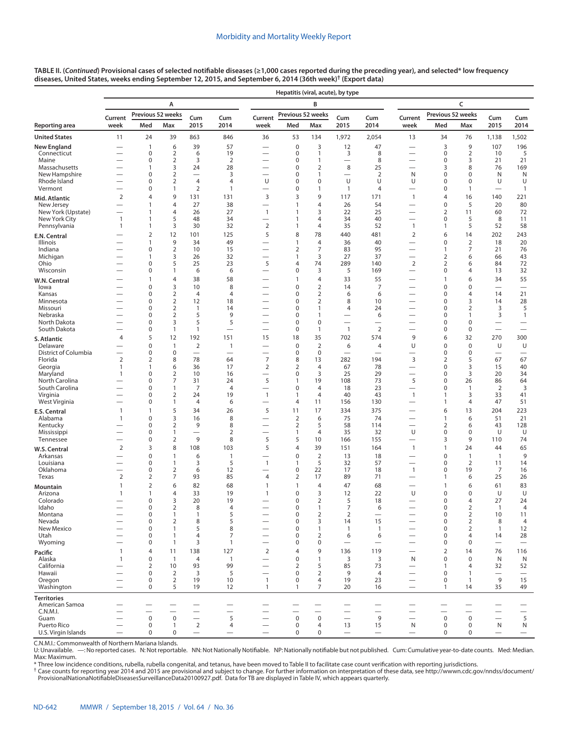|                                  |                                |                                |                                  |                                            |                                          |                                            | Hepatitis (viral, acute), by type |                                  |                               |                               |                                                      |                                  |                                  |                               |                                          |
|----------------------------------|--------------------------------|--------------------------------|----------------------------------|--------------------------------------------|------------------------------------------|--------------------------------------------|-----------------------------------|----------------------------------|-------------------------------|-------------------------------|------------------------------------------------------|----------------------------------|----------------------------------|-------------------------------|------------------------------------------|
|                                  |                                |                                | А                                |                                            |                                          |                                            |                                   | B                                |                               |                               |                                                      |                                  | C                                |                               |                                          |
|                                  | Current                        |                                | Previous 52 weeks                | Cum                                        | Cum                                      | Current                                    | Previous 52 weeks                 |                                  | Cum                           | Cum                           | Current                                              | Previous 52 weeks                |                                  | Cum                           | Cum                                      |
| Reporting area                   | week                           | Med                            | Max                              | 2015                                       | 2014                                     | week                                       | Med                               | Max                              | 2015                          | 2014                          | week                                                 | Med                              | Max                              | 2015                          | 2014                                     |
| <b>United States</b>             | 11                             | 24                             | 39                               | 863                                        | 846                                      | 36                                         | 53                                | 134                              | 1,972                         | 2,054                         | 13                                                   | 34                               | 76                               | 1,138                         | 1,502                                    |
| New England                      |                                | $\mathbf{1}$                   | 6                                | 39                                         | 57                                       |                                            | $\mathbf 0$                       | 3                                | 12                            | 47                            |                                                      | 3                                | 9                                | 107                           | 196                                      |
| Connecticut<br>Maine             |                                | 0<br>0                         | $\overline{2}$<br>2              | 6<br>3                                     | 19<br>$\overline{2}$                     |                                            | 0<br>0                            | $\mathbf{1}$<br>$\mathbf{1}$     | 3<br>$\overline{\phantom{0}}$ | 8<br>8                        |                                                      | $\pmb{0}$<br>$\mathbf 0$         | 2<br>3                           | 10<br>21                      | 5<br>21                                  |
| Massachusetts                    | —                              | 1                              | 3                                | 24                                         | 28                                       | —                                          | 0                                 | $\overline{2}$                   | 8                             | 25                            |                                                      | 3                                | 8                                | 76                            | 169                                      |
| New Hampshire<br>Rhode Island    |                                | 0<br>0                         | $\overline{2}$<br>$\overline{2}$ | $\overline{\phantom{0}}$<br>$\overline{4}$ | 3<br>$\overline{4}$                      | -<br>U                                     | 0<br>0                            | $\mathbf{1}$<br>$\mathbf 0$      | $\overline{\phantom{0}}$<br>U | $\overline{2}$<br>U           | N<br>U                                               | $\pmb{0}$<br>$\mathbf 0$         | $\mathbf 0$<br>0                 | N<br>U                        | N<br>U                                   |
| Vermont                          |                                | 0                              | $\mathbf{1}$                     | $\overline{2}$                             | 1                                        |                                            | 0                                 | $\mathbf{1}$                     | $\mathbf{1}$                  | $\overline{4}$                | $\overline{\phantom{0}}$                             | $\pmb{0}$                        | $\mathbf{1}$                     | $\overline{\phantom{0}}$      | $\mathbf{1}$                             |
| Mid. Atlantic                    | $\overline{2}$                 | 4                              | 9                                | 131                                        | 131                                      | 3                                          | 3                                 | 9                                | 117                           | 171                           | $\mathbf{1}$                                         | $\overline{4}$                   | 16                               | 140                           | 221                                      |
| New Jersey<br>New York (Upstate) | $\overline{\phantom{0}}$       | 1<br>$\mathbf{1}$              | $\overline{4}$<br>$\overline{4}$ | 27<br>26                                   | 38<br>27                                 | $\mathbf{1}$                               | 1<br>1                            | $\overline{4}$<br>3              | 26<br>22                      | 54<br>25                      |                                                      | $\mathbf 0$<br>$\overline{2}$    | 5<br>11                          | 20<br>60                      | 80<br>72                                 |
| New York City                    | $\mathbf{1}$                   | $\mathbf{1}$                   | 5                                | 48                                         | 34                                       | $\overline{\phantom{0}}$                   | 1                                 | $\overline{4}$                   | 34                            | 40                            | $\overline{\phantom{0}}$                             | $\pmb{0}$                        | 5                                | 8                             | 11                                       |
| Pennsylvania                     | $\mathbf{1}$                   | $\mathbf{1}$<br>$\overline{2}$ | 3<br>12                          | 30<br>101                                  | 32<br>125                                | $\mathbf 2$<br>5                           | 1<br>8                            | $\overline{4}$<br>78             | 35<br>440                     | 52<br>481                     | $\mathbf{1}$<br>$\overline{2}$                       | 1<br>6                           | 5<br>14                          | 52<br>202                     | 58<br>243                                |
| E.N. Central<br>Illinois         |                                | $\mathbf{1}$                   | 9                                | 34                                         | 49                                       |                                            | $\mathbf{1}$                      | $\overline{4}$                   | 36                            | 40                            |                                                      | $\pmb{0}$                        | $\overline{2}$                   | 18                            | 20                                       |
| Indiana                          |                                | 0                              | $\overline{2}$                   | 10                                         | 15                                       |                                            | $\overline{2}$                    | $\overline{7}$                   | 83                            | 95                            | $\overline{\phantom{0}}$                             | 1                                | 7                                | 21                            | 76                                       |
| Michigan<br>Ohio                 |                                | 1<br>0                         | 3<br>5                           | 26<br>25                                   | 32<br>23                                 | $\overline{\phantom{0}}$<br>5              | 1<br>4                            | 3<br>74                          | 27<br>289                     | 37<br>140                     | $\overline{\phantom{0}}$<br>$\overline{2}$           | $\overline{2}$<br>$\overline{2}$ | 6<br>6                           | 66<br>84                      | 43<br>72                                 |
| Wisconsin                        |                                | 0                              | $\mathbf{1}$                     | 6                                          | 6                                        | -                                          | 0                                 | 3                                | 5                             | 169                           | —                                                    | $\pmb{0}$                        | 4                                | 13                            | 32                                       |
| W.N. Central                     |                                | 1                              | $\overline{4}$                   | 38                                         | 58                                       |                                            | 1                                 | $\overline{4}$                   | 33                            | 55                            | $\overline{\phantom{0}}$                             | $\mathbf{1}$                     | 6                                | 34                            | 55                                       |
| lowa<br>Kansas                   |                                | 0<br>0                         | 3<br>$\overline{2}$              | 10<br>$\overline{4}$                       | 8<br>$\overline{4}$                      | -                                          | $\mathbf 0$<br>0                  | $\overline{2}$<br>$\overline{2}$ | 14<br>6                       | $\overline{7}$<br>6           | -                                                    | $\mathbf 0$<br>$\mathbf 0$       | $\mathbf 0$<br>$\overline{4}$    | —<br>14                       | 21                                       |
| Minnesota                        |                                | 0                              | $\overline{2}$                   | 12                                         | 18                                       |                                            | 0                                 | $\overline{2}$                   | 8                             | 10                            |                                                      | $\mathbf 0$                      | 3                                | 14                            | 28                                       |
| Missouri                         |                                | 0                              | $\overline{2}$<br>$\overline{2}$ | $\overline{1}$<br>5                        | 14<br>9                                  | -                                          | 0                                 | $\mathbf{1}$                     | 4                             | 24                            | $\overline{\phantom{0}}$                             | $\mathbf 0$                      | $\overline{2}$                   | 3                             | 5                                        |
| Nebraska<br>North Dakota         | $\overline{\phantom{0}}$       | 0<br>0                         | 3                                | 5                                          | 5                                        | <u>—</u><br>$\overline{\phantom{0}}$       | 0<br>0                            | $\mathbf{1}$<br>$\mathbf 0$      | $\overline{\phantom{0}}$      | 6<br>$\overline{\phantom{0}}$ | <u>—</u>                                             | $\mathbf 0$<br>$\mathbf 0$       | $\mathbf{1}$<br>0                | 3                             | $\mathbf{1}$<br>$\overline{\phantom{0}}$ |
| South Dakota                     |                                | 0                              | $\mathbf{1}$                     | $\mathbf{1}$                               | $\overline{\phantom{0}}$                 |                                            | 0                                 | $\mathbf{1}$                     | $\mathbf{1}$                  | $\overline{2}$                |                                                      | $\mathbf 0$                      | 0                                | $\overline{\phantom{0}}$      |                                          |
| S. Atlantic                      | $\overline{4}$                 | 5                              | 12                               | 192                                        | 151                                      | 15                                         | 18                                | 35                               | 702                           | 574                           | 9                                                    | 6                                | 32                               | 270                           | 300                                      |
| Delaware<br>District of Columbia |                                | 0<br>0                         | $\mathbf{1}$<br>$\mathbf 0$      | $\overline{2}$<br>$\overline{\phantom{0}}$ | $\mathbf{1}$<br>$\overline{\phantom{0}}$ | $\overline{\phantom{0}}$                   | $\mathbf 0$<br>$\mathbf 0$        | $\mathbf 2$<br>$\mathbf 0$       | 6<br>$\overline{\phantom{0}}$ | 4<br>$\overline{\phantom{0}}$ | U<br>$\overline{\phantom{0}}$                        | $\mathbf 0$<br>$\mathbf 0$       | $\mathbf 0$<br>$\mathbf 0$       | U<br>$\overline{\phantom{0}}$ | U<br>$\overline{\phantom{0}}$            |
| Florida                          | $\overline{2}$                 | $\overline{2}$                 | 8                                | 78                                         | 64                                       | $\overline{7}$                             | 8                                 | 13                               | 282                           | 194                           | 3                                                    | $\overline{2}$                   | 5                                | 67                            | 67                                       |
| Georgia<br>Maryland              | $\mathbf{1}$<br>$\mathbf{1}$   | 1<br>0                         | 6<br>$\overline{2}$              | 36<br>10                                   | 17<br>16                                 | $\overline{2}$<br>$\overline{\phantom{0}}$ | 2<br>$\Omega$                     | $\overline{4}$<br>3              | 67<br>25                      | 78<br>29                      | $\overline{\phantom{0}}$                             | $\mathbf 0$<br>$\mathbf 0$       | 3<br>3                           | 15<br>20                      | 40<br>34                                 |
| North Carolina                   |                                | 0                              | $\overline{7}$                   | 31                                         | 24                                       | 5                                          | 1                                 | 19                               | 108                           | 73                            | 5                                                    | $\pmb{0}$                        | 26                               | 86                            | 64                                       |
| South Carolina<br>Virginia       |                                | $\Omega$<br>0                  | 1<br>2                           | 7<br>24                                    | $\overline{4}$<br>19                     | -<br>$\mathbf{1}$                          | 0<br>1                            | $\overline{4}$<br>$\overline{4}$ | 18<br>40                      | 23<br>43                      | $\mathbf{1}$                                         | 0<br>$\mathbf{1}$                | 1<br>3                           | $\overline{2}$<br>33          | 3<br>41                                  |
| West Virginia                    |                                | 0                              | 1                                | 4                                          | 6                                        | $\overline{\phantom{0}}$                   | 4                                 | 11                               | 156                           | 130                           | $\overline{\phantom{0}}$                             | 1                                | 4                                | 47                            | 51                                       |
| E.S. Central                     | $\mathbf{1}$                   | $\mathbf{1}$                   | 5                                | 34                                         | 26                                       | 5                                          | 11                                | 17                               | 334                           | 375                           |                                                      | 6                                | 13                               | 204                           | 223                                      |
| Alabama                          | $\mathbf{1}$                   | 0<br>0                         | 3<br>$\overline{2}$              | 16<br>9                                    | 8<br>8                                   |                                            | $\mathbf 2$                       | 6<br>5                           | 75<br>58                      | 74<br>114                     | $\overline{\phantom{0}}$                             | $\mathbf{1}$                     | 6                                | 51<br>43                      | 21<br>128                                |
| Kentucky<br>Mississippi          |                                | 0                              | 1                                | -                                          | 2                                        | -                                          | 2<br>1                            | $\overline{4}$                   | 35                            | 32                            | U                                                    | 2<br>$\mathbf 0$                 | 6<br>$\mathbf 0$                 | U                             | U                                        |
| Tennessee                        |                                | 0                              | $\overline{2}$                   | 9                                          | 8                                        | 5                                          | 5                                 | 10                               | 166                           | 155                           |                                                      | 3                                | 9                                | 110                           | 74                                       |
| W.S. Central                     | $\overline{2}$                 | 3                              | 8                                | 108                                        | 103<br>$\mathbf{1}$                      | 5                                          | $\overline{4}$                    | 39                               | 151                           | 164                           | $\mathbf{1}$                                         | $\mathbf{1}$                     | 24                               | 44                            | 65<br>9                                  |
| Arkansas<br>Louisiana            |                                | 0<br>$\Omega$                  | $\mathbf{1}$<br>$\mathbf{1}$     | 6<br>3                                     | 5                                        | 1                                          | 0<br>1                            | $\overline{2}$<br>5              | 13<br>32                      | 18<br>57                      | $\overline{\phantom{0}}$<br>$\overline{\phantom{0}}$ | $\mathbf 0$<br>$\mathbf 0$       | $\mathbf{1}$<br>$\overline{2}$   | $\mathbf{1}$<br>11            | 14                                       |
| Oklahoma                         |                                | 0                              | 2                                | 6                                          | 12                                       |                                            | 0                                 | 22                               | 17                            | 18                            | $\mathbf{1}$                                         | 0                                | 19                               | 7                             | 16                                       |
| Texas                            | $\overline{2}$<br>$\mathbf{1}$ | 2<br>$\overline{2}$            | 7<br>6                           | 93<br>82                                   | 85<br>68                                 | 4<br>1                                     | 2<br>1                            | 17<br>$\overline{4}$             | 89<br>47                      | 71<br>68                      | $\overline{\phantom{0}}$<br>$\overline{\phantom{0}}$ | 1<br>$\mathbf{1}$                | 6<br>6                           | 25<br>61                      | 26<br>83                                 |
| Mountain<br>Arizona              | $\mathbf{1}$                   | $\mathbf{1}$                   | 4                                | 33                                         | 19                                       | 1                                          | $\mathbf 0$                       | 3                                | 12                            | 22                            | U                                                    | $\mathbf 0$                      | $\Omega$                         | U                             | U                                        |
| Colorado                         |                                | $\Omega$                       | 3                                | 20                                         | 19                                       |                                            | $\Omega$                          | 2                                | 5                             | 18                            |                                                      | $\Omega$                         | 4                                | 27                            | 24                                       |
| Idaho<br>Montana                 |                                | 0<br>0                         | 2<br>1                           | 8<br>$\mathbf{1}$                          | 4<br>5                                   |                                            | 0<br>0                            | $\mathbf{1}$<br>$\overline{2}$   | 7<br>$\overline{2}$           | 6<br>$\equiv$                 |                                                      | 0<br>$\pmb{0}$                   | $\overline{2}$<br>$\overline{2}$ | $\overline{1}$<br>10          | 4<br>11                                  |
| Nevada                           |                                | 0                              | $\overline{2}$                   | 8                                          | 5                                        |                                            | 0                                 | 3                                | 14                            | 15                            | —                                                    | $\mathbf 0$                      | $\overline{2}$                   | 8                             | $\overline{4}$                           |
| New Mexico<br>Utah               | —                              | 0<br>0                         | $\mathbf{1}$<br>$\mathbf{1}$     | 5<br>4                                     | 8<br>7                                   | $\overline{\phantom{0}}$                   | 0<br>$\Omega$                     | $\mathbf{1}$<br>$\overline{2}$   | 1<br>6                        | $\mathbf{1}$<br>6             |                                                      | 0<br>$\mathbf 0$                 | $\overline{2}$<br>$\overline{4}$ | $\mathbf{1}$<br>14            | 12<br>28                                 |
| Wyoming                          | $\overline{\phantom{0}}$       | 0                              | 1                                | 3                                          | $\mathbf{1}$                             | $\overbrace{\phantom{1232211}}$            | 0                                 | $\mathbf 0$                      |                               | $\overline{\phantom{0}}$      | $\overline{\phantom{0}}$                             | 0                                | 0                                | $\overline{\phantom{0}}$      | $\overbrace{\phantom{12322111}}$         |
| Pacific                          | $\mathbf{1}$                   | 4                              | 11                               | 138                                        | 127                                      | $\overline{2}$                             | 4                                 | 9                                | 136                           | 119                           | $\qquad \qquad$                                      | $\overline{2}$                   | 14                               | 76                            | 116                                      |
| Alaska<br>California             | $\mathbf{1}$                   | $\pmb{0}$<br>$\overline{2}$    | $\overline{1}$<br>10             | 4<br>93                                    | $\mathbf{1}$<br>99                       | $\overline{\phantom{0}}$<br>-              | $\mathbf 0$<br>2                  | $\mathbf{1}$<br>5                | 3<br>85                       | 3<br>73                       | N                                                    | $\pmb{0}$<br>$\mathbf{1}$        | $\mathbf 0$<br>4                 | $\mathsf{N}$<br>32            | N<br>52                                  |
| Hawaii                           | -                              | 0                              | $\overline{2}$                   | 3                                          | 5                                        | $\overline{\phantom{0}}$                   | 0                                 | $\overline{2}$                   | 9                             | 4                             |                                                      | $\pmb{0}$                        | $\mathbf{1}$                     | $\overline{\phantom{0}}$      | $\overbrace{\phantom{12322111}}$         |
| Oregon                           | $\overline{\phantom{0}}$       | 0                              | $\overline{2}$                   | 19                                         | 10                                       | $\mathbf{1}$                               | 0                                 | $\overline{4}$                   | 19                            | 23                            | $\overline{\phantom{0}}$                             | $\mathbf 0$                      | $\mathbf{1}$                     | 9                             | 15                                       |
| Washington                       | $\overline{\phantom{0}}$       | $\mathbf 0$                    | 5                                | 19                                         | 12                                       | $\mathbf{1}$                               | 1                                 | 7                                | 20                            | 16                            |                                                      | $\mathbf{1}$                     | 14                               | 35                            | 49                                       |
| Territories<br>American Samoa    |                                |                                |                                  |                                            | —                                        |                                            |                                   |                                  |                               |                               |                                                      |                                  |                                  |                               |                                          |
| C.N.M.I.<br>Guam                 |                                | $\mathsf 0$                    | $\pmb{0}$                        |                                            | 5                                        |                                            | $\pmb{0}$                         | $\mathsf 0$                      |                               | 9                             | $\overline{\phantom{0}}$                             | $\mathsf 0$                      | $\overline{\phantom{0}}$<br>0    |                               | $\qquad \qquad$<br>5                     |
| Puerto Rico                      | $\overline{\phantom{0}}$       | $\boldsymbol{0}$               | $\mathbf{1}$                     | $\overline{2}$                             | 4                                        |                                            | 0                                 | 4                                | 13                            | 15                            | N                                                    | $\mathbf 0$                      | 0                                | $\overline{\phantom{0}}$<br>N | ${\sf N}$                                |
| U.S. Virgin Islands              |                                | $\mathbf 0$                    | 0                                | $\overline{\phantom{m}}$                   | $\overline{\phantom{m}}$                 |                                            | $\mathbf 0$                       | $\mathbf 0$                      | $\overline{\phantom{0}}$      | $\qquad \qquad -$             | $\qquad \qquad -$                                    | $\mathbf 0$                      | 0                                |                               | $\qquad \qquad -$                        |

**TABLE II. (***Continued***) Provisional cases of selected notifiable diseases (≥1,000 cases reported during the preceding year), and selected\* low frequency diseases, United States, weeks ending September 12, 2015, and September 6, 2014 (36th week)† [\(Export data](https://data.cdc.gov/NNDSS/NNDSS-Table-II-Hepatitis-viral-acute-/65xe-6neq))**

C.N.M.I.: Commonwealth of Northern Mariana Islands.<br>U: Unavailable. —: No reported cases. N: Not reportable. NN: Not Nationally Notifiable. NP: Nationally notifiable but not published. Cum: Cumulative year-to-dat Max: Maximum.

\* Three low incidence conditions, rubella, rubella congenital, and tetanus, have been moved to Table II to facilitate case count verification with reporting jurisdictions.

† Case counts for reporting year 2014 and 2015 are provisional and subject to change. For further information on interpretation of these data, see [http://wwwn.cdc.gov/nndss/document/](http://wwwn.cdc.gov/nndss/document/ProvisionalNationaNotifiableDiseasesSurveillanceData20100927.pdf)<br>ProvisionalNationaNotifiableDiseasesSur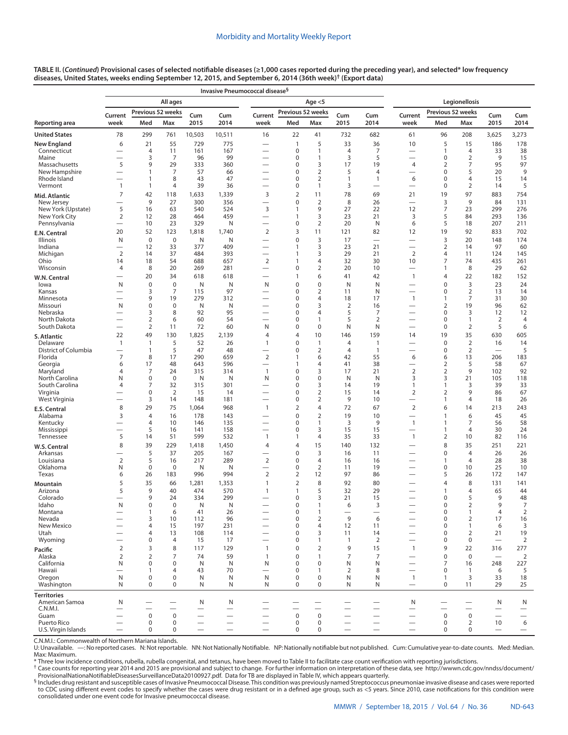| TABLE II. (Continued) Provisional cases of selected notifiable diseases (≥1,000 cases reported during the preceding year), and selected* low frequency |  |
|--------------------------------------------------------------------------------------------------------------------------------------------------------|--|
| diseases, United States, weeks ending September 12, 2015, and September 6, 2014 (36th week)† (Export data)                                             |  |

| Legionellosis<br>All ages<br>Age $<$ 5<br>Previous 52 weeks<br>Previous 52 weeks<br>Previous 52 weeks<br>Current<br>Cum<br>Cum<br>Current<br>Cum<br>Current<br>Cum<br>Cum<br>Cum<br>2015<br>2014<br>Med<br>Max<br>2015<br>week<br>Med<br>2015<br>2014<br>week<br>Med<br>Max<br>week<br>2014<br>Max<br>78<br>299<br>10,503<br>22<br>732<br>682<br>96<br>3,625<br>3,273<br>761<br>10,511<br>16<br>41<br>61<br>208<br>6<br>21<br>729<br>775<br>5<br>33<br>36<br>10<br>5<br>15<br>186<br>178<br>55<br>$\mathbf{1}$<br>$\overline{7}$<br>Connecticut<br>4<br>11<br>161<br>167<br>0<br>$\overline{4}$<br>$\overline{1}$<br>4<br>33<br>38<br>1<br>—<br>3<br>3<br>5<br>9<br>Maine<br>7<br>96<br>99<br>0<br>1<br>0<br>2<br>15<br>—<br>5<br>9<br>3<br>7<br>95<br>97<br>Massachusetts<br>29<br>333<br>360<br>0<br>17<br>19<br>4<br>2<br>$\overline{2}$<br>5<br>9<br>New Hampshire<br>$\mathbf{1}$<br>7<br>57<br>66<br>0<br>5<br>4<br>$\mathbf 0$<br>20<br>8<br>Rhode Island<br>43<br>47<br>0<br>2<br>1<br>6<br>$\mathbf 0$<br>4<br>15<br>14<br>$\mathbf{1}$<br>1<br>$\overline{\phantom{0}}$<br>5<br>Vermont<br>$\mathbf{1}$<br>$\mathbf{1}$<br>4<br>39<br>36<br>0<br>1<br>3<br>0<br>2<br>14<br>$\overline{\phantom{0}}$<br>$\overline{\phantom{0}}$<br>7<br>42<br>3<br>$\overline{2}$<br>11<br>78<br>69<br>19<br>97<br>883<br>754<br>118<br>1,633<br>1,339<br>21<br>9<br>3<br>27<br>0<br>$\overline{2}$<br>8<br>26<br>9<br>84<br>131<br>New Jersey<br>300<br>356<br>$\overline{\phantom{0}}$<br>$\overline{\phantom{0}}$<br>$\overline{\phantom{0}}$<br>3<br>$\overline{7}$<br>New York (Upstate)<br>5<br>27<br>276<br>16<br>63<br>540<br>524<br>9<br>22<br>12<br>23<br>299<br>1<br>3<br>5<br>New York City<br>2<br>12<br>28<br>464<br>459<br>23<br>21<br>3<br>84<br>293<br>136<br>1<br>$\overline{\phantom{0}}$<br>Pennsylvania<br>10<br>23<br>329<br>N<br>0<br>2<br>20<br>N<br>6<br>5<br>18<br>207<br>211<br>$\overline{\phantom{0}}$<br>52<br>123<br>1,740<br>$\overline{2}$<br>3<br>11<br>82<br>12<br>19<br>92<br>833<br>702<br>20<br>1,818<br>121<br>3<br>$\mathbf 0$<br>$\mathbf 0$<br>0<br>3<br>20<br>148<br>174<br>Illinois<br>N<br>N<br>N<br>17<br>$\overline{\phantom{0}}$<br>$\overline{\phantom{0}}$<br>—<br>$\overline{2}$<br>Indiana<br>12<br>33<br>377<br>409<br>3<br>23<br>21<br>14<br>97<br>60<br>1<br>$\overline{\phantom{0}}$<br>$\overline{\phantom{0}}$<br>$\overline{2}$<br>$\mathbf 2$<br>Michigan<br>14<br>37<br>484<br>393<br>3<br>29<br>21<br>$\overline{4}$<br>11<br>124<br>145<br>1<br>$\overline{2}$<br>7<br>Ohio<br>14<br>18<br>54<br>688<br>657<br>4<br>32<br>30<br>10<br>74<br>435<br>261<br>1<br>8<br>20<br>281<br>$\overline{2}$<br>20<br>8<br>29<br>Wisconsin<br>$\overline{4}$<br>269<br>0<br>10<br>$\mathbf{1}$<br>62<br>$\overline{\phantom{0}}$<br>$\overline{\phantom{0}}$<br>20<br>34<br>618<br>6<br>42<br>4<br>22<br>182<br>152<br>618<br>$\mathbf{1}$<br>41<br>$\mathbf{1}$<br>W.N. Central<br>3<br>$\boldsymbol{0}$<br>$\mathbf 0$<br>0<br>$\mathbf 0$<br>N<br>$\mathbf 0$<br>23<br>24<br>N<br>N<br>N<br>N<br>N<br>lowa<br>—<br>$\overline{7}$<br>$\overline{2}$<br>3<br>115<br>97<br>0<br>2<br>11<br>N<br>0<br>13<br>14<br>Kansas<br>7<br>30<br>9<br>19<br>279<br>312<br>0<br>4<br>18<br>17<br>$\mathbf{1}$<br>$\overline{1}$<br>31<br>Minnesota<br>N<br>0<br>3<br>19<br>96<br>62<br>Missouri<br>0<br>Ν<br>N<br>0<br>2<br>16<br>2<br>$\overline{\phantom{0}}$<br>8<br>92<br>95<br>5<br>7<br>$\mathbf 0$<br>3<br>12<br>Nebraska<br>3<br>0<br>4<br>12<br>$\overline{\phantom{0}}$<br>$\overline{2}$<br>$\overline{2}$<br>North Dakota<br>6<br>60<br>54<br>0<br>1<br>5<br>0<br>$\mathbf{1}$<br>2<br>4<br>$\overline{\phantom{0}}$<br>$\overline{2}$<br>60<br>$\mathbf 0$<br>N<br>$\overline{2}$<br>5<br>South Dakota<br>11<br>72<br>N<br>0<br>N<br>0<br>6<br>$\overline{\phantom{0}}$<br>22<br>49<br>130<br>1,825<br>2,139<br>10<br>159<br>19<br>35<br>630<br>605<br>4<br>4<br>146<br>14<br>S. Atlantic<br>5<br>26<br>0<br>$\mathbf 0$<br>$\overline{2}$<br>16<br>14<br>Delaware<br>$\mathbf{1}$<br>$\overline{1}$<br>52<br>$\mathbf{1}$<br>1<br>4<br>$\mathbf{1}$<br>$\overline{\phantom{0}}$<br>District of Columbia<br>5<br>$\overline{2}$<br>$\overline{2}$<br>5<br>$\mathbf{1}$<br>47<br>48<br>0<br>$\overline{4}$<br>$\mathbf{1}$<br>0<br>$\overline{\phantom{0}}$<br>$\overline{\phantom{0}}$<br>$\overline{7}$<br>8<br>17<br>290<br>659<br>$\overline{2}$<br>55<br>13<br>206<br>183<br>Florida<br>$\mathbf{1}$<br>6<br>42<br>6<br>6<br>596<br>5<br>Georgia<br>6<br>17<br>48<br>643<br>$\mathbf{1}$<br>4<br>41<br>38<br>2<br>58<br>67<br>$\overline{\phantom{0}}$<br>$\overline{\phantom{0}}$<br>24<br>314<br>3<br>21<br>$\overline{2}$<br>$\overline{2}$<br>9<br>92<br>Maryland<br>4<br>7<br>315<br>$\overline{1}$<br>0<br>17<br>102<br>3<br>21<br>118<br>North Carolina<br>N<br>0<br>0<br>Ν<br>N<br>N<br>0<br>0<br>N<br>N<br>3<br>105<br>32<br>33<br>South Carolina<br>4<br>7<br>315<br>301<br>0<br>3<br>14<br>19<br>1<br>$\overline{1}$<br>3<br>39<br>$\overline{2}$<br>$\overline{2}$<br>$\overline{2}$<br>$\overline{2}$<br>Virginia<br>0<br>15<br>14<br>0<br>15<br>14<br>9<br>86<br>67<br>West Virginia<br>3<br>14<br>181<br>0<br>$\overline{2}$<br>9<br>10<br>$\overline{4}$<br>18<br>26<br>148<br>$\overline{1}$<br>8<br>29<br>75<br>968<br>$\mathbf{1}$<br>$\overline{2}$<br>4<br>72<br>67<br>$\overline{2}$<br>6<br>14<br>213<br>243<br>1,064<br>3<br>$\overline{4}$<br>143<br>0<br>$\overline{2}$<br>19<br>6<br>45<br>45<br>Alabama<br>16<br>178<br>10<br>$\overline{1}$<br>$\overline{\phantom{0}}$<br>58<br>4<br>10<br>146<br>135<br>0<br>1<br>3<br>9<br>$\mathbf{1}$<br>$\overline{1}$<br>7<br>56<br>Kentucky<br>$\overline{\phantom{0}}$<br>$\overline{\phantom{0}}$<br>5<br>3<br>30<br>24<br>Mississippi<br>16<br>141<br>158<br>0<br>15<br>15<br>$\overline{1}$<br>4<br>$\overline{\phantom{0}}$<br>5<br>51<br>599<br>532<br>$\mathbf{1}$<br>35<br>33<br>$\mathbf{1}$<br>$\overline{2}$<br>82<br>Tennessee<br>14<br>$\mathbf{1}$<br>4<br>10<br>116<br>8<br>39<br>229<br>1,450<br>15<br>140<br>132<br>8<br>35<br>251<br>221<br>1,418<br>4<br>4<br>W.S. Central<br>5<br>37<br>167<br>0<br>3<br>$\pmb{0}$<br>Arkansas<br>205<br>16<br>11<br>4<br>26<br>26<br>$\overline{2}$<br>5<br>289<br>$\overline{2}$<br>28<br>38<br>Louisiana<br>16<br>217<br>0<br>$\overline{4}$<br>16<br>$\overline{1}$<br>4<br>16<br>$\overline{\phantom{0}}$<br>$\overline{2}$<br>Oklahoma<br>N<br>0<br>0<br>Ν<br>N<br>0<br>11<br>19<br>0<br>10<br>25<br>10<br>$\overline{\phantom{0}}$<br>$\overline{\phantom{0}}$<br>Texas<br>996<br>994<br>$\overline{2}$<br>$\overline{2}$<br>12<br>97<br>5<br>26<br>172<br>147<br>6<br>26<br>183<br>86<br>5<br>35<br>$\overline{2}$<br>8<br>92<br>80<br>8<br>131<br>141<br>66<br>1,281<br>1,353<br>1<br>4<br>Mountain<br>5<br>9<br>40<br>570<br>5<br>32<br>29<br>65<br>44<br>Arizona<br>474<br>$\mathbf{1}$<br>$\mathbf{1}$<br>$\overline{1}$<br>4<br>9<br>299<br>Colorado<br>24<br>334<br>0<br>3<br>21<br>15<br>0<br>5<br>9<br>48<br>$\overline{\phantom{0}}$<br>$\overline{\phantom{0}}$<br>N<br>N<br>9<br>7<br>0<br>0<br>0<br>idaho<br>N<br>O<br>6<br>3<br>2<br>$\overline{2}$<br>4<br>Montana<br>$\mathbf{1}$<br>6<br>41<br>26<br>0<br>1<br>0<br>$\mathbf{1}$<br>$\overline{\phantom{0}}$<br>$\qquad \qquad$<br>$\qquad \qquad$<br>$\overline{\phantom{0}}$<br>$\overline{\phantom{0}}$<br>9<br>16<br>Nevada<br>3<br>10<br>96<br>0<br>$\overline{2}$<br>6<br>$\mathbf 0$<br>$\overline{2}$<br>17<br>112<br>$\overline{3}$<br>New Mexico<br>15<br>197<br>231<br>0<br>$\overline{4}$<br>12<br>$\mathbf 0$<br>6<br>4<br>11<br>$\mathbf{1}$<br>19<br>Utah<br>13<br>108<br>114<br>0<br>3<br>$\mathbf 0$<br>$\overline{2}$<br>21<br>4<br>11<br>14<br>$\overline{\phantom{0}}$<br>$\overline{\phantom{0}}$<br>Wyoming<br>0<br>$\overline{4}$<br>15<br>0<br>$\overline{2}$<br>$\mathbf 0$<br>$\overline{2}$<br>17<br>1<br>$\mathbf{1}$<br>0<br>3<br>8<br>$\mathbf 0$<br>$\overline{2}$<br>9<br>9<br>22<br>$\overline{2}$<br>117<br>129<br>15<br>277<br>$\mathbf{1}$<br>$\mathbf{1}$<br>316<br>$\overline{2}$<br>Alaska<br>$\overline{2}$<br>7<br>74<br>59<br>0<br>$\mathbf{1}$<br>7<br>$\overline{7}$<br>$\mathbf 0$<br>$\mathbf 0$<br>2<br>$\mathbf{1}$<br>$\overline{\phantom{0}}$<br>California<br>N<br>0<br>0<br>N<br>N<br>N<br>0<br>$\mathbf 0$<br>N<br>N<br>7<br>248<br>227<br>16<br>$\overline{\phantom{0}}$<br>Hawaii<br>$\overline{4}$<br>70<br>0<br>$\overline{2}$<br>8<br>$\mathbf 0$<br>5<br>$\mathbf{1}$<br>43<br>1<br>$\mathbf{1}$<br>6<br>$\overline{\phantom{0}}$<br>Oregon<br>N<br>$\boldsymbol{0}$<br>0<br>N<br>N<br>N<br>0<br>$\mathbf 0$<br>N<br>N<br>3<br>33<br>18<br>$\mathbf{1}$<br>$\mathbf{1}$<br>Washington<br>N<br>$\mathbf 0$<br>0<br>0<br>$\mathbf 0$<br>$\mathbf 0$<br>29<br>25<br>N<br>N<br>N<br>N<br>N<br>11<br>$\qquad \qquad -$<br><b>Territories</b><br>American Samoa<br>N<br>N<br>N<br>N<br>N<br>N<br>C.N.M.I.<br>$\overline{\phantom{0}}$<br>$\overline{\phantom{0}}$<br>$\overline{\phantom{0}}$<br>—<br>-<br>$\overline{\phantom{0}}$<br>$\overbrace{\phantom{123221111}}$<br>$\mathbf 0$<br>$\pmb{0}$<br>$\mathbf 0$<br>$\mathbf 0$<br>$\mathbf 0$<br>$\mathbf 0$<br>Guam<br>$\overline{\phantom{0}}$<br>$\overline{\phantom{0}}$<br>—<br>$\overbrace{\phantom{12322111}}$<br>Puerto Rico<br>$\boldsymbol{0}$<br>$\mathbf 0$<br>$\overline{2}$<br>10<br>6<br>0<br>0<br>$\equiv$<br>$\equiv$<br>$\mathbf 0$<br>$\overline{\phantom{0}}$<br>$\overline{\phantom{0}}$<br>$\overbrace{\phantom{1232211}}$<br>$\overline{\phantom{0}}$<br>U.S. Virgin Islands<br>0<br>0<br>$\overline{\phantom{0}}$<br>0<br>0<br>$\mathbf 0$<br>$\mathbf 0$<br>$\overbrace{\phantom{12322111}}$<br>$\overline{\phantom{0}}$<br>$\overline{\phantom{0}}$<br>$\overbrace{\phantom{12322111}}$<br>$\overline{\phantom{0}}$<br>$\overline{\phantom{0}}$<br>$\overline{\phantom{m}}$<br>$\overline{\phantom{m}}$ |                      |  |  | Invasive Pneumococcal disease <sup>§</sup> |  |  |  |  |  |
|-----------------------------------------------------------------------------------------------------------------------------------------------------------------------------------------------------------------------------------------------------------------------------------------------------------------------------------------------------------------------------------------------------------------------------------------------------------------------------------------------------------------------------------------------------------------------------------------------------------------------------------------------------------------------------------------------------------------------------------------------------------------------------------------------------------------------------------------------------------------------------------------------------------------------------------------------------------------------------------------------------------------------------------------------------------------------------------------------------------------------------------------------------------------------------------------------------------------------------------------------------------------------------------------------------------------------------------------------------------------------------------------------------------------------------------------------------------------------------------------------------------------------------------------------------------------------------------------------------------------------------------------------------------------------------------------------------------------------------------------------------------------------------------------------------------------------------------------------------------------------------------------------------------------------------------------------------------------------------------------------------------------------------------------------------------------------------------------------------------------------------------------------------------------------------------------------------------------------------------------------------------------------------------------------------------------------------------------------------------------------------------------------------------------------------------------------------------------------------------------------------------------------------------------------------------------------------------------------------------------------------------------------------------------------------------------------------------------------------------------------------------------------------------------------------------------------------------------------------------------------------------------------------------------------------------------------------------------------------------------------------------------------------------------------------------------------------------------------------------------------------------------------------------------------------------------------------------------------------------------------------------------------------------------------------------------------------------------------------------------------------------------------------------------------------------------------------------------------------------------------------------------------------------------------------------------------------------------------------------------------------------------------------------------------------------------------------------------------------------------------------------------------------------------------------------------------------------------------------------------------------------------------------------------------------------------------------------------------------------------------------------------------------------------------------------------------------------------------------------------------------------------------------------------------------------------------------------------------------------------------------------------------------------------------------------------------------------------------------------------------------------------------------------------------------------------------------------------------------------------------------------------------------------------------------------------------------------------------------------------------------------------------------------------------------------------------------------------------------------------------------------------------------------------------------------------------------------------------------------------------------------------------------------------------------------------------------------------------------------------------------------------------------------------------------------------------------------------------------------------------------------------------------------------------------------------------------------------------------------------------------------------------------------------------------------------------------------------------------------------------------------------------------------------------------------------------------------------------------------------------------------------------------------------------------------------------------------------------------------------------------------------------------------------------------------------------------------------------------------------------------------------------------------------------------------------------------------------------------------------------------------------------------------------------------------------------------------------------------------------------------------------------------------------------------------------------------------------------------------------------------------------------------------------------------------------------------------------------------------------------------------------------------------------------------------------------------------------------------------------------------------------------------------------------------------------------------------------------------------------------------------------------------------------------------------------------------------------------------------------------------------------------------------------------------------------------------------------------------------------------------------------------------------------------------------------------------------------------------------------------------------------------------------------------------------------------------------------------------------------------------------------------------------------------------------------------------------------------------------------------------------------------------------------------------------------------------------------------------------------------------------------------------------------------------------------------------------------------------------------------------------------------------------------------------------------------------------------------------------------------------------------------------------------------------------------------------------------------------------------------------------------------------------------------------------------------------------------------------------------------------------------------------------------------------------------------------------------------------------------------------------------------------------------------------------------------------------------------------------------------------------------------------------------------------------------------------------------------------------------------------------------------------------------------------------------------------------------------------------------------------------------------------------------------------------------------------------------------------------------------------------------------------------------------------------------------------------------------------------------------------------------------------------------------------------------------------------------------------------------------------------------------------------------------------------------------------------------------------------------------------------------------------------------------------------------------------------------------------------------------------------------------------------------------------------------------------------------------------------------------------------------------------------------------------------------------------------------------------------------------------------------------------------------------------------------------------------------------------------------------------------------------------------------------------------------------------------------------------------------------------------------------------------------------------------------------------------------------------------------------------------------------------------------------------------------------------------------------------------------------------------------------------------------------------------------------------------------------------------------------------------------------------------------------------------------------------------------------------------------------------------------------|----------------------|--|--|--------------------------------------------|--|--|--|--|--|
|                                                                                                                                                                                                                                                                                                                                                                                                                                                                                                                                                                                                                                                                                                                                                                                                                                                                                                                                                                                                                                                                                                                                                                                                                                                                                                                                                                                                                                                                                                                                                                                                                                                                                                                                                                                                                                                                                                                                                                                                                                                                                                                                                                                                                                                                                                                                                                                                                                                                                                                                                                                                                                                                                                                                                                                                                                                                                                                                                                                                                                                                                                                                                                                                                                                                                                                                                                                                                                                                                                                                                                                                                                                                                                                                                                                                                                                                                                                                                                                                                                                                                                                                                                                                                                                                                                                                                                                                                                                                                                                                                                                                                                                                                                                                                                                                                                                                                                                                                                                                                                                                                                                                                                                                                                                                                                                                                                                                                                                                                                                                                                                                                                                                                                                                                                                                                                                                                                                                                                                                                                                                                                                                                                                                                                                                                                                                                                                                                                                                                                                                                                                                                                                                                                                                                                                                                                                                                                                                                                                                                                                                                                                                                                                                                                                                                                                                                                                                                                                                                                                                                                                                                                                                                                                                                                                                                                                                                                                                                                                                                                                                                                                                                                                                                                                                                                                                                                                                                                                                                                                                                                                                                                                                                                                                                                                                                                                                                                                                                                                                                                                                                                                                                                                                                                                                                                                                                                                                                                                                                                                                                                                                                                                                                                                                                                                                                                                                                               |                      |  |  |                                            |  |  |  |  |  |
|                                                                                                                                                                                                                                                                                                                                                                                                                                                                                                                                                                                                                                                                                                                                                                                                                                                                                                                                                                                                                                                                                                                                                                                                                                                                                                                                                                                                                                                                                                                                                                                                                                                                                                                                                                                                                                                                                                                                                                                                                                                                                                                                                                                                                                                                                                                                                                                                                                                                                                                                                                                                                                                                                                                                                                                                                                                                                                                                                                                                                                                                                                                                                                                                                                                                                                                                                                                                                                                                                                                                                                                                                                                                                                                                                                                                                                                                                                                                                                                                                                                                                                                                                                                                                                                                                                                                                                                                                                                                                                                                                                                                                                                                                                                                                                                                                                                                                                                                                                                                                                                                                                                                                                                                                                                                                                                                                                                                                                                                                                                                                                                                                                                                                                                                                                                                                                                                                                                                                                                                                                                                                                                                                                                                                                                                                                                                                                                                                                                                                                                                                                                                                                                                                                                                                                                                                                                                                                                                                                                                                                                                                                                                                                                                                                                                                                                                                                                                                                                                                                                                                                                                                                                                                                                                                                                                                                                                                                                                                                                                                                                                                                                                                                                                                                                                                                                                                                                                                                                                                                                                                                                                                                                                                                                                                                                                                                                                                                                                                                                                                                                                                                                                                                                                                                                                                                                                                                                                                                                                                                                                                                                                                                                                                                                                                                                                                                                                                               |                      |  |  |                                            |  |  |  |  |  |
|                                                                                                                                                                                                                                                                                                                                                                                                                                                                                                                                                                                                                                                                                                                                                                                                                                                                                                                                                                                                                                                                                                                                                                                                                                                                                                                                                                                                                                                                                                                                                                                                                                                                                                                                                                                                                                                                                                                                                                                                                                                                                                                                                                                                                                                                                                                                                                                                                                                                                                                                                                                                                                                                                                                                                                                                                                                                                                                                                                                                                                                                                                                                                                                                                                                                                                                                                                                                                                                                                                                                                                                                                                                                                                                                                                                                                                                                                                                                                                                                                                                                                                                                                                                                                                                                                                                                                                                                                                                                                                                                                                                                                                                                                                                                                                                                                                                                                                                                                                                                                                                                                                                                                                                                                                                                                                                                                                                                                                                                                                                                                                                                                                                                                                                                                                                                                                                                                                                                                                                                                                                                                                                                                                                                                                                                                                                                                                                                                                                                                                                                                                                                                                                                                                                                                                                                                                                                                                                                                                                                                                                                                                                                                                                                                                                                                                                                                                                                                                                                                                                                                                                                                                                                                                                                                                                                                                                                                                                                                                                                                                                                                                                                                                                                                                                                                                                                                                                                                                                                                                                                                                                                                                                                                                                                                                                                                                                                                                                                                                                                                                                                                                                                                                                                                                                                                                                                                                                                                                                                                                                                                                                                                                                                                                                                                                                                                                                                                               | Reporting area       |  |  |                                            |  |  |  |  |  |
|                                                                                                                                                                                                                                                                                                                                                                                                                                                                                                                                                                                                                                                                                                                                                                                                                                                                                                                                                                                                                                                                                                                                                                                                                                                                                                                                                                                                                                                                                                                                                                                                                                                                                                                                                                                                                                                                                                                                                                                                                                                                                                                                                                                                                                                                                                                                                                                                                                                                                                                                                                                                                                                                                                                                                                                                                                                                                                                                                                                                                                                                                                                                                                                                                                                                                                                                                                                                                                                                                                                                                                                                                                                                                                                                                                                                                                                                                                                                                                                                                                                                                                                                                                                                                                                                                                                                                                                                                                                                                                                                                                                                                                                                                                                                                                                                                                                                                                                                                                                                                                                                                                                                                                                                                                                                                                                                                                                                                                                                                                                                                                                                                                                                                                                                                                                                                                                                                                                                                                                                                                                                                                                                                                                                                                                                                                                                                                                                                                                                                                                                                                                                                                                                                                                                                                                                                                                                                                                                                                                                                                                                                                                                                                                                                                                                                                                                                                                                                                                                                                                                                                                                                                                                                                                                                                                                                                                                                                                                                                                                                                                                                                                                                                                                                                                                                                                                                                                                                                                                                                                                                                                                                                                                                                                                                                                                                                                                                                                                                                                                                                                                                                                                                                                                                                                                                                                                                                                                                                                                                                                                                                                                                                                                                                                                                                                                                                                                                               | <b>United States</b> |  |  |                                            |  |  |  |  |  |
|                                                                                                                                                                                                                                                                                                                                                                                                                                                                                                                                                                                                                                                                                                                                                                                                                                                                                                                                                                                                                                                                                                                                                                                                                                                                                                                                                                                                                                                                                                                                                                                                                                                                                                                                                                                                                                                                                                                                                                                                                                                                                                                                                                                                                                                                                                                                                                                                                                                                                                                                                                                                                                                                                                                                                                                                                                                                                                                                                                                                                                                                                                                                                                                                                                                                                                                                                                                                                                                                                                                                                                                                                                                                                                                                                                                                                                                                                                                                                                                                                                                                                                                                                                                                                                                                                                                                                                                                                                                                                                                                                                                                                                                                                                                                                                                                                                                                                                                                                                                                                                                                                                                                                                                                                                                                                                                                                                                                                                                                                                                                                                                                                                                                                                                                                                                                                                                                                                                                                                                                                                                                                                                                                                                                                                                                                                                                                                                                                                                                                                                                                                                                                                                                                                                                                                                                                                                                                                                                                                                                                                                                                                                                                                                                                                                                                                                                                                                                                                                                                                                                                                                                                                                                                                                                                                                                                                                                                                                                                                                                                                                                                                                                                                                                                                                                                                                                                                                                                                                                                                                                                                                                                                                                                                                                                                                                                                                                                                                                                                                                                                                                                                                                                                                                                                                                                                                                                                                                                                                                                                                                                                                                                                                                                                                                                                                                                                                                                               | <b>New England</b>   |  |  |                                            |  |  |  |  |  |
|                                                                                                                                                                                                                                                                                                                                                                                                                                                                                                                                                                                                                                                                                                                                                                                                                                                                                                                                                                                                                                                                                                                                                                                                                                                                                                                                                                                                                                                                                                                                                                                                                                                                                                                                                                                                                                                                                                                                                                                                                                                                                                                                                                                                                                                                                                                                                                                                                                                                                                                                                                                                                                                                                                                                                                                                                                                                                                                                                                                                                                                                                                                                                                                                                                                                                                                                                                                                                                                                                                                                                                                                                                                                                                                                                                                                                                                                                                                                                                                                                                                                                                                                                                                                                                                                                                                                                                                                                                                                                                                                                                                                                                                                                                                                                                                                                                                                                                                                                                                                                                                                                                                                                                                                                                                                                                                                                                                                                                                                                                                                                                                                                                                                                                                                                                                                                                                                                                                                                                                                                                                                                                                                                                                                                                                                                                                                                                                                                                                                                                                                                                                                                                                                                                                                                                                                                                                                                                                                                                                                                                                                                                                                                                                                                                                                                                                                                                                                                                                                                                                                                                                                                                                                                                                                                                                                                                                                                                                                                                                                                                                                                                                                                                                                                                                                                                                                                                                                                                                                                                                                                                                                                                                                                                                                                                                                                                                                                                                                                                                                                                                                                                                                                                                                                                                                                                                                                                                                                                                                                                                                                                                                                                                                                                                                                                                                                                                                                               |                      |  |  |                                            |  |  |  |  |  |
|                                                                                                                                                                                                                                                                                                                                                                                                                                                                                                                                                                                                                                                                                                                                                                                                                                                                                                                                                                                                                                                                                                                                                                                                                                                                                                                                                                                                                                                                                                                                                                                                                                                                                                                                                                                                                                                                                                                                                                                                                                                                                                                                                                                                                                                                                                                                                                                                                                                                                                                                                                                                                                                                                                                                                                                                                                                                                                                                                                                                                                                                                                                                                                                                                                                                                                                                                                                                                                                                                                                                                                                                                                                                                                                                                                                                                                                                                                                                                                                                                                                                                                                                                                                                                                                                                                                                                                                                                                                                                                                                                                                                                                                                                                                                                                                                                                                                                                                                                                                                                                                                                                                                                                                                                                                                                                                                                                                                                                                                                                                                                                                                                                                                                                                                                                                                                                                                                                                                                                                                                                                                                                                                                                                                                                                                                                                                                                                                                                                                                                                                                                                                                                                                                                                                                                                                                                                                                                                                                                                                                                                                                                                                                                                                                                                                                                                                                                                                                                                                                                                                                                                                                                                                                                                                                                                                                                                                                                                                                                                                                                                                                                                                                                                                                                                                                                                                                                                                                                                                                                                                                                                                                                                                                                                                                                                                                                                                                                                                                                                                                                                                                                                                                                                                                                                                                                                                                                                                                                                                                                                                                                                                                                                                                                                                                                                                                                                                                               |                      |  |  |                                            |  |  |  |  |  |
|                                                                                                                                                                                                                                                                                                                                                                                                                                                                                                                                                                                                                                                                                                                                                                                                                                                                                                                                                                                                                                                                                                                                                                                                                                                                                                                                                                                                                                                                                                                                                                                                                                                                                                                                                                                                                                                                                                                                                                                                                                                                                                                                                                                                                                                                                                                                                                                                                                                                                                                                                                                                                                                                                                                                                                                                                                                                                                                                                                                                                                                                                                                                                                                                                                                                                                                                                                                                                                                                                                                                                                                                                                                                                                                                                                                                                                                                                                                                                                                                                                                                                                                                                                                                                                                                                                                                                                                                                                                                                                                                                                                                                                                                                                                                                                                                                                                                                                                                                                                                                                                                                                                                                                                                                                                                                                                                                                                                                                                                                                                                                                                                                                                                                                                                                                                                                                                                                                                                                                                                                                                                                                                                                                                                                                                                                                                                                                                                                                                                                                                                                                                                                                                                                                                                                                                                                                                                                                                                                                                                                                                                                                                                                                                                                                                                                                                                                                                                                                                                                                                                                                                                                                                                                                                                                                                                                                                                                                                                                                                                                                                                                                                                                                                                                                                                                                                                                                                                                                                                                                                                                                                                                                                                                                                                                                                                                                                                                                                                                                                                                                                                                                                                                                                                                                                                                                                                                                                                                                                                                                                                                                                                                                                                                                                                                                                                                                                                                               |                      |  |  |                                            |  |  |  |  |  |
|                                                                                                                                                                                                                                                                                                                                                                                                                                                                                                                                                                                                                                                                                                                                                                                                                                                                                                                                                                                                                                                                                                                                                                                                                                                                                                                                                                                                                                                                                                                                                                                                                                                                                                                                                                                                                                                                                                                                                                                                                                                                                                                                                                                                                                                                                                                                                                                                                                                                                                                                                                                                                                                                                                                                                                                                                                                                                                                                                                                                                                                                                                                                                                                                                                                                                                                                                                                                                                                                                                                                                                                                                                                                                                                                                                                                                                                                                                                                                                                                                                                                                                                                                                                                                                                                                                                                                                                                                                                                                                                                                                                                                                                                                                                                                                                                                                                                                                                                                                                                                                                                                                                                                                                                                                                                                                                                                                                                                                                                                                                                                                                                                                                                                                                                                                                                                                                                                                                                                                                                                                                                                                                                                                                                                                                                                                                                                                                                                                                                                                                                                                                                                                                                                                                                                                                                                                                                                                                                                                                                                                                                                                                                                                                                                                                                                                                                                                                                                                                                                                                                                                                                                                                                                                                                                                                                                                                                                                                                                                                                                                                                                                                                                                                                                                                                                                                                                                                                                                                                                                                                                                                                                                                                                                                                                                                                                                                                                                                                                                                                                                                                                                                                                                                                                                                                                                                                                                                                                                                                                                                                                                                                                                                                                                                                                                                                                                                                                               |                      |  |  |                                            |  |  |  |  |  |
|                                                                                                                                                                                                                                                                                                                                                                                                                                                                                                                                                                                                                                                                                                                                                                                                                                                                                                                                                                                                                                                                                                                                                                                                                                                                                                                                                                                                                                                                                                                                                                                                                                                                                                                                                                                                                                                                                                                                                                                                                                                                                                                                                                                                                                                                                                                                                                                                                                                                                                                                                                                                                                                                                                                                                                                                                                                                                                                                                                                                                                                                                                                                                                                                                                                                                                                                                                                                                                                                                                                                                                                                                                                                                                                                                                                                                                                                                                                                                                                                                                                                                                                                                                                                                                                                                                                                                                                                                                                                                                                                                                                                                                                                                                                                                                                                                                                                                                                                                                                                                                                                                                                                                                                                                                                                                                                                                                                                                                                                                                                                                                                                                                                                                                                                                                                                                                                                                                                                                                                                                                                                                                                                                                                                                                                                                                                                                                                                                                                                                                                                                                                                                                                                                                                                                                                                                                                                                                                                                                                                                                                                                                                                                                                                                                                                                                                                                                                                                                                                                                                                                                                                                                                                                                                                                                                                                                                                                                                                                                                                                                                                                                                                                                                                                                                                                                                                                                                                                                                                                                                                                                                                                                                                                                                                                                                                                                                                                                                                                                                                                                                                                                                                                                                                                                                                                                                                                                                                                                                                                                                                                                                                                                                                                                                                                                                                                                                                                               | Mid. Atlantic        |  |  |                                            |  |  |  |  |  |
|                                                                                                                                                                                                                                                                                                                                                                                                                                                                                                                                                                                                                                                                                                                                                                                                                                                                                                                                                                                                                                                                                                                                                                                                                                                                                                                                                                                                                                                                                                                                                                                                                                                                                                                                                                                                                                                                                                                                                                                                                                                                                                                                                                                                                                                                                                                                                                                                                                                                                                                                                                                                                                                                                                                                                                                                                                                                                                                                                                                                                                                                                                                                                                                                                                                                                                                                                                                                                                                                                                                                                                                                                                                                                                                                                                                                                                                                                                                                                                                                                                                                                                                                                                                                                                                                                                                                                                                                                                                                                                                                                                                                                                                                                                                                                                                                                                                                                                                                                                                                                                                                                                                                                                                                                                                                                                                                                                                                                                                                                                                                                                                                                                                                                                                                                                                                                                                                                                                                                                                                                                                                                                                                                                                                                                                                                                                                                                                                                                                                                                                                                                                                                                                                                                                                                                                                                                                                                                                                                                                                                                                                                                                                                                                                                                                                                                                                                                                                                                                                                                                                                                                                                                                                                                                                                                                                                                                                                                                                                                                                                                                                                                                                                                                                                                                                                                                                                                                                                                                                                                                                                                                                                                                                                                                                                                                                                                                                                                                                                                                                                                                                                                                                                                                                                                                                                                                                                                                                                                                                                                                                                                                                                                                                                                                                                                                                                                                                                               |                      |  |  |                                            |  |  |  |  |  |
|                                                                                                                                                                                                                                                                                                                                                                                                                                                                                                                                                                                                                                                                                                                                                                                                                                                                                                                                                                                                                                                                                                                                                                                                                                                                                                                                                                                                                                                                                                                                                                                                                                                                                                                                                                                                                                                                                                                                                                                                                                                                                                                                                                                                                                                                                                                                                                                                                                                                                                                                                                                                                                                                                                                                                                                                                                                                                                                                                                                                                                                                                                                                                                                                                                                                                                                                                                                                                                                                                                                                                                                                                                                                                                                                                                                                                                                                                                                                                                                                                                                                                                                                                                                                                                                                                                                                                                                                                                                                                                                                                                                                                                                                                                                                                                                                                                                                                                                                                                                                                                                                                                                                                                                                                                                                                                                                                                                                                                                                                                                                                                                                                                                                                                                                                                                                                                                                                                                                                                                                                                                                                                                                                                                                                                                                                                                                                                                                                                                                                                                                                                                                                                                                                                                                                                                                                                                                                                                                                                                                                                                                                                                                                                                                                                                                                                                                                                                                                                                                                                                                                                                                                                                                                                                                                                                                                                                                                                                                                                                                                                                                                                                                                                                                                                                                                                                                                                                                                                                                                                                                                                                                                                                                                                                                                                                                                                                                                                                                                                                                                                                                                                                                                                                                                                                                                                                                                                                                                                                                                                                                                                                                                                                                                                                                                                                                                                                                                               |                      |  |  |                                            |  |  |  |  |  |
|                                                                                                                                                                                                                                                                                                                                                                                                                                                                                                                                                                                                                                                                                                                                                                                                                                                                                                                                                                                                                                                                                                                                                                                                                                                                                                                                                                                                                                                                                                                                                                                                                                                                                                                                                                                                                                                                                                                                                                                                                                                                                                                                                                                                                                                                                                                                                                                                                                                                                                                                                                                                                                                                                                                                                                                                                                                                                                                                                                                                                                                                                                                                                                                                                                                                                                                                                                                                                                                                                                                                                                                                                                                                                                                                                                                                                                                                                                                                                                                                                                                                                                                                                                                                                                                                                                                                                                                                                                                                                                                                                                                                                                                                                                                                                                                                                                                                                                                                                                                                                                                                                                                                                                                                                                                                                                                                                                                                                                                                                                                                                                                                                                                                                                                                                                                                                                                                                                                                                                                                                                                                                                                                                                                                                                                                                                                                                                                                                                                                                                                                                                                                                                                                                                                                                                                                                                                                                                                                                                                                                                                                                                                                                                                                                                                                                                                                                                                                                                                                                                                                                                                                                                                                                                                                                                                                                                                                                                                                                                                                                                                                                                                                                                                                                                                                                                                                                                                                                                                                                                                                                                                                                                                                                                                                                                                                                                                                                                                                                                                                                                                                                                                                                                                                                                                                                                                                                                                                                                                                                                                                                                                                                                                                                                                                                                                                                                                                                               |                      |  |  |                                            |  |  |  |  |  |
|                                                                                                                                                                                                                                                                                                                                                                                                                                                                                                                                                                                                                                                                                                                                                                                                                                                                                                                                                                                                                                                                                                                                                                                                                                                                                                                                                                                                                                                                                                                                                                                                                                                                                                                                                                                                                                                                                                                                                                                                                                                                                                                                                                                                                                                                                                                                                                                                                                                                                                                                                                                                                                                                                                                                                                                                                                                                                                                                                                                                                                                                                                                                                                                                                                                                                                                                                                                                                                                                                                                                                                                                                                                                                                                                                                                                                                                                                                                                                                                                                                                                                                                                                                                                                                                                                                                                                                                                                                                                                                                                                                                                                                                                                                                                                                                                                                                                                                                                                                                                                                                                                                                                                                                                                                                                                                                                                                                                                                                                                                                                                                                                                                                                                                                                                                                                                                                                                                                                                                                                                                                                                                                                                                                                                                                                                                                                                                                                                                                                                                                                                                                                                                                                                                                                                                                                                                                                                                                                                                                                                                                                                                                                                                                                                                                                                                                                                                                                                                                                                                                                                                                                                                                                                                                                                                                                                                                                                                                                                                                                                                                                                                                                                                                                                                                                                                                                                                                                                                                                                                                                                                                                                                                                                                                                                                                                                                                                                                                                                                                                                                                                                                                                                                                                                                                                                                                                                                                                                                                                                                                                                                                                                                                                                                                                                                                                                                                                                               | E.N. Central         |  |  |                                            |  |  |  |  |  |
|                                                                                                                                                                                                                                                                                                                                                                                                                                                                                                                                                                                                                                                                                                                                                                                                                                                                                                                                                                                                                                                                                                                                                                                                                                                                                                                                                                                                                                                                                                                                                                                                                                                                                                                                                                                                                                                                                                                                                                                                                                                                                                                                                                                                                                                                                                                                                                                                                                                                                                                                                                                                                                                                                                                                                                                                                                                                                                                                                                                                                                                                                                                                                                                                                                                                                                                                                                                                                                                                                                                                                                                                                                                                                                                                                                                                                                                                                                                                                                                                                                                                                                                                                                                                                                                                                                                                                                                                                                                                                                                                                                                                                                                                                                                                                                                                                                                                                                                                                                                                                                                                                                                                                                                                                                                                                                                                                                                                                                                                                                                                                                                                                                                                                                                                                                                                                                                                                                                                                                                                                                                                                                                                                                                                                                                                                                                                                                                                                                                                                                                                                                                                                                                                                                                                                                                                                                                                                                                                                                                                                                                                                                                                                                                                                                                                                                                                                                                                                                                                                                                                                                                                                                                                                                                                                                                                                                                                                                                                                                                                                                                                                                                                                                                                                                                                                                                                                                                                                                                                                                                                                                                                                                                                                                                                                                                                                                                                                                                                                                                                                                                                                                                                                                                                                                                                                                                                                                                                                                                                                                                                                                                                                                                                                                                                                                                                                                                                                               |                      |  |  |                                            |  |  |  |  |  |
|                                                                                                                                                                                                                                                                                                                                                                                                                                                                                                                                                                                                                                                                                                                                                                                                                                                                                                                                                                                                                                                                                                                                                                                                                                                                                                                                                                                                                                                                                                                                                                                                                                                                                                                                                                                                                                                                                                                                                                                                                                                                                                                                                                                                                                                                                                                                                                                                                                                                                                                                                                                                                                                                                                                                                                                                                                                                                                                                                                                                                                                                                                                                                                                                                                                                                                                                                                                                                                                                                                                                                                                                                                                                                                                                                                                                                                                                                                                                                                                                                                                                                                                                                                                                                                                                                                                                                                                                                                                                                                                                                                                                                                                                                                                                                                                                                                                                                                                                                                                                                                                                                                                                                                                                                                                                                                                                                                                                                                                                                                                                                                                                                                                                                                                                                                                                                                                                                                                                                                                                                                                                                                                                                                                                                                                                                                                                                                                                                                                                                                                                                                                                                                                                                                                                                                                                                                                                                                                                                                                                                                                                                                                                                                                                                                                                                                                                                                                                                                                                                                                                                                                                                                                                                                                                                                                                                                                                                                                                                                                                                                                                                                                                                                                                                                                                                                                                                                                                                                                                                                                                                                                                                                                                                                                                                                                                                                                                                                                                                                                                                                                                                                                                                                                                                                                                                                                                                                                                                                                                                                                                                                                                                                                                                                                                                                                                                                                                                               |                      |  |  |                                            |  |  |  |  |  |
|                                                                                                                                                                                                                                                                                                                                                                                                                                                                                                                                                                                                                                                                                                                                                                                                                                                                                                                                                                                                                                                                                                                                                                                                                                                                                                                                                                                                                                                                                                                                                                                                                                                                                                                                                                                                                                                                                                                                                                                                                                                                                                                                                                                                                                                                                                                                                                                                                                                                                                                                                                                                                                                                                                                                                                                                                                                                                                                                                                                                                                                                                                                                                                                                                                                                                                                                                                                                                                                                                                                                                                                                                                                                                                                                                                                                                                                                                                                                                                                                                                                                                                                                                                                                                                                                                                                                                                                                                                                                                                                                                                                                                                                                                                                                                                                                                                                                                                                                                                                                                                                                                                                                                                                                                                                                                                                                                                                                                                                                                                                                                                                                                                                                                                                                                                                                                                                                                                                                                                                                                                                                                                                                                                                                                                                                                                                                                                                                                                                                                                                                                                                                                                                                                                                                                                                                                                                                                                                                                                                                                                                                                                                                                                                                                                                                                                                                                                                                                                                                                                                                                                                                                                                                                                                                                                                                                                                                                                                                                                                                                                                                                                                                                                                                                                                                                                                                                                                                                                                                                                                                                                                                                                                                                                                                                                                                                                                                                                                                                                                                                                                                                                                                                                                                                                                                                                                                                                                                                                                                                                                                                                                                                                                                                                                                                                                                                                                                                               |                      |  |  |                                            |  |  |  |  |  |
|                                                                                                                                                                                                                                                                                                                                                                                                                                                                                                                                                                                                                                                                                                                                                                                                                                                                                                                                                                                                                                                                                                                                                                                                                                                                                                                                                                                                                                                                                                                                                                                                                                                                                                                                                                                                                                                                                                                                                                                                                                                                                                                                                                                                                                                                                                                                                                                                                                                                                                                                                                                                                                                                                                                                                                                                                                                                                                                                                                                                                                                                                                                                                                                                                                                                                                                                                                                                                                                                                                                                                                                                                                                                                                                                                                                                                                                                                                                                                                                                                                                                                                                                                                                                                                                                                                                                                                                                                                                                                                                                                                                                                                                                                                                                                                                                                                                                                                                                                                                                                                                                                                                                                                                                                                                                                                                                                                                                                                                                                                                                                                                                                                                                                                                                                                                                                                                                                                                                                                                                                                                                                                                                                                                                                                                                                                                                                                                                                                                                                                                                                                                                                                                                                                                                                                                                                                                                                                                                                                                                                                                                                                                                                                                                                                                                                                                                                                                                                                                                                                                                                                                                                                                                                                                                                                                                                                                                                                                                                                                                                                                                                                                                                                                                                                                                                                                                                                                                                                                                                                                                                                                                                                                                                                                                                                                                                                                                                                                                                                                                                                                                                                                                                                                                                                                                                                                                                                                                                                                                                                                                                                                                                                                                                                                                                                                                                                                                                               |                      |  |  |                                            |  |  |  |  |  |
|                                                                                                                                                                                                                                                                                                                                                                                                                                                                                                                                                                                                                                                                                                                                                                                                                                                                                                                                                                                                                                                                                                                                                                                                                                                                                                                                                                                                                                                                                                                                                                                                                                                                                                                                                                                                                                                                                                                                                                                                                                                                                                                                                                                                                                                                                                                                                                                                                                                                                                                                                                                                                                                                                                                                                                                                                                                                                                                                                                                                                                                                                                                                                                                                                                                                                                                                                                                                                                                                                                                                                                                                                                                                                                                                                                                                                                                                                                                                                                                                                                                                                                                                                                                                                                                                                                                                                                                                                                                                                                                                                                                                                                                                                                                                                                                                                                                                                                                                                                                                                                                                                                                                                                                                                                                                                                                                                                                                                                                                                                                                                                                                                                                                                                                                                                                                                                                                                                                                                                                                                                                                                                                                                                                                                                                                                                                                                                                                                                                                                                                                                                                                                                                                                                                                                                                                                                                                                                                                                                                                                                                                                                                                                                                                                                                                                                                                                                                                                                                                                                                                                                                                                                                                                                                                                                                                                                                                                                                                                                                                                                                                                                                                                                                                                                                                                                                                                                                                                                                                                                                                                                                                                                                                                                                                                                                                                                                                                                                                                                                                                                                                                                                                                                                                                                                                                                                                                                                                                                                                                                                                                                                                                                                                                                                                                                                                                                                                                               |                      |  |  |                                            |  |  |  |  |  |
|                                                                                                                                                                                                                                                                                                                                                                                                                                                                                                                                                                                                                                                                                                                                                                                                                                                                                                                                                                                                                                                                                                                                                                                                                                                                                                                                                                                                                                                                                                                                                                                                                                                                                                                                                                                                                                                                                                                                                                                                                                                                                                                                                                                                                                                                                                                                                                                                                                                                                                                                                                                                                                                                                                                                                                                                                                                                                                                                                                                                                                                                                                                                                                                                                                                                                                                                                                                                                                                                                                                                                                                                                                                                                                                                                                                                                                                                                                                                                                                                                                                                                                                                                                                                                                                                                                                                                                                                                                                                                                                                                                                                                                                                                                                                                                                                                                                                                                                                                                                                                                                                                                                                                                                                                                                                                                                                                                                                                                                                                                                                                                                                                                                                                                                                                                                                                                                                                                                                                                                                                                                                                                                                                                                                                                                                                                                                                                                                                                                                                                                                                                                                                                                                                                                                                                                                                                                                                                                                                                                                                                                                                                                                                                                                                                                                                                                                                                                                                                                                                                                                                                                                                                                                                                                                                                                                                                                                                                                                                                                                                                                                                                                                                                                                                                                                                                                                                                                                                                                                                                                                                                                                                                                                                                                                                                                                                                                                                                                                                                                                                                                                                                                                                                                                                                                                                                                                                                                                                                                                                                                                                                                                                                                                                                                                                                                                                                                                                               |                      |  |  |                                            |  |  |  |  |  |
|                                                                                                                                                                                                                                                                                                                                                                                                                                                                                                                                                                                                                                                                                                                                                                                                                                                                                                                                                                                                                                                                                                                                                                                                                                                                                                                                                                                                                                                                                                                                                                                                                                                                                                                                                                                                                                                                                                                                                                                                                                                                                                                                                                                                                                                                                                                                                                                                                                                                                                                                                                                                                                                                                                                                                                                                                                                                                                                                                                                                                                                                                                                                                                                                                                                                                                                                                                                                                                                                                                                                                                                                                                                                                                                                                                                                                                                                                                                                                                                                                                                                                                                                                                                                                                                                                                                                                                                                                                                                                                                                                                                                                                                                                                                                                                                                                                                                                                                                                                                                                                                                                                                                                                                                                                                                                                                                                                                                                                                                                                                                                                                                                                                                                                                                                                                                                                                                                                                                                                                                                                                                                                                                                                                                                                                                                                                                                                                                                                                                                                                                                                                                                                                                                                                                                                                                                                                                                                                                                                                                                                                                                                                                                                                                                                                                                                                                                                                                                                                                                                                                                                                                                                                                                                                                                                                                                                                                                                                                                                                                                                                                                                                                                                                                                                                                                                                                                                                                                                                                                                                                                                                                                                                                                                                                                                                                                                                                                                                                                                                                                                                                                                                                                                                                                                                                                                                                                                                                                                                                                                                                                                                                                                                                                                                                                                                                                                                                                               |                      |  |  |                                            |  |  |  |  |  |
|                                                                                                                                                                                                                                                                                                                                                                                                                                                                                                                                                                                                                                                                                                                                                                                                                                                                                                                                                                                                                                                                                                                                                                                                                                                                                                                                                                                                                                                                                                                                                                                                                                                                                                                                                                                                                                                                                                                                                                                                                                                                                                                                                                                                                                                                                                                                                                                                                                                                                                                                                                                                                                                                                                                                                                                                                                                                                                                                                                                                                                                                                                                                                                                                                                                                                                                                                                                                                                                                                                                                                                                                                                                                                                                                                                                                                                                                                                                                                                                                                                                                                                                                                                                                                                                                                                                                                                                                                                                                                                                                                                                                                                                                                                                                                                                                                                                                                                                                                                                                                                                                                                                                                                                                                                                                                                                                                                                                                                                                                                                                                                                                                                                                                                                                                                                                                                                                                                                                                                                                                                                                                                                                                                                                                                                                                                                                                                                                                                                                                                                                                                                                                                                                                                                                                                                                                                                                                                                                                                                                                                                                                                                                                                                                                                                                                                                                                                                                                                                                                                                                                                                                                                                                                                                                                                                                                                                                                                                                                                                                                                                                                                                                                                                                                                                                                                                                                                                                                                                                                                                                                                                                                                                                                                                                                                                                                                                                                                                                                                                                                                                                                                                                                                                                                                                                                                                                                                                                                                                                                                                                                                                                                                                                                                                                                                                                                                                                                               |                      |  |  |                                            |  |  |  |  |  |
|                                                                                                                                                                                                                                                                                                                                                                                                                                                                                                                                                                                                                                                                                                                                                                                                                                                                                                                                                                                                                                                                                                                                                                                                                                                                                                                                                                                                                                                                                                                                                                                                                                                                                                                                                                                                                                                                                                                                                                                                                                                                                                                                                                                                                                                                                                                                                                                                                                                                                                                                                                                                                                                                                                                                                                                                                                                                                                                                                                                                                                                                                                                                                                                                                                                                                                                                                                                                                                                                                                                                                                                                                                                                                                                                                                                                                                                                                                                                                                                                                                                                                                                                                                                                                                                                                                                                                                                                                                                                                                                                                                                                                                                                                                                                                                                                                                                                                                                                                                                                                                                                                                                                                                                                                                                                                                                                                                                                                                                                                                                                                                                                                                                                                                                                                                                                                                                                                                                                                                                                                                                                                                                                                                                                                                                                                                                                                                                                                                                                                                                                                                                                                                                                                                                                                                                                                                                                                                                                                                                                                                                                                                                                                                                                                                                                                                                                                                                                                                                                                                                                                                                                                                                                                                                                                                                                                                                                                                                                                                                                                                                                                                                                                                                                                                                                                                                                                                                                                                                                                                                                                                                                                                                                                                                                                                                                                                                                                                                                                                                                                                                                                                                                                                                                                                                                                                                                                                                                                                                                                                                                                                                                                                                                                                                                                                                                                                                                                               |                      |  |  |                                            |  |  |  |  |  |
|                                                                                                                                                                                                                                                                                                                                                                                                                                                                                                                                                                                                                                                                                                                                                                                                                                                                                                                                                                                                                                                                                                                                                                                                                                                                                                                                                                                                                                                                                                                                                                                                                                                                                                                                                                                                                                                                                                                                                                                                                                                                                                                                                                                                                                                                                                                                                                                                                                                                                                                                                                                                                                                                                                                                                                                                                                                                                                                                                                                                                                                                                                                                                                                                                                                                                                                                                                                                                                                                                                                                                                                                                                                                                                                                                                                                                                                                                                                                                                                                                                                                                                                                                                                                                                                                                                                                                                                                                                                                                                                                                                                                                                                                                                                                                                                                                                                                                                                                                                                                                                                                                                                                                                                                                                                                                                                                                                                                                                                                                                                                                                                                                                                                                                                                                                                                                                                                                                                                                                                                                                                                                                                                                                                                                                                                                                                                                                                                                                                                                                                                                                                                                                                                                                                                                                                                                                                                                                                                                                                                                                                                                                                                                                                                                                                                                                                                                                                                                                                                                                                                                                                                                                                                                                                                                                                                                                                                                                                                                                                                                                                                                                                                                                                                                                                                                                                                                                                                                                                                                                                                                                                                                                                                                                                                                                                                                                                                                                                                                                                                                                                                                                                                                                                                                                                                                                                                                                                                                                                                                                                                                                                                                                                                                                                                                                                                                                                                                               |                      |  |  |                                            |  |  |  |  |  |
|                                                                                                                                                                                                                                                                                                                                                                                                                                                                                                                                                                                                                                                                                                                                                                                                                                                                                                                                                                                                                                                                                                                                                                                                                                                                                                                                                                                                                                                                                                                                                                                                                                                                                                                                                                                                                                                                                                                                                                                                                                                                                                                                                                                                                                                                                                                                                                                                                                                                                                                                                                                                                                                                                                                                                                                                                                                                                                                                                                                                                                                                                                                                                                                                                                                                                                                                                                                                                                                                                                                                                                                                                                                                                                                                                                                                                                                                                                                                                                                                                                                                                                                                                                                                                                                                                                                                                                                                                                                                                                                                                                                                                                                                                                                                                                                                                                                                                                                                                                                                                                                                                                                                                                                                                                                                                                                                                                                                                                                                                                                                                                                                                                                                                                                                                                                                                                                                                                                                                                                                                                                                                                                                                                                                                                                                                                                                                                                                                                                                                                                                                                                                                                                                                                                                                                                                                                                                                                                                                                                                                                                                                                                                                                                                                                                                                                                                                                                                                                                                                                                                                                                                                                                                                                                                                                                                                                                                                                                                                                                                                                                                                                                                                                                                                                                                                                                                                                                                                                                                                                                                                                                                                                                                                                                                                                                                                                                                                                                                                                                                                                                                                                                                                                                                                                                                                                                                                                                                                                                                                                                                                                                                                                                                                                                                                                                                                                                                                               |                      |  |  |                                            |  |  |  |  |  |
|                                                                                                                                                                                                                                                                                                                                                                                                                                                                                                                                                                                                                                                                                                                                                                                                                                                                                                                                                                                                                                                                                                                                                                                                                                                                                                                                                                                                                                                                                                                                                                                                                                                                                                                                                                                                                                                                                                                                                                                                                                                                                                                                                                                                                                                                                                                                                                                                                                                                                                                                                                                                                                                                                                                                                                                                                                                                                                                                                                                                                                                                                                                                                                                                                                                                                                                                                                                                                                                                                                                                                                                                                                                                                                                                                                                                                                                                                                                                                                                                                                                                                                                                                                                                                                                                                                                                                                                                                                                                                                                                                                                                                                                                                                                                                                                                                                                                                                                                                                                                                                                                                                                                                                                                                                                                                                                                                                                                                                                                                                                                                                                                                                                                                                                                                                                                                                                                                                                                                                                                                                                                                                                                                                                                                                                                                                                                                                                                                                                                                                                                                                                                                                                                                                                                                                                                                                                                                                                                                                                                                                                                                                                                                                                                                                                                                                                                                                                                                                                                                                                                                                                                                                                                                                                                                                                                                                                                                                                                                                                                                                                                                                                                                                                                                                                                                                                                                                                                                                                                                                                                                                                                                                                                                                                                                                                                                                                                                                                                                                                                                                                                                                                                                                                                                                                                                                                                                                                                                                                                                                                                                                                                                                                                                                                                                                                                                                                                                               |                      |  |  |                                            |  |  |  |  |  |
|                                                                                                                                                                                                                                                                                                                                                                                                                                                                                                                                                                                                                                                                                                                                                                                                                                                                                                                                                                                                                                                                                                                                                                                                                                                                                                                                                                                                                                                                                                                                                                                                                                                                                                                                                                                                                                                                                                                                                                                                                                                                                                                                                                                                                                                                                                                                                                                                                                                                                                                                                                                                                                                                                                                                                                                                                                                                                                                                                                                                                                                                                                                                                                                                                                                                                                                                                                                                                                                                                                                                                                                                                                                                                                                                                                                                                                                                                                                                                                                                                                                                                                                                                                                                                                                                                                                                                                                                                                                                                                                                                                                                                                                                                                                                                                                                                                                                                                                                                                                                                                                                                                                                                                                                                                                                                                                                                                                                                                                                                                                                                                                                                                                                                                                                                                                                                                                                                                                                                                                                                                                                                                                                                                                                                                                                                                                                                                                                                                                                                                                                                                                                                                                                                                                                                                                                                                                                                                                                                                                                                                                                                                                                                                                                                                                                                                                                                                                                                                                                                                                                                                                                                                                                                                                                                                                                                                                                                                                                                                                                                                                                                                                                                                                                                                                                                                                                                                                                                                                                                                                                                                                                                                                                                                                                                                                                                                                                                                                                                                                                                                                                                                                                                                                                                                                                                                                                                                                                                                                                                                                                                                                                                                                                                                                                                                                                                                                                                               |                      |  |  |                                            |  |  |  |  |  |
|                                                                                                                                                                                                                                                                                                                                                                                                                                                                                                                                                                                                                                                                                                                                                                                                                                                                                                                                                                                                                                                                                                                                                                                                                                                                                                                                                                                                                                                                                                                                                                                                                                                                                                                                                                                                                                                                                                                                                                                                                                                                                                                                                                                                                                                                                                                                                                                                                                                                                                                                                                                                                                                                                                                                                                                                                                                                                                                                                                                                                                                                                                                                                                                                                                                                                                                                                                                                                                                                                                                                                                                                                                                                                                                                                                                                                                                                                                                                                                                                                                                                                                                                                                                                                                                                                                                                                                                                                                                                                                                                                                                                                                                                                                                                                                                                                                                                                                                                                                                                                                                                                                                                                                                                                                                                                                                                                                                                                                                                                                                                                                                                                                                                                                                                                                                                                                                                                                                                                                                                                                                                                                                                                                                                                                                                                                                                                                                                                                                                                                                                                                                                                                                                                                                                                                                                                                                                                                                                                                                                                                                                                                                                                                                                                                                                                                                                                                                                                                                                                                                                                                                                                                                                                                                                                                                                                                                                                                                                                                                                                                                                                                                                                                                                                                                                                                                                                                                                                                                                                                                                                                                                                                                                                                                                                                                                                                                                                                                                                                                                                                                                                                                                                                                                                                                                                                                                                                                                                                                                                                                                                                                                                                                                                                                                                                                                                                                                                               |                      |  |  |                                            |  |  |  |  |  |
|                                                                                                                                                                                                                                                                                                                                                                                                                                                                                                                                                                                                                                                                                                                                                                                                                                                                                                                                                                                                                                                                                                                                                                                                                                                                                                                                                                                                                                                                                                                                                                                                                                                                                                                                                                                                                                                                                                                                                                                                                                                                                                                                                                                                                                                                                                                                                                                                                                                                                                                                                                                                                                                                                                                                                                                                                                                                                                                                                                                                                                                                                                                                                                                                                                                                                                                                                                                                                                                                                                                                                                                                                                                                                                                                                                                                                                                                                                                                                                                                                                                                                                                                                                                                                                                                                                                                                                                                                                                                                                                                                                                                                                                                                                                                                                                                                                                                                                                                                                                                                                                                                                                                                                                                                                                                                                                                                                                                                                                                                                                                                                                                                                                                                                                                                                                                                                                                                                                                                                                                                                                                                                                                                                                                                                                                                                                                                                                                                                                                                                                                                                                                                                                                                                                                                                                                                                                                                                                                                                                                                                                                                                                                                                                                                                                                                                                                                                                                                                                                                                                                                                                                                                                                                                                                                                                                                                                                                                                                                                                                                                                                                                                                                                                                                                                                                                                                                                                                                                                                                                                                                                                                                                                                                                                                                                                                                                                                                                                                                                                                                                                                                                                                                                                                                                                                                                                                                                                                                                                                                                                                                                                                                                                                                                                                                                                                                                                                                               |                      |  |  |                                            |  |  |  |  |  |
|                                                                                                                                                                                                                                                                                                                                                                                                                                                                                                                                                                                                                                                                                                                                                                                                                                                                                                                                                                                                                                                                                                                                                                                                                                                                                                                                                                                                                                                                                                                                                                                                                                                                                                                                                                                                                                                                                                                                                                                                                                                                                                                                                                                                                                                                                                                                                                                                                                                                                                                                                                                                                                                                                                                                                                                                                                                                                                                                                                                                                                                                                                                                                                                                                                                                                                                                                                                                                                                                                                                                                                                                                                                                                                                                                                                                                                                                                                                                                                                                                                                                                                                                                                                                                                                                                                                                                                                                                                                                                                                                                                                                                                                                                                                                                                                                                                                                                                                                                                                                                                                                                                                                                                                                                                                                                                                                                                                                                                                                                                                                                                                                                                                                                                                                                                                                                                                                                                                                                                                                                                                                                                                                                                                                                                                                                                                                                                                                                                                                                                                                                                                                                                                                                                                                                                                                                                                                                                                                                                                                                                                                                                                                                                                                                                                                                                                                                                                                                                                                                                                                                                                                                                                                                                                                                                                                                                                                                                                                                                                                                                                                                                                                                                                                                                                                                                                                                                                                                                                                                                                                                                                                                                                                                                                                                                                                                                                                                                                                                                                                                                                                                                                                                                                                                                                                                                                                                                                                                                                                                                                                                                                                                                                                                                                                                                                                                                                                                               |                      |  |  |                                            |  |  |  |  |  |
|                                                                                                                                                                                                                                                                                                                                                                                                                                                                                                                                                                                                                                                                                                                                                                                                                                                                                                                                                                                                                                                                                                                                                                                                                                                                                                                                                                                                                                                                                                                                                                                                                                                                                                                                                                                                                                                                                                                                                                                                                                                                                                                                                                                                                                                                                                                                                                                                                                                                                                                                                                                                                                                                                                                                                                                                                                                                                                                                                                                                                                                                                                                                                                                                                                                                                                                                                                                                                                                                                                                                                                                                                                                                                                                                                                                                                                                                                                                                                                                                                                                                                                                                                                                                                                                                                                                                                                                                                                                                                                                                                                                                                                                                                                                                                                                                                                                                                                                                                                                                                                                                                                                                                                                                                                                                                                                                                                                                                                                                                                                                                                                                                                                                                                                                                                                                                                                                                                                                                                                                                                                                                                                                                                                                                                                                                                                                                                                                                                                                                                                                                                                                                                                                                                                                                                                                                                                                                                                                                                                                                                                                                                                                                                                                                                                                                                                                                                                                                                                                                                                                                                                                                                                                                                                                                                                                                                                                                                                                                                                                                                                                                                                                                                                                                                                                                                                                                                                                                                                                                                                                                                                                                                                                                                                                                                                                                                                                                                                                                                                                                                                                                                                                                                                                                                                                                                                                                                                                                                                                                                                                                                                                                                                                                                                                                                                                                                                                                               |                      |  |  |                                            |  |  |  |  |  |
|                                                                                                                                                                                                                                                                                                                                                                                                                                                                                                                                                                                                                                                                                                                                                                                                                                                                                                                                                                                                                                                                                                                                                                                                                                                                                                                                                                                                                                                                                                                                                                                                                                                                                                                                                                                                                                                                                                                                                                                                                                                                                                                                                                                                                                                                                                                                                                                                                                                                                                                                                                                                                                                                                                                                                                                                                                                                                                                                                                                                                                                                                                                                                                                                                                                                                                                                                                                                                                                                                                                                                                                                                                                                                                                                                                                                                                                                                                                                                                                                                                                                                                                                                                                                                                                                                                                                                                                                                                                                                                                                                                                                                                                                                                                                                                                                                                                                                                                                                                                                                                                                                                                                                                                                                                                                                                                                                                                                                                                                                                                                                                                                                                                                                                                                                                                                                                                                                                                                                                                                                                                                                                                                                                                                                                                                                                                                                                                                                                                                                                                                                                                                                                                                                                                                                                                                                                                                                                                                                                                                                                                                                                                                                                                                                                                                                                                                                                                                                                                                                                                                                                                                                                                                                                                                                                                                                                                                                                                                                                                                                                                                                                                                                                                                                                                                                                                                                                                                                                                                                                                                                                                                                                                                                                                                                                                                                                                                                                                                                                                                                                                                                                                                                                                                                                                                                                                                                                                                                                                                                                                                                                                                                                                                                                                                                                                                                                                                                               | E.S. Central         |  |  |                                            |  |  |  |  |  |
|                                                                                                                                                                                                                                                                                                                                                                                                                                                                                                                                                                                                                                                                                                                                                                                                                                                                                                                                                                                                                                                                                                                                                                                                                                                                                                                                                                                                                                                                                                                                                                                                                                                                                                                                                                                                                                                                                                                                                                                                                                                                                                                                                                                                                                                                                                                                                                                                                                                                                                                                                                                                                                                                                                                                                                                                                                                                                                                                                                                                                                                                                                                                                                                                                                                                                                                                                                                                                                                                                                                                                                                                                                                                                                                                                                                                                                                                                                                                                                                                                                                                                                                                                                                                                                                                                                                                                                                                                                                                                                                                                                                                                                                                                                                                                                                                                                                                                                                                                                                                                                                                                                                                                                                                                                                                                                                                                                                                                                                                                                                                                                                                                                                                                                                                                                                                                                                                                                                                                                                                                                                                                                                                                                                                                                                                                                                                                                                                                                                                                                                                                                                                                                                                                                                                                                                                                                                                                                                                                                                                                                                                                                                                                                                                                                                                                                                                                                                                                                                                                                                                                                                                                                                                                                                                                                                                                                                                                                                                                                                                                                                                                                                                                                                                                                                                                                                                                                                                                                                                                                                                                                                                                                                                                                                                                                                                                                                                                                                                                                                                                                                                                                                                                                                                                                                                                                                                                                                                                                                                                                                                                                                                                                                                                                                                                                                                                                                                                               |                      |  |  |                                            |  |  |  |  |  |
|                                                                                                                                                                                                                                                                                                                                                                                                                                                                                                                                                                                                                                                                                                                                                                                                                                                                                                                                                                                                                                                                                                                                                                                                                                                                                                                                                                                                                                                                                                                                                                                                                                                                                                                                                                                                                                                                                                                                                                                                                                                                                                                                                                                                                                                                                                                                                                                                                                                                                                                                                                                                                                                                                                                                                                                                                                                                                                                                                                                                                                                                                                                                                                                                                                                                                                                                                                                                                                                                                                                                                                                                                                                                                                                                                                                                                                                                                                                                                                                                                                                                                                                                                                                                                                                                                                                                                                                                                                                                                                                                                                                                                                                                                                                                                                                                                                                                                                                                                                                                                                                                                                                                                                                                                                                                                                                                                                                                                                                                                                                                                                                                                                                                                                                                                                                                                                                                                                                                                                                                                                                                                                                                                                                                                                                                                                                                                                                                                                                                                                                                                                                                                                                                                                                                                                                                                                                                                                                                                                                                                                                                                                                                                                                                                                                                                                                                                                                                                                                                                                                                                                                                                                                                                                                                                                                                                                                                                                                                                                                                                                                                                                                                                                                                                                                                                                                                                                                                                                                                                                                                                                                                                                                                                                                                                                                                                                                                                                                                                                                                                                                                                                                                                                                                                                                                                                                                                                                                                                                                                                                                                                                                                                                                                                                                                                                                                                                                                               |                      |  |  |                                            |  |  |  |  |  |
|                                                                                                                                                                                                                                                                                                                                                                                                                                                                                                                                                                                                                                                                                                                                                                                                                                                                                                                                                                                                                                                                                                                                                                                                                                                                                                                                                                                                                                                                                                                                                                                                                                                                                                                                                                                                                                                                                                                                                                                                                                                                                                                                                                                                                                                                                                                                                                                                                                                                                                                                                                                                                                                                                                                                                                                                                                                                                                                                                                                                                                                                                                                                                                                                                                                                                                                                                                                                                                                                                                                                                                                                                                                                                                                                                                                                                                                                                                                                                                                                                                                                                                                                                                                                                                                                                                                                                                                                                                                                                                                                                                                                                                                                                                                                                                                                                                                                                                                                                                                                                                                                                                                                                                                                                                                                                                                                                                                                                                                                                                                                                                                                                                                                                                                                                                                                                                                                                                                                                                                                                                                                                                                                                                                                                                                                                                                                                                                                                                                                                                                                                                                                                                                                                                                                                                                                                                                                                                                                                                                                                                                                                                                                                                                                                                                                                                                                                                                                                                                                                                                                                                                                                                                                                                                                                                                                                                                                                                                                                                                                                                                                                                                                                                                                                                                                                                                                                                                                                                                                                                                                                                                                                                                                                                                                                                                                                                                                                                                                                                                                                                                                                                                                                                                                                                                                                                                                                                                                                                                                                                                                                                                                                                                                                                                                                                                                                                                                                               |                      |  |  |                                            |  |  |  |  |  |
|                                                                                                                                                                                                                                                                                                                                                                                                                                                                                                                                                                                                                                                                                                                                                                                                                                                                                                                                                                                                                                                                                                                                                                                                                                                                                                                                                                                                                                                                                                                                                                                                                                                                                                                                                                                                                                                                                                                                                                                                                                                                                                                                                                                                                                                                                                                                                                                                                                                                                                                                                                                                                                                                                                                                                                                                                                                                                                                                                                                                                                                                                                                                                                                                                                                                                                                                                                                                                                                                                                                                                                                                                                                                                                                                                                                                                                                                                                                                                                                                                                                                                                                                                                                                                                                                                                                                                                                                                                                                                                                                                                                                                                                                                                                                                                                                                                                                                                                                                                                                                                                                                                                                                                                                                                                                                                                                                                                                                                                                                                                                                                                                                                                                                                                                                                                                                                                                                                                                                                                                                                                                                                                                                                                                                                                                                                                                                                                                                                                                                                                                                                                                                                                                                                                                                                                                                                                                                                                                                                                                                                                                                                                                                                                                                                                                                                                                                                                                                                                                                                                                                                                                                                                                                                                                                                                                                                                                                                                                                                                                                                                                                                                                                                                                                                                                                                                                                                                                                                                                                                                                                                                                                                                                                                                                                                                                                                                                                                                                                                                                                                                                                                                                                                                                                                                                                                                                                                                                                                                                                                                                                                                                                                                                                                                                                                                                                                                                                               |                      |  |  |                                            |  |  |  |  |  |
|                                                                                                                                                                                                                                                                                                                                                                                                                                                                                                                                                                                                                                                                                                                                                                                                                                                                                                                                                                                                                                                                                                                                                                                                                                                                                                                                                                                                                                                                                                                                                                                                                                                                                                                                                                                                                                                                                                                                                                                                                                                                                                                                                                                                                                                                                                                                                                                                                                                                                                                                                                                                                                                                                                                                                                                                                                                                                                                                                                                                                                                                                                                                                                                                                                                                                                                                                                                                                                                                                                                                                                                                                                                                                                                                                                                                                                                                                                                                                                                                                                                                                                                                                                                                                                                                                                                                                                                                                                                                                                                                                                                                                                                                                                                                                                                                                                                                                                                                                                                                                                                                                                                                                                                                                                                                                                                                                                                                                                                                                                                                                                                                                                                                                                                                                                                                                                                                                                                                                                                                                                                                                                                                                                                                                                                                                                                                                                                                                                                                                                                                                                                                                                                                                                                                                                                                                                                                                                                                                                                                                                                                                                                                                                                                                                                                                                                                                                                                                                                                                                                                                                                                                                                                                                                                                                                                                                                                                                                                                                                                                                                                                                                                                                                                                                                                                                                                                                                                                                                                                                                                                                                                                                                                                                                                                                                                                                                                                                                                                                                                                                                                                                                                                                                                                                                                                                                                                                                                                                                                                                                                                                                                                                                                                                                                                                                                                                                                                               |                      |  |  |                                            |  |  |  |  |  |
|                                                                                                                                                                                                                                                                                                                                                                                                                                                                                                                                                                                                                                                                                                                                                                                                                                                                                                                                                                                                                                                                                                                                                                                                                                                                                                                                                                                                                                                                                                                                                                                                                                                                                                                                                                                                                                                                                                                                                                                                                                                                                                                                                                                                                                                                                                                                                                                                                                                                                                                                                                                                                                                                                                                                                                                                                                                                                                                                                                                                                                                                                                                                                                                                                                                                                                                                                                                                                                                                                                                                                                                                                                                                                                                                                                                                                                                                                                                                                                                                                                                                                                                                                                                                                                                                                                                                                                                                                                                                                                                                                                                                                                                                                                                                                                                                                                                                                                                                                                                                                                                                                                                                                                                                                                                                                                                                                                                                                                                                                                                                                                                                                                                                                                                                                                                                                                                                                                                                                                                                                                                                                                                                                                                                                                                                                                                                                                                                                                                                                                                                                                                                                                                                                                                                                                                                                                                                                                                                                                                                                                                                                                                                                                                                                                                                                                                                                                                                                                                                                                                                                                                                                                                                                                                                                                                                                                                                                                                                                                                                                                                                                                                                                                                                                                                                                                                                                                                                                                                                                                                                                                                                                                                                                                                                                                                                                                                                                                                                                                                                                                                                                                                                                                                                                                                                                                                                                                                                                                                                                                                                                                                                                                                                                                                                                                                                                                                                                               |                      |  |  |                                            |  |  |  |  |  |
|                                                                                                                                                                                                                                                                                                                                                                                                                                                                                                                                                                                                                                                                                                                                                                                                                                                                                                                                                                                                                                                                                                                                                                                                                                                                                                                                                                                                                                                                                                                                                                                                                                                                                                                                                                                                                                                                                                                                                                                                                                                                                                                                                                                                                                                                                                                                                                                                                                                                                                                                                                                                                                                                                                                                                                                                                                                                                                                                                                                                                                                                                                                                                                                                                                                                                                                                                                                                                                                                                                                                                                                                                                                                                                                                                                                                                                                                                                                                                                                                                                                                                                                                                                                                                                                                                                                                                                                                                                                                                                                                                                                                                                                                                                                                                                                                                                                                                                                                                                                                                                                                                                                                                                                                                                                                                                                                                                                                                                                                                                                                                                                                                                                                                                                                                                                                                                                                                                                                                                                                                                                                                                                                                                                                                                                                                                                                                                                                                                                                                                                                                                                                                                                                                                                                                                                                                                                                                                                                                                                                                                                                                                                                                                                                                                                                                                                                                                                                                                                                                                                                                                                                                                                                                                                                                                                                                                                                                                                                                                                                                                                                                                                                                                                                                                                                                                                                                                                                                                                                                                                                                                                                                                                                                                                                                                                                                                                                                                                                                                                                                                                                                                                                                                                                                                                                                                                                                                                                                                                                                                                                                                                                                                                                                                                                                                                                                                                                                               |                      |  |  |                                            |  |  |  |  |  |
|                                                                                                                                                                                                                                                                                                                                                                                                                                                                                                                                                                                                                                                                                                                                                                                                                                                                                                                                                                                                                                                                                                                                                                                                                                                                                                                                                                                                                                                                                                                                                                                                                                                                                                                                                                                                                                                                                                                                                                                                                                                                                                                                                                                                                                                                                                                                                                                                                                                                                                                                                                                                                                                                                                                                                                                                                                                                                                                                                                                                                                                                                                                                                                                                                                                                                                                                                                                                                                                                                                                                                                                                                                                                                                                                                                                                                                                                                                                                                                                                                                                                                                                                                                                                                                                                                                                                                                                                                                                                                                                                                                                                                                                                                                                                                                                                                                                                                                                                                                                                                                                                                                                                                                                                                                                                                                                                                                                                                                                                                                                                                                                                                                                                                                                                                                                                                                                                                                                                                                                                                                                                                                                                                                                                                                                                                                                                                                                                                                                                                                                                                                                                                                                                                                                                                                                                                                                                                                                                                                                                                                                                                                                                                                                                                                                                                                                                                                                                                                                                                                                                                                                                                                                                                                                                                                                                                                                                                                                                                                                                                                                                                                                                                                                                                                                                                                                                                                                                                                                                                                                                                                                                                                                                                                                                                                                                                                                                                                                                                                                                                                                                                                                                                                                                                                                                                                                                                                                                                                                                                                                                                                                                                                                                                                                                                                                                                                                                                               |                      |  |  |                                            |  |  |  |  |  |
|                                                                                                                                                                                                                                                                                                                                                                                                                                                                                                                                                                                                                                                                                                                                                                                                                                                                                                                                                                                                                                                                                                                                                                                                                                                                                                                                                                                                                                                                                                                                                                                                                                                                                                                                                                                                                                                                                                                                                                                                                                                                                                                                                                                                                                                                                                                                                                                                                                                                                                                                                                                                                                                                                                                                                                                                                                                                                                                                                                                                                                                                                                                                                                                                                                                                                                                                                                                                                                                                                                                                                                                                                                                                                                                                                                                                                                                                                                                                                                                                                                                                                                                                                                                                                                                                                                                                                                                                                                                                                                                                                                                                                                                                                                                                                                                                                                                                                                                                                                                                                                                                                                                                                                                                                                                                                                                                                                                                                                                                                                                                                                                                                                                                                                                                                                                                                                                                                                                                                                                                                                                                                                                                                                                                                                                                                                                                                                                                                                                                                                                                                                                                                                                                                                                                                                                                                                                                                                                                                                                                                                                                                                                                                                                                                                                                                                                                                                                                                                                                                                                                                                                                                                                                                                                                                                                                                                                                                                                                                                                                                                                                                                                                                                                                                                                                                                                                                                                                                                                                                                                                                                                                                                                                                                                                                                                                                                                                                                                                                                                                                                                                                                                                                                                                                                                                                                                                                                                                                                                                                                                                                                                                                                                                                                                                                                                                                                                                                               |                      |  |  |                                            |  |  |  |  |  |
|                                                                                                                                                                                                                                                                                                                                                                                                                                                                                                                                                                                                                                                                                                                                                                                                                                                                                                                                                                                                                                                                                                                                                                                                                                                                                                                                                                                                                                                                                                                                                                                                                                                                                                                                                                                                                                                                                                                                                                                                                                                                                                                                                                                                                                                                                                                                                                                                                                                                                                                                                                                                                                                                                                                                                                                                                                                                                                                                                                                                                                                                                                                                                                                                                                                                                                                                                                                                                                                                                                                                                                                                                                                                                                                                                                                                                                                                                                                                                                                                                                                                                                                                                                                                                                                                                                                                                                                                                                                                                                                                                                                                                                                                                                                                                                                                                                                                                                                                                                                                                                                                                                                                                                                                                                                                                                                                                                                                                                                                                                                                                                                                                                                                                                                                                                                                                                                                                                                                                                                                                                                                                                                                                                                                                                                                                                                                                                                                                                                                                                                                                                                                                                                                                                                                                                                                                                                                                                                                                                                                                                                                                                                                                                                                                                                                                                                                                                                                                                                                                                                                                                                                                                                                                                                                                                                                                                                                                                                                                                                                                                                                                                                                                                                                                                                                                                                                                                                                                                                                                                                                                                                                                                                                                                                                                                                                                                                                                                                                                                                                                                                                                                                                                                                                                                                                                                                                                                                                                                                                                                                                                                                                                                                                                                                                                                                                                                                                                               |                      |  |  |                                            |  |  |  |  |  |
|                                                                                                                                                                                                                                                                                                                                                                                                                                                                                                                                                                                                                                                                                                                                                                                                                                                                                                                                                                                                                                                                                                                                                                                                                                                                                                                                                                                                                                                                                                                                                                                                                                                                                                                                                                                                                                                                                                                                                                                                                                                                                                                                                                                                                                                                                                                                                                                                                                                                                                                                                                                                                                                                                                                                                                                                                                                                                                                                                                                                                                                                                                                                                                                                                                                                                                                                                                                                                                                                                                                                                                                                                                                                                                                                                                                                                                                                                                                                                                                                                                                                                                                                                                                                                                                                                                                                                                                                                                                                                                                                                                                                                                                                                                                                                                                                                                                                                                                                                                                                                                                                                                                                                                                                                                                                                                                                                                                                                                                                                                                                                                                                                                                                                                                                                                                                                                                                                                                                                                                                                                                                                                                                                                                                                                                                                                                                                                                                                                                                                                                                                                                                                                                                                                                                                                                                                                                                                                                                                                                                                                                                                                                                                                                                                                                                                                                                                                                                                                                                                                                                                                                                                                                                                                                                                                                                                                                                                                                                                                                                                                                                                                                                                                                                                                                                                                                                                                                                                                                                                                                                                                                                                                                                                                                                                                                                                                                                                                                                                                                                                                                                                                                                                                                                                                                                                                                                                                                                                                                                                                                                                                                                                                                                                                                                                                                                                                                                                               |                      |  |  |                                            |  |  |  |  |  |
|                                                                                                                                                                                                                                                                                                                                                                                                                                                                                                                                                                                                                                                                                                                                                                                                                                                                                                                                                                                                                                                                                                                                                                                                                                                                                                                                                                                                                                                                                                                                                                                                                                                                                                                                                                                                                                                                                                                                                                                                                                                                                                                                                                                                                                                                                                                                                                                                                                                                                                                                                                                                                                                                                                                                                                                                                                                                                                                                                                                                                                                                                                                                                                                                                                                                                                                                                                                                                                                                                                                                                                                                                                                                                                                                                                                                                                                                                                                                                                                                                                                                                                                                                                                                                                                                                                                                                                                                                                                                                                                                                                                                                                                                                                                                                                                                                                                                                                                                                                                                                                                                                                                                                                                                                                                                                                                                                                                                                                                                                                                                                                                                                                                                                                                                                                                                                                                                                                                                                                                                                                                                                                                                                                                                                                                                                                                                                                                                                                                                                                                                                                                                                                                                                                                                                                                                                                                                                                                                                                                                                                                                                                                                                                                                                                                                                                                                                                                                                                                                                                                                                                                                                                                                                                                                                                                                                                                                                                                                                                                                                                                                                                                                                                                                                                                                                                                                                                                                                                                                                                                                                                                                                                                                                                                                                                                                                                                                                                                                                                                                                                                                                                                                                                                                                                                                                                                                                                                                                                                                                                                                                                                                                                                                                                                                                                                                                                                                                               |                      |  |  |                                            |  |  |  |  |  |
|                                                                                                                                                                                                                                                                                                                                                                                                                                                                                                                                                                                                                                                                                                                                                                                                                                                                                                                                                                                                                                                                                                                                                                                                                                                                                                                                                                                                                                                                                                                                                                                                                                                                                                                                                                                                                                                                                                                                                                                                                                                                                                                                                                                                                                                                                                                                                                                                                                                                                                                                                                                                                                                                                                                                                                                                                                                                                                                                                                                                                                                                                                                                                                                                                                                                                                                                                                                                                                                                                                                                                                                                                                                                                                                                                                                                                                                                                                                                                                                                                                                                                                                                                                                                                                                                                                                                                                                                                                                                                                                                                                                                                                                                                                                                                                                                                                                                                                                                                                                                                                                                                                                                                                                                                                                                                                                                                                                                                                                                                                                                                                                                                                                                                                                                                                                                                                                                                                                                                                                                                                                                                                                                                                                                                                                                                                                                                                                                                                                                                                                                                                                                                                                                                                                                                                                                                                                                                                                                                                                                                                                                                                                                                                                                                                                                                                                                                                                                                                                                                                                                                                                                                                                                                                                                                                                                                                                                                                                                                                                                                                                                                                                                                                                                                                                                                                                                                                                                                                                                                                                                                                                                                                                                                                                                                                                                                                                                                                                                                                                                                                                                                                                                                                                                                                                                                                                                                                                                                                                                                                                                                                                                                                                                                                                                                                                                                                                                                               |                      |  |  |                                            |  |  |  |  |  |
|                                                                                                                                                                                                                                                                                                                                                                                                                                                                                                                                                                                                                                                                                                                                                                                                                                                                                                                                                                                                                                                                                                                                                                                                                                                                                                                                                                                                                                                                                                                                                                                                                                                                                                                                                                                                                                                                                                                                                                                                                                                                                                                                                                                                                                                                                                                                                                                                                                                                                                                                                                                                                                                                                                                                                                                                                                                                                                                                                                                                                                                                                                                                                                                                                                                                                                                                                                                                                                                                                                                                                                                                                                                                                                                                                                                                                                                                                                                                                                                                                                                                                                                                                                                                                                                                                                                                                                                                                                                                                                                                                                                                                                                                                                                                                                                                                                                                                                                                                                                                                                                                                                                                                                                                                                                                                                                                                                                                                                                                                                                                                                                                                                                                                                                                                                                                                                                                                                                                                                                                                                                                                                                                                                                                                                                                                                                                                                                                                                                                                                                                                                                                                                                                                                                                                                                                                                                                                                                                                                                                                                                                                                                                                                                                                                                                                                                                                                                                                                                                                                                                                                                                                                                                                                                                                                                                                                                                                                                                                                                                                                                                                                                                                                                                                                                                                                                                                                                                                                                                                                                                                                                                                                                                                                                                                                                                                                                                                                                                                                                                                                                                                                                                                                                                                                                                                                                                                                                                                                                                                                                                                                                                                                                                                                                                                                                                                                                                                               | Pacific              |  |  |                                            |  |  |  |  |  |
|                                                                                                                                                                                                                                                                                                                                                                                                                                                                                                                                                                                                                                                                                                                                                                                                                                                                                                                                                                                                                                                                                                                                                                                                                                                                                                                                                                                                                                                                                                                                                                                                                                                                                                                                                                                                                                                                                                                                                                                                                                                                                                                                                                                                                                                                                                                                                                                                                                                                                                                                                                                                                                                                                                                                                                                                                                                                                                                                                                                                                                                                                                                                                                                                                                                                                                                                                                                                                                                                                                                                                                                                                                                                                                                                                                                                                                                                                                                                                                                                                                                                                                                                                                                                                                                                                                                                                                                                                                                                                                                                                                                                                                                                                                                                                                                                                                                                                                                                                                                                                                                                                                                                                                                                                                                                                                                                                                                                                                                                                                                                                                                                                                                                                                                                                                                                                                                                                                                                                                                                                                                                                                                                                                                                                                                                                                                                                                                                                                                                                                                                                                                                                                                                                                                                                                                                                                                                                                                                                                                                                                                                                                                                                                                                                                                                                                                                                                                                                                                                                                                                                                                                                                                                                                                                                                                                                                                                                                                                                                                                                                                                                                                                                                                                                                                                                                                                                                                                                                                                                                                                                                                                                                                                                                                                                                                                                                                                                                                                                                                                                                                                                                                                                                                                                                                                                                                                                                                                                                                                                                                                                                                                                                                                                                                                                                                                                                                                                               |                      |  |  |                                            |  |  |  |  |  |
|                                                                                                                                                                                                                                                                                                                                                                                                                                                                                                                                                                                                                                                                                                                                                                                                                                                                                                                                                                                                                                                                                                                                                                                                                                                                                                                                                                                                                                                                                                                                                                                                                                                                                                                                                                                                                                                                                                                                                                                                                                                                                                                                                                                                                                                                                                                                                                                                                                                                                                                                                                                                                                                                                                                                                                                                                                                                                                                                                                                                                                                                                                                                                                                                                                                                                                                                                                                                                                                                                                                                                                                                                                                                                                                                                                                                                                                                                                                                                                                                                                                                                                                                                                                                                                                                                                                                                                                                                                                                                                                                                                                                                                                                                                                                                                                                                                                                                                                                                                                                                                                                                                                                                                                                                                                                                                                                                                                                                                                                                                                                                                                                                                                                                                                                                                                                                                                                                                                                                                                                                                                                                                                                                                                                                                                                                                                                                                                                                                                                                                                                                                                                                                                                                                                                                                                                                                                                                                                                                                                                                                                                                                                                                                                                                                                                                                                                                                                                                                                                                                                                                                                                                                                                                                                                                                                                                                                                                                                                                                                                                                                                                                                                                                                                                                                                                                                                                                                                                                                                                                                                                                                                                                                                                                                                                                                                                                                                                                                                                                                                                                                                                                                                                                                                                                                                                                                                                                                                                                                                                                                                                                                                                                                                                                                                                                                                                                                                                               |                      |  |  |                                            |  |  |  |  |  |
|                                                                                                                                                                                                                                                                                                                                                                                                                                                                                                                                                                                                                                                                                                                                                                                                                                                                                                                                                                                                                                                                                                                                                                                                                                                                                                                                                                                                                                                                                                                                                                                                                                                                                                                                                                                                                                                                                                                                                                                                                                                                                                                                                                                                                                                                                                                                                                                                                                                                                                                                                                                                                                                                                                                                                                                                                                                                                                                                                                                                                                                                                                                                                                                                                                                                                                                                                                                                                                                                                                                                                                                                                                                                                                                                                                                                                                                                                                                                                                                                                                                                                                                                                                                                                                                                                                                                                                                                                                                                                                                                                                                                                                                                                                                                                                                                                                                                                                                                                                                                                                                                                                                                                                                                                                                                                                                                                                                                                                                                                                                                                                                                                                                                                                                                                                                                                                                                                                                                                                                                                                                                                                                                                                                                                                                                                                                                                                                                                                                                                                                                                                                                                                                                                                                                                                                                                                                                                                                                                                                                                                                                                                                                                                                                                                                                                                                                                                                                                                                                                                                                                                                                                                                                                                                                                                                                                                                                                                                                                                                                                                                                                                                                                                                                                                                                                                                                                                                                                                                                                                                                                                                                                                                                                                                                                                                                                                                                                                                                                                                                                                                                                                                                                                                                                                                                                                                                                                                                                                                                                                                                                                                                                                                                                                                                                                                                                                                                                               |                      |  |  |                                            |  |  |  |  |  |
|                                                                                                                                                                                                                                                                                                                                                                                                                                                                                                                                                                                                                                                                                                                                                                                                                                                                                                                                                                                                                                                                                                                                                                                                                                                                                                                                                                                                                                                                                                                                                                                                                                                                                                                                                                                                                                                                                                                                                                                                                                                                                                                                                                                                                                                                                                                                                                                                                                                                                                                                                                                                                                                                                                                                                                                                                                                                                                                                                                                                                                                                                                                                                                                                                                                                                                                                                                                                                                                                                                                                                                                                                                                                                                                                                                                                                                                                                                                                                                                                                                                                                                                                                                                                                                                                                                                                                                                                                                                                                                                                                                                                                                                                                                                                                                                                                                                                                                                                                                                                                                                                                                                                                                                                                                                                                                                                                                                                                                                                                                                                                                                                                                                                                                                                                                                                                                                                                                                                                                                                                                                                                                                                                                                                                                                                                                                                                                                                                                                                                                                                                                                                                                                                                                                                                                                                                                                                                                                                                                                                                                                                                                                                                                                                                                                                                                                                                                                                                                                                                                                                                                                                                                                                                                                                                                                                                                                                                                                                                                                                                                                                                                                                                                                                                                                                                                                                                                                                                                                                                                                                                                                                                                                                                                                                                                                                                                                                                                                                                                                                                                                                                                                                                                                                                                                                                                                                                                                                                                                                                                                                                                                                                                                                                                                                                                                                                                                                                               |                      |  |  |                                            |  |  |  |  |  |
|                                                                                                                                                                                                                                                                                                                                                                                                                                                                                                                                                                                                                                                                                                                                                                                                                                                                                                                                                                                                                                                                                                                                                                                                                                                                                                                                                                                                                                                                                                                                                                                                                                                                                                                                                                                                                                                                                                                                                                                                                                                                                                                                                                                                                                                                                                                                                                                                                                                                                                                                                                                                                                                                                                                                                                                                                                                                                                                                                                                                                                                                                                                                                                                                                                                                                                                                                                                                                                                                                                                                                                                                                                                                                                                                                                                                                                                                                                                                                                                                                                                                                                                                                                                                                                                                                                                                                                                                                                                                                                                                                                                                                                                                                                                                                                                                                                                                                                                                                                                                                                                                                                                                                                                                                                                                                                                                                                                                                                                                                                                                                                                                                                                                                                                                                                                                                                                                                                                                                                                                                                                                                                                                                                                                                                                                                                                                                                                                                                                                                                                                                                                                                                                                                                                                                                                                                                                                                                                                                                                                                                                                                                                                                                                                                                                                                                                                                                                                                                                                                                                                                                                                                                                                                                                                                                                                                                                                                                                                                                                                                                                                                                                                                                                                                                                                                                                                                                                                                                                                                                                                                                                                                                                                                                                                                                                                                                                                                                                                                                                                                                                                                                                                                                                                                                                                                                                                                                                                                                                                                                                                                                                                                                                                                                                                                                                                                                                                                               |                      |  |  |                                            |  |  |  |  |  |
|                                                                                                                                                                                                                                                                                                                                                                                                                                                                                                                                                                                                                                                                                                                                                                                                                                                                                                                                                                                                                                                                                                                                                                                                                                                                                                                                                                                                                                                                                                                                                                                                                                                                                                                                                                                                                                                                                                                                                                                                                                                                                                                                                                                                                                                                                                                                                                                                                                                                                                                                                                                                                                                                                                                                                                                                                                                                                                                                                                                                                                                                                                                                                                                                                                                                                                                                                                                                                                                                                                                                                                                                                                                                                                                                                                                                                                                                                                                                                                                                                                                                                                                                                                                                                                                                                                                                                                                                                                                                                                                                                                                                                                                                                                                                                                                                                                                                                                                                                                                                                                                                                                                                                                                                                                                                                                                                                                                                                                                                                                                                                                                                                                                                                                                                                                                                                                                                                                                                                                                                                                                                                                                                                                                                                                                                                                                                                                                                                                                                                                                                                                                                                                                                                                                                                                                                                                                                                                                                                                                                                                                                                                                                                                                                                                                                                                                                                                                                                                                                                                                                                                                                                                                                                                                                                                                                                                                                                                                                                                                                                                                                                                                                                                                                                                                                                                                                                                                                                                                                                                                                                                                                                                                                                                                                                                                                                                                                                                                                                                                                                                                                                                                                                                                                                                                                                                                                                                                                                                                                                                                                                                                                                                                                                                                                                                                                                                                                                               |                      |  |  |                                            |  |  |  |  |  |
|                                                                                                                                                                                                                                                                                                                                                                                                                                                                                                                                                                                                                                                                                                                                                                                                                                                                                                                                                                                                                                                                                                                                                                                                                                                                                                                                                                                                                                                                                                                                                                                                                                                                                                                                                                                                                                                                                                                                                                                                                                                                                                                                                                                                                                                                                                                                                                                                                                                                                                                                                                                                                                                                                                                                                                                                                                                                                                                                                                                                                                                                                                                                                                                                                                                                                                                                                                                                                                                                                                                                                                                                                                                                                                                                                                                                                                                                                                                                                                                                                                                                                                                                                                                                                                                                                                                                                                                                                                                                                                                                                                                                                                                                                                                                                                                                                                                                                                                                                                                                                                                                                                                                                                                                                                                                                                                                                                                                                                                                                                                                                                                                                                                                                                                                                                                                                                                                                                                                                                                                                                                                                                                                                                                                                                                                                                                                                                                                                                                                                                                                                                                                                                                                                                                                                                                                                                                                                                                                                                                                                                                                                                                                                                                                                                                                                                                                                                                                                                                                                                                                                                                                                                                                                                                                                                                                                                                                                                                                                                                                                                                                                                                                                                                                                                                                                                                                                                                                                                                                                                                                                                                                                                                                                                                                                                                                                                                                                                                                                                                                                                                                                                                                                                                                                                                                                                                                                                                                                                                                                                                                                                                                                                                                                                                                                                                                                                                                                               |                      |  |  |                                            |  |  |  |  |  |
|                                                                                                                                                                                                                                                                                                                                                                                                                                                                                                                                                                                                                                                                                                                                                                                                                                                                                                                                                                                                                                                                                                                                                                                                                                                                                                                                                                                                                                                                                                                                                                                                                                                                                                                                                                                                                                                                                                                                                                                                                                                                                                                                                                                                                                                                                                                                                                                                                                                                                                                                                                                                                                                                                                                                                                                                                                                                                                                                                                                                                                                                                                                                                                                                                                                                                                                                                                                                                                                                                                                                                                                                                                                                                                                                                                                                                                                                                                                                                                                                                                                                                                                                                                                                                                                                                                                                                                                                                                                                                                                                                                                                                                                                                                                                                                                                                                                                                                                                                                                                                                                                                                                                                                                                                                                                                                                                                                                                                                                                                                                                                                                                                                                                                                                                                                                                                                                                                                                                                                                                                                                                                                                                                                                                                                                                                                                                                                                                                                                                                                                                                                                                                                                                                                                                                                                                                                                                                                                                                                                                                                                                                                                                                                                                                                                                                                                                                                                                                                                                                                                                                                                                                                                                                                                                                                                                                                                                                                                                                                                                                                                                                                                                                                                                                                                                                                                                                                                                                                                                                                                                                                                                                                                                                                                                                                                                                                                                                                                                                                                                                                                                                                                                                                                                                                                                                                                                                                                                                                                                                                                                                                                                                                                                                                                                                                                                                                                                                               |                      |  |  |                                            |  |  |  |  |  |

C.N.M.I.: Commonwealth of Northern Mariana Islands.<br>U: Unavailable. —: No reported cases. N: Not reportable. NN: Not Nationally Notifiable. NP: Nationally notifiable but not published. Cum: Cumulative year-to-date

† Case counts for reporting year 2014 and 2015 are provisional and subject to change. For further information on interpretation of these data, see [http://wwwn.cdc.gov/nndss/document/](http://wwwn.cdc.gov/nndss/document/ProvisionalNationaNotifiableDiseasesSurveillanceData20100927.pdf)

<sup>§</sup> Includes drug resistant and susceptible cases of Invasive Pneumococcal Disease. This condition was previously named Streptococcus pneumoniae invasive disease and cases were reported to CDC using different event codes to specify whether the cases were drug resistant or in a defined age group, such as <5 years. Since 2010, case notifications for this condition were<br>consolidated under one event code for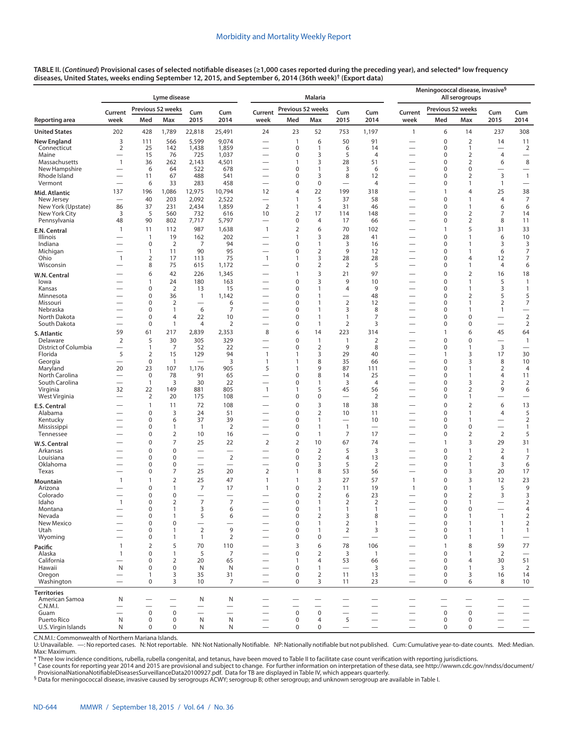|                                  |                                            |                                  | Lyme disease         |                                                      | <b>Malaria</b>                             |                                                      |                            |                                  |                                  |                                   | Meningococcal disease, invasive <sup>§</sup><br>All serogroups |                                         |                                         |                                                      |                                                    |
|----------------------------------|--------------------------------------------|----------------------------------|----------------------|------------------------------------------------------|--------------------------------------------|------------------------------------------------------|----------------------------|----------------------------------|----------------------------------|-----------------------------------|----------------------------------------------------------------|-----------------------------------------|-----------------------------------------|------------------------------------------------------|----------------------------------------------------|
|                                  | Current                                    |                                  | Previous 52 weeks    | Cum                                                  | Cum                                        | Current                                              | Previous 52 weeks          |                                  | Cum                              | Cum                               | Current                                                        | Previous 52 weeks                       |                                         | Cum                                                  | Cum                                                |
| Reporting area                   | week                                       | Med                              | Max                  | 2015                                                 | 2014                                       | week                                                 | Med                        | Max                              | 2015                             | 2014                              | week                                                           | Med                                     | Max                                     | 2015                                                 | 2014                                               |
| <b>United States</b>             | 202                                        | 428                              | 1,789                | 22,818                                               | 25,491                                     | 24                                                   | 23                         | 52                               | 753                              | 1,197                             | $\mathbf{1}$                                                   | 6                                       | 14                                      | 237                                                  | 308                                                |
| <b>New England</b>               | 3                                          | 111                              | 566                  | 5,599                                                | 9,074                                      | $\overline{\phantom{0}}$                             | $\mathbf{1}$               | 6                                | 50                               | 91                                |                                                                | $\mathbf 0$                             | $\overline{2}$                          | 14                                                   | 11                                                 |
| Connecticut<br>Maine             | $\overline{2}$<br>$\overline{\phantom{0}}$ | 25<br>15                         | 142<br>76            | 1,438<br>725                                         | 1,859<br>1,037                             | $\overline{\phantom{0}}$<br>-                        | $\mathbf 0$<br>0           | $\mathbf{1}$<br>3                | 6<br>5                           | 14<br>4                           | $\overline{\phantom{0}}$<br>-                                  | 0<br>0                                  | 1<br>2                                  | $\overline{\phantom{0}}$<br>4                        | $\overline{2}$<br>$\overbrace{\phantom{12322111}}$ |
| Massachusetts                    | $\mathbf{1}$                               | 36                               | 262                  | 2,143                                                | 4,501                                      |                                                      | 1                          | 3                                | 28                               | 51                                | -                                                              | $\mathbf 0$                             | $\overline{2}$                          | 6                                                    | $\,$ 8 $\,$                                        |
| New Hampshire<br>Rhode Island    | $\overline{\phantom{0}}$                   | 6<br>11                          | 64<br>67             | 522<br>488                                           | 678<br>541                                 | $\overline{\phantom{0}}$<br>$\overline{\phantom{0}}$ | 0<br>0                     | 1<br>3                           | 3<br>8                           | 6<br>12                           | $\overline{\phantom{0}}$<br>-                                  | 0<br>$\mathbf 0$                        | $\mathbf 0$<br>2                        | 3                                                    | $\overbrace{\phantom{12322111}}$<br>$\mathbf{1}$   |
| Vermont                          |                                            | 6                                | 33                   | 283                                                  | 458                                        | $\overline{\phantom{0}}$                             | 0                          | $\bf 0$                          | $\overline{\phantom{0}}$         | 4                                 |                                                                | 0                                       | $\mathbf{1}$                            | $\mathbf{1}$                                         | $\overline{\phantom{0}}$                           |
| Mid. Atlantic                    | 137                                        | 196                              | 1,086                | 12,975                                               | 10,794                                     | 12                                                   | $\overline{4}$             | 22                               | 199                              | 318                               |                                                                | $\mathbf{1}$                            | $\overline{4}$                          | 25                                                   | 38                                                 |
| New Jersey<br>New York (Upstate) | 86                                         | 40<br>37                         | 203<br>231           | 2,092<br>2,434                                       | 2,522<br>1,859                             | $\overline{\phantom{0}}$<br>$\overline{2}$           | 1<br>1                     | 5<br>$\overline{4}$              | 37<br>31                         | 58<br>46                          |                                                                | $\mathbf 0$<br>$\mathbf 0$              | $\mathbf{1}$<br>1                       | $\overline{4}$<br>6                                  | $\overline{7}$<br>6                                |
| New York City                    | 3                                          | 5                                | 560                  | 732                                                  | 616                                        | 10                                                   | 2                          | 17                               | 114                              | 148                               | —                                                              | 0                                       | 2                                       | 7                                                    | 14                                                 |
| Pennsylvania                     | 48                                         | 90                               | 802                  | 7,717                                                | 5,797                                      | $\overline{\phantom{0}}$                             | 0                          | $\overline{4}$                   | 17                               | 66                                | -                                                              | $\mathbf 0$                             | $\overline{2}$                          | 8                                                    | 11                                                 |
| E.N. Central                     | 1                                          | 11                               | 112                  | 987                                                  | 1,638                                      | $\mathbf{1}$                                         | 2                          | 6                                | 70                               | 102                               |                                                                | $\mathbf{1}$<br>$\mathbf 0$             | 5<br>$\mathbf{1}$                       | 31                                                   | 33                                                 |
| Illinois<br>Indiana              |                                            | $\mathbf{1}$<br>0                | 19<br>$\overline{2}$ | 162<br>7                                             | 202<br>94                                  | $\overline{\phantom{0}}$                             | 1<br>0                     | 3<br>$\mathbf{1}$                | 28<br>3                          | 41<br>16                          |                                                                | 0                                       | $\mathbf{1}$                            | 6<br>3                                               | 10<br>3                                            |
| Michigan                         |                                            | $\mathbf{1}$                     | 11                   | 90                                                   | 95                                         |                                                      | 0                          | $\mathbf 2$                      | 9                                | 12                                |                                                                | $\mathbf 0$                             | $\mathbf{1}$                            | 6                                                    | $\boldsymbol{7}$                                   |
| Ohio<br>Wisconsin                | $\mathbf{1}$                               | 2<br>8                           | 17<br>75             | 113<br>615                                           | 75<br>1,172                                | $\mathbf{1}$                                         | 1<br>0                     | 3<br>$\overline{2}$              | 28<br>$\overline{2}$             | 28<br>5                           | —<br>$\overline{\phantom{0}}$                                  | 0<br>0                                  | 4<br>$\mathbf{1}$                       | 12<br>$\overline{4}$                                 | $\boldsymbol{7}$<br>6                              |
| W.N. Central                     |                                            | 6                                | 42                   | 226                                                  | 1,345                                      |                                                      | $\mathbf{1}$               | 3                                | 21                               | 97                                | $\overline{\phantom{0}}$                                       | $\pmb{0}$                               | $\overline{2}$                          | 16                                                   | 18                                                 |
| lowa                             |                                            | $\mathbf{1}$                     | 24                   | 180                                                  | 163                                        | $\overline{\phantom{0}}$                             | 0                          | 3                                | 9                                | 10                                |                                                                | $\mathbf 0$                             | $\mathbf{1}$                            | 5                                                    | $\mathbf{1}$                                       |
| Kansas<br>Minnesota              |                                            | 0<br>0                           | $\overline{2}$<br>36 | 13<br>$\mathbf{1}$                                   | 15<br>1,142                                |                                                      | 0<br>0                     | $\mathbf{1}$<br>$\overline{1}$   | 4                                | 9<br>48                           |                                                                | 0<br>$\mathbf 0$                        | 1<br>2                                  | 3<br>5                                               | $\mathbf{1}$<br>5                                  |
| Missouri                         |                                            | 0                                | $\overline{2}$       |                                                      | 6                                          |                                                      | 0                          | $\mathbf{1}$                     | $\overline{2}$                   | 12                                | $\overline{\phantom{0}}$                                       | 0                                       | $\mathbf{1}$                            | $\overline{2}$                                       | $\boldsymbol{7}$                                   |
| Nebraska                         |                                            | 0                                | 1                    | 6                                                    | 7                                          |                                                      | 0                          | $\mathbf{1}$                     | 3                                | 8                                 |                                                                | $\mathbf 0$                             | $\mathbf{1}$                            | $\mathbf{1}$                                         | $\overline{\phantom{0}}$                           |
| North Dakota<br>South Dakota     | $\overline{\phantom{0}}$                   | 0<br>0                           | 4<br>1               | 22<br>$\overline{4}$                                 | 10<br>$\overline{2}$                       | $\overline{\phantom{0}}$                             | 0<br>0                     | $\mathbf{1}$<br>$\overline{1}$   | $\mathbf{1}$<br>$\overline{2}$   | 7<br>3                            | $\overline{\phantom{0}}$<br>$\overline{\phantom{0}}$           | 0<br>0                                  | $\mathbf 0$<br>0                        | $\overline{\phantom{0}}$<br>$\overline{\phantom{0}}$ | $\overline{2}$<br>$\overline{2}$                   |
| S. Atlantic                      | 59                                         | 61                               | 217                  | 2,839                                                | 2,353                                      | 8                                                    | 6                          | 14                               | 223                              | 314                               |                                                                | $\mathbf{1}$                            | 6                                       | 45                                                   | 64                                                 |
| Delaware                         | $\overline{2}$                             | 5                                | 30                   | 305                                                  | 329                                        |                                                      | 0                          | $\mathbf{1}$                     | $\mathbf{1}$                     | $\mathbf 2$                       |                                                                | $\mathbf 0$                             | $\Omega$                                | $\overline{\phantom{0}}$                             | $\mathbf{1}$                                       |
| District of Columbia<br>Florida  | 5                                          | $\mathbf{1}$<br>$\overline{2}$   | 7<br>15              | 52<br>129                                            | 22<br>94                                   | $\overline{\phantom{0}}$<br>$\mathbf{1}$             | 0<br>1                     | $\overline{2}$<br>3              | 9<br>29                          | 8<br>40                           | $\overline{\phantom{0}}$<br>—                                  | 0<br>$\mathbf{1}$                       | 1<br>3                                  | 3<br>17                                              | $\overline{\phantom{0}}$<br>30                     |
| Georgia                          |                                            | $\boldsymbol{0}$                 | 1                    |                                                      | 3                                          | $\mathbf{1}$                                         | $\mathbf{1}$               | 8                                | 35                               | 66                                | $\overline{\phantom{0}}$                                       | $\pmb{0}$                               | 3                                       | 8                                                    | 10                                                 |
| Maryland                         | 20                                         | 23                               | 107                  | 1,176                                                | 905                                        | 5                                                    | $\mathbf{1}$               | 9                                | 87                               | 111                               | $\overline{\phantom{0}}$                                       | $\pmb{0}$                               | $\mathbf{1}$                            | $\overline{2}$                                       | $\overline{4}$                                     |
| North Carolina<br>South Carolina |                                            | $\boldsymbol{0}$<br>$\mathbf{1}$ | 78<br>3              | 91<br>30                                             | 65<br>22                                   | $\overline{\phantom{0}}$<br>$\overline{\phantom{0}}$ | 0<br>0                     | 8<br>$\overline{1}$              | 14<br>3                          | 25<br>$\overline{4}$              | —<br>—                                                         | 0<br>0                                  | $\mathbf{1}$<br>3                       | $\overline{4}$<br>$\overline{2}$                     | 11<br>$\overline{2}$                               |
| Virginia                         | 32                                         | 22                               | 149                  | 881                                                  | 805                                        | $\mathbf{1}$                                         | 1                          | 5                                | 45                               | 56                                | $\overline{\phantom{0}}$                                       | 0                                       | $\overline{2}$                          | 9                                                    | 6                                                  |
| West Virginia                    | $\overline{\phantom{0}}$                   | 2                                | 20                   | 175                                                  | 108                                        | -                                                    | 0<br>0                     | $\pmb{0}$                        | $\overline{\phantom{0}}$         | 2                                 |                                                                | $\pmb{0}$                               | 1                                       | $\overline{\phantom{0}}$                             |                                                    |
| E.S. Central<br>Alabama          |                                            | $\mathbf{1}$<br>$\boldsymbol{0}$ | 11<br>3              | 72<br>24                                             | 108<br>51                                  |                                                      | 0                          | 3<br>$\overline{2}$              | 18<br>10                         | 38<br>11                          | $\overline{\phantom{0}}$                                       | $\pmb{0}$<br>$\pmb{0}$                  | $\overline{2}$<br>1                     | 6<br>$\overline{4}$                                  | 13<br>5                                            |
| Kentucky                         | $\overline{\phantom{0}}$                   | 0                                | 6                    | 37                                                   | 39                                         | -                                                    | 0                          | $\mathbf{1}$                     |                                  | 10                                | —                                                              | 0                                       | 1                                       |                                                      | $\overline{2}$                                     |
| Mississippi<br>Tennessee         |                                            | 0<br>$\boldsymbol{0}$            | 1<br>$\overline{2}$  | $\overline{1}$<br>10                                 | $\overline{2}$<br>16                       | $\overline{\phantom{0}}$<br>$\overline{\phantom{0}}$ | 0<br>0                     | $\mathbf{1}$<br>$\overline{1}$   | $\mathbf{1}$<br>7                | $\overline{\phantom{0}}$<br>17    | $\overline{\phantom{0}}$                                       | $\pmb{0}$<br>$\pmb{0}$                  | 0<br>$\overline{2}$                     | $\overline{\phantom{0}}$<br>$\overline{2}$           | $\mathbf{1}$<br>5                                  |
| W.S. Central                     |                                            | $\boldsymbol{0}$                 | 7                    | 25                                                   | 22                                         | 2                                                    | 2                          | 10                               | 67                               | 74                                |                                                                | $\mathbf{1}$                            | 3                                       | 29                                                   | 31                                                 |
| Arkansas                         |                                            | $\mathbf 0$                      | 0                    | $\overline{\phantom{0}}$                             | $\overline{\phantom{0}}$                   | $\overline{\phantom{0}}$                             | 0                          | $\overline{2}$                   | 5                                | 3                                 |                                                                | $\mathbf 0$                             | 1                                       | $\overline{2}$                                       | $\mathbf{1}$                                       |
| Louisiana                        |                                            | 0                                | 0                    |                                                      | $\overline{2}$<br>$\overline{\phantom{0}}$ | -                                                    | 0                          | $\overline{2}$                   | $\overline{4}$                   | 13                                | -                                                              | 0                                       | $\overline{2}$                          | $\overline{4}$                                       | 7                                                  |
| Oklahoma<br>Texas                | $\overline{\phantom{0}}$                   | 0<br>0                           | 0<br>7               | 25                                                   | 20                                         | $\overline{2}$                                       | 0<br>1                     | 3<br>8                           | 5<br>53                          | $\overline{2}$<br>56              | $\overline{\phantom{0}}$                                       | 0<br>$\mathbf 0$                        | 1<br>3                                  | 3<br>20                                              | 6<br>17                                            |
| <b>Mountain</b>                  | 1                                          | $\mathbf{1}$                     | $\overline{2}$       | 25                                                   | 47                                         | $\mathbf{1}$                                         | 1                          | 3                                | 27                               | 57                                | $\mathbf{1}$                                                   | $\pmb{0}$                               | 3                                       | 12                                                   | 23                                                 |
| Arizona                          |                                            | $\mathbf 0$                      | 1                    | 7                                                    | 17                                         | $\mathbf{1}$                                         | 0                          | $\overline{2}$                   | 11                               | 19                                | $\mathbf{1}$                                                   | $\mathbf 0$                             | $\mathbf{1}$                            | 5                                                    | 9                                                  |
| Colorado<br>idaho                | $\overline{\phantom{0}}$                   | 0<br>O                           | 0<br>2               | $\overline{\phantom{0}}$<br>7                        | 7                                          |                                                      | 0<br>U                     | $\overline{2}$                   | 6<br>$\mathcal{L}_{\mathcal{L}}$ | 23<br>$\mathcal{L}_{\mathcal{L}}$ |                                                                | $\mathbf 0$<br>0                        | $\overline{2}$                          | 3<br>$\overline{\phantom{0}}$                        | 3<br>2                                             |
| Montana                          |                                            | 0                                | 1                    | 3                                                    | 6                                          |                                                      | 0                          | $\mathbf{1}$                     | $\mathbf{1}$                     | $\mathbf{1}$                      | $\qquad \qquad -$                                              | $\pmb{0}$                               | 0                                       | $\overline{\phantom{0}}$                             | 4                                                  |
| Nevada<br>New Mexico             |                                            | $\mathbf 0$<br>$\boldsymbol{0}$  | $\mathbf{1}$<br>0    | 5                                                    | 6                                          |                                                      | 0<br>0                     | 2<br>$\mathbf{1}$                | 3<br>$\overline{2}$              | 8<br>$\mathbf{1}$                 |                                                                | $\mathbf 0$<br>$\pmb{0}$                | $\mathbf{1}$<br>1                       | $\overline{1}$<br>$\mathbf{1}$                       | $\overline{2}$<br>$\overline{2}$                   |
| Utah                             |                                            | 0                                | 1                    | $\overline{2}$                                       | 9                                          | $\overline{\phantom{0}}$                             | 0                          | $\mathbf{1}$                     | 2                                | 3                                 | $\overline{\phantom{0}}$                                       | $\pmb{0}$                               | 1                                       | $\mathbf{1}$                                         | $\mathbf{1}$                                       |
| Wyoming                          |                                            | $\boldsymbol{0}$                 | 1                    | $\mathbf{1}$                                         | $\overline{2}$                             |                                                      | 0                          | $\mathbf 0$                      |                                  |                                   |                                                                | 0                                       | 1                                       | $\mathbf{1}$                                         |                                                    |
| Pacific<br>Alaska                | 1<br>$\mathbf{1}$                          | $\overline{2}$<br>$\mathbf 0$    | 5<br>$\mathbf{1}$    | 70<br>5                                              | 110                                        |                                                      | 3<br>0                     | 6                                | 78                               | 106                               |                                                                | $\mathbf{1}$<br>$\mathbf 0$             | 8<br>$\mathbf{1}$                       | 59<br>$\overline{2}$                                 | 77                                                 |
| California                       |                                            | $\mathbf 0$                      | $\overline{2}$       | 20                                                   | 7<br>65                                    |                                                      | 1                          | $\overline{2}$<br>$\overline{4}$ | 3<br>53                          | $\mathbf{1}$<br>66                |                                                                | $\mathbf 0$                             | $\overline{4}$                          | 30                                                   | 51                                                 |
| Hawaii                           | N                                          | $\mathbf 0$                      | 0                    | N                                                    | N                                          |                                                      | 0                          | $\mathbf{1}$                     | $\overbrace{\phantom{12322111}}$ | 3                                 |                                                                | $\mathbf 0$                             | 1                                       | 3                                                    | $\overline{2}$                                     |
| Oregon<br>Washington             |                                            | $\mathbf{1}$<br>$\mathbf 0$      | 3<br>3               | 35<br>10                                             | 31<br>7                                    | $\overline{\phantom{0}}$                             | $\mathbf 0$<br>$\mathbf 0$ | 2<br>3                           | 11<br>11                         | 13<br>23                          | $\qquad \qquad -$                                              | $\pmb{0}$<br>$\mathbf 0$                | 3<br>6                                  | 16<br>8                                              | 14<br>10                                           |
| <b>Territories</b>               |                                            |                                  |                      |                                                      |                                            |                                                      |                            |                                  |                                  |                                   |                                                                |                                         |                                         |                                                      |                                                    |
| American Samoa                   | N                                          |                                  |                      | N                                                    | N                                          |                                                      |                            |                                  |                                  |                                   |                                                                |                                         |                                         |                                                      |                                                    |
| C.N.M.I.<br>Guam                 | $\overline{\phantom{0}}$                   | $\mathbf 0$                      | $\pmb{0}$            | $\overline{\phantom{0}}$<br>$\overline{\phantom{0}}$ | $\overline{\phantom{0}}$                   |                                                      | $\pmb{0}$                  | $\mathsf 0$                      | $\overline{\phantom{0}}$         | $\overline{\phantom{0}}$          |                                                                | $\overline{\phantom{0}}$<br>$\mathsf 0$ | $\overline{\phantom{0}}$<br>$\mathbf 0$ | $\overline{\phantom{0}}$                             | $\overline{\phantom{0}}$                           |
| Puerto Rico                      | ${\sf N}$                                  | 0                                | 0                    | ${\sf N}$                                            | N                                          | $\overline{\phantom{0}}$                             | $\mathbf 0$                | 4                                | 5                                | $\equiv$                          | $\qquad \qquad -$                                              | $\mathbf 0$                             | 0                                       | $\overline{\phantom{0}}$                             | $\qquad \qquad -$                                  |
| U.S. Virgin Islands              | N                                          | $\mathbf 0$                      | 0                    | N                                                    | N                                          |                                                      | $\mathbf 0$                | 0                                |                                  | $\overline{\phantom{0}}$          | $\qquad \qquad -$                                              | $\pmb{0}$                               | 0                                       | $\overline{\phantom{0}}$                             | $\qquad \qquad -$                                  |

C.N.M.I.: Commonwealth of Northern Mariana Islands.<br>U: Unavailable. —: No reported cases. N: Not reportable. NN: Not Nationally Notifiable. NP: Nationally notifiable but not published. Cum: Cumulative year-to-dat Max: Maximum.

\* Three low incidence conditions, rubella, rubella congenital, and tetanus, have been moved to Table II to facilitate case count verification with reporting jurisdictions.

† Case counts for reporting year 2014 and 2015 are provisional and subject to change. For further information on interpretation of these data, see [http://wwwn.cdc.gov/nndss/document/](http://wwwn.cdc.gov/nndss/document/ProvisionalNationaNotifiableDiseasesSurveillanceData20100927.pdf)

<sup>§</sup> Data for meningococcal disease, invasive caused by serogroups ACWY; serogroup B; other serogroup; and unknown serogroup are available in Table I.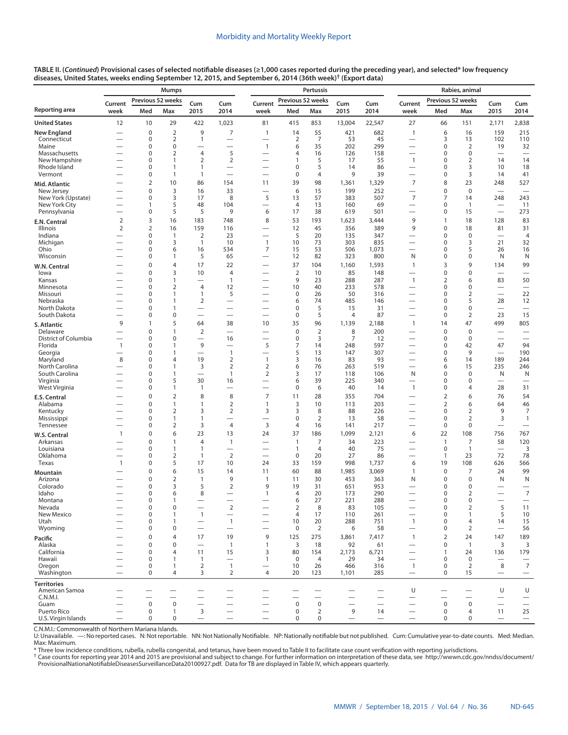|                                     |                          |                   | <b>Mumps</b>                   |                                  |                                            |                               |                                  | Pertussis                |            | Rabies, animal           |                                          |                             |                                    |                                               |                                   |
|-------------------------------------|--------------------------|-------------------|--------------------------------|----------------------------------|--------------------------------------------|-------------------------------|----------------------------------|--------------------------|------------|--------------------------|------------------------------------------|-----------------------------|------------------------------------|-----------------------------------------------|-----------------------------------|
|                                     | Current                  | Previous 52 weeks |                                | Cum                              | Cum                                        | Current                       | Previous 52 weeks                |                          | Cum        | Cum                      | Current                                  | Previous 52 weeks           |                                    | Cum<br>Cum                                    |                                   |
| Reporting area                      | week                     | Med               | Max                            | 2015                             | 2014                                       | week                          | Med                              | Max                      | 2015       | 2014                     | week                                     | Med                         | Max                                | 2015                                          | 2014                              |
| <b>United States</b>                | 12                       | 10                | 29                             | 422                              | 1,023                                      | 81                            | 415                              | 853                      | 13,004     | 22,547                   | 27                                       | 66                          | 151                                | 2,171                                         | 2,838                             |
| New England                         |                          | $\boldsymbol{0}$  | $\overline{2}$                 | 9                                | 7                                          | $\mathbf{1}$                  | 14                               | 55                       | 421        | 682                      | $\mathbf{1}$                             | 6                           | 16                                 | 159                                           | 215                               |
| Connecticut                         |                          | 0                 | $\overline{2}$                 | 1                                |                                            |                               | 2                                | 7                        | 53         | 45                       | $\overline{\phantom{0}}$                 | 3                           | 13                                 | 102                                           | 110                               |
| Maine<br>Massachusetts              |                          | 0<br>0            | 0<br>$\overline{2}$            | $\overline{4}$                   | 5                                          | $\mathbf{1}$                  | 6<br>4                           | 35<br>16                 | 202<br>126 | 299<br>158               |                                          | $\mathbf 0$<br>0            | $\overline{2}$<br>$\boldsymbol{0}$ | 19<br>$\overline{\phantom{0}}$                | 32                                |
| New Hampshire                       |                          | 0                 | 1                              | $\overline{2}$                   | $\overline{2}$                             | -                             | 1                                | 5                        | 17         | 55                       | $\mathbf{1}$                             | $\mathbf 0$                 | 2                                  | 14                                            | 14                                |
| Rhode Island                        | $\overline{\phantom{0}}$ | 0                 | $\mathbf{1}$                   | $\mathbf{1}$                     |                                            | —                             | 0                                | 5                        | 14         | 86                       | $\overline{\phantom{0}}$                 | 0                           | 3                                  | 10                                            | 18                                |
| Vermont                             |                          | 0                 | $\mathbf{1}$                   | $\mathbf{1}$                     | $\overline{\phantom{0}}$                   | $\overline{\phantom{0}}$      | 0                                | $\overline{4}$           | 9          | 39                       |                                          | $\mathbf 0$                 | 3                                  | 14                                            | 41                                |
| Mid. Atlantic                       |                          | $\overline{2}$    | 10                             | 86                               | 154                                        | 11                            | 39                               | 98                       | 1,361      | 1,329                    | $\overline{7}$                           | 8                           | 23                                 | 248                                           | 527                               |
| New Jersey                          |                          | $\mathbf 0$       | 3                              | 16                               | 33                                         |                               | 6                                | 15                       | 199        | 252                      |                                          | 0                           | $\mathbf 0$                        | $\overline{\phantom{0}}$                      | $\overline{\phantom{0}}$          |
| New York (Upstate)<br>New York City |                          | 0<br>$\mathbf{1}$ | 3<br>5                         | 17<br>48                         | 8<br>104                                   | 5<br>$\overline{\phantom{0}}$ | 13<br>$\overline{4}$             | 57<br>13                 | 383<br>160 | 507<br>69                | 7<br>$\overline{\phantom{0}}$            | 7<br>$\mathbf 0$            | 14<br>$\overline{1}$               | 248                                           | 243                               |
| Pennsylvania                        | $\overline{\phantom{0}}$ | 0                 | 5                              | 5                                | 9                                          | 6                             | 17                               | 38                       | 619        | 501                      | $\overline{\phantom{0}}$                 | 0                           | 15                                 | $\overbrace{\phantom{12322111}}$              | 11<br>273                         |
| E.N. Central                        | $\overline{2}$           | 3                 | 16                             | 183                              | 748                                        | 8                             | 53                               | 193                      | 1,623      | 3,444                    | 9                                        | $\mathbf{1}$                | 18                                 | 128                                           | 83                                |
| Illinois                            | $\overline{2}$           | $\overline{2}$    | 16                             | 159                              | 116                                        |                               | 12                               | 45                       | 356        | 389                      | 9                                        | $\pmb{0}$                   | 18                                 | 81                                            | 31                                |
| Indiana                             | $\overline{\phantom{0}}$ | 0                 | $\mathbf{1}$                   | $\overline{2}$                   | 23                                         | $\overline{\phantom{0}}$      | 5                                | 20                       | 135        | 347                      | $\overline{\phantom{0}}$                 | $\mathbf 0$                 | $\mathbf 0$                        | $\overline{\phantom{0}}$                      | 4                                 |
| Michigan                            |                          | 0                 | 3                              | $\mathbf{1}$                     | 10                                         | $\mathbf{1}$                  | 10                               | 73                       | 303        | 835                      |                                          | 0                           | 3                                  | 21                                            | 32                                |
| Ohio                                |                          | 0                 | 6                              | 16                               | 534                                        | 7                             | 15                               | 53                       | 506        | 1,073                    | $\overline{\phantom{0}}$                 | 0                           | 5                                  | 26                                            | 16                                |
| Wisconsin                           |                          | 0                 | 1                              | 5                                | 65                                         |                               | 12                               | 82                       | 323        | 800                      | N                                        | 0                           | 0                                  | N                                             | N                                 |
| W.N. Central                        |                          | $\mathbf 0$       | 4                              | 17                               | 22                                         |                               | 37                               | 104                      | 1,160      | 1,593                    | $\mathbf{1}$                             | 3                           | 9                                  | 134                                           | 99                                |
| lowa                                |                          | 0<br>0            | 3<br>1                         | 10                               | $\overline{4}$<br>$\mathbf{1}$             |                               | $\overline{2}$<br>9              | 10<br>23                 | 85<br>288  | 148<br>287               | $\mathbf{1}$                             | 0<br>2                      | 0<br>6                             | 83                                            | 50                                |
| Kansas<br>Minnesota                 |                          | 0                 | $\overline{2}$                 | $\overline{4}$                   | 12                                         | $\overline{\phantom{0}}$      | 10                               | 40                       | 233        | 578                      |                                          | 0                           | $\boldsymbol{0}$                   |                                               |                                   |
| Missouri                            |                          | 0                 | 1                              | $\mathbf{1}$                     | 5                                          |                               | 0                                | 26                       | 50         | 316                      | —                                        | $\mathbf 0$                 | 2                                  | $\overline{\phantom{0}}$                      | 22                                |
| Nebraska                            |                          | 0                 | $\mathbf{1}$                   | $\overline{2}$                   | $\overline{\phantom{0}}$                   | -                             | 6                                | 74                       | 485        | 146                      | —                                        | 0                           | 5                                  | 28                                            | 12                                |
| North Dakota                        |                          | 0                 | $\mathbf{1}$                   | $\overline{\phantom{0}}$         | $\overline{\phantom{0}}$                   |                               | 0                                | 5                        | 15         | 31                       |                                          | $\mathbf 0$                 | 0                                  | $\overline{\phantom{0}}$                      |                                   |
| South Dakota                        |                          | 0                 | 0                              | $\overline{\phantom{0}}$         | $\overline{\phantom{0}}$                   |                               | $\pmb{0}$                        | 5                        | 4          | 87                       |                                          | $\mathbf 0$                 | $\overline{2}$                     | 23                                            | 15                                |
| S. Atlantic                         | 9                        | 1                 | 5                              | 64                               | 38                                         | 10                            | 35                               | 96                       | 1,139      | 2,188                    | $\mathbf{1}$                             | 14                          | 47                                 | 499                                           | 805                               |
| Delaware<br>District of Columbia    | $\overline{\phantom{0}}$ | 0<br>0            | $\mathbf{1}$<br>0              | $\overline{2}$                   | 16                                         |                               | $\pmb{0}$<br>0                   | $\overline{2}$<br>3      | 8<br>7     | 200<br>12                | $\overline{\phantom{0}}$                 | $\pmb{0}$<br>0              | $\boldsymbol{0}$<br>$\mathbf 0$    | $\overline{\phantom{0}}$                      |                                   |
| Florida                             | $\mathbf{1}$             | 0                 | $\mathbf{1}$                   | 9                                |                                            | 5                             | 7                                | 14                       | 248        | 597                      |                                          | $\mathbf 0$                 | 42                                 | 47                                            | 94                                |
| Georgia                             |                          | 0                 | $\mathbf{1}$                   | $\overline{\phantom{0}}$         | $\mathbf{1}$                               | -                             | 5                                | 13                       | 147        | 307                      |                                          | $\mathbf 0$                 | 9                                  | $\overline{\phantom{0}}$                      | 190                               |
| Maryland                            | 8                        | 0                 | $\overline{4}$                 | 19                               | $\overline{2}$                             | $\mathbf{1}$                  | 3                                | 16                       | 83         | 93                       |                                          | 6                           | 14                                 | 189                                           | 244                               |
| North Carolina                      |                          | 0                 | $\mathbf{1}$                   | 3                                | $\overline{2}$                             | $\overline{2}$                | 6                                | 76                       | 263        | 519                      |                                          | 6                           | 15                                 | 235                                           | 246                               |
| South Carolina                      |                          | 0<br>0            | $\mathbf{1}$<br>5              | 30                               | $\mathbf{1}$                               | $\overline{2}$                | 3                                | 17<br>39                 | 118<br>225 | 106<br>340               | N                                        | $\mathbf 0$<br>$\mathbf 0$  | $\mathbf 0$<br>$\mathbf 0$         | N                                             | N                                 |
| Virginia<br>West Virginia           |                          | 0                 | $\mathbf{1}$                   | $\mathbf{1}$                     | 16                                         | -                             | 6<br>$\pmb{0}$                   | 6                        | 40         | 14                       | $\overline{\phantom{0}}$<br>$\mathbf{1}$ | $\pmb{0}$                   | 4                                  | $\overline{\phantom{0}}$<br>28                | $\overline{\phantom{0}}$<br>31    |
|                                     |                          | $\mathbf 0$       | $\overline{2}$                 | 8                                | 8                                          | $\overline{7}$                | 11                               | 28                       | 355        | 704                      |                                          | $\overline{2}$              | 6                                  | 76                                            | 54                                |
| E.S. Central<br>Alabama             |                          | 0                 | $\mathbf{1}$                   | $\mathbf{1}$                     | $\overline{2}$                             | $\mathbf{1}$                  | 3                                | 10                       | 113        | 203                      |                                          | $\overline{2}$              | 6                                  | 64                                            | 46                                |
| Kentucky                            |                          | 0                 | $\overline{2}$                 | 3                                | $\overline{2}$                             | 3                             | 3                                | 8                        | 88         | 226                      |                                          | $\mathbf 0$                 | 2                                  | 9                                             | 7                                 |
| Mississippi                         |                          | 0                 | 1                              | $\mathbf{1}$                     |                                            |                               | $\pmb{0}$                        | $\overline{2}$           | 13         | 58                       | $\overline{\phantom{0}}$                 | $\mathbf 0$                 | 2                                  | 3                                             | $\mathbf{1}$                      |
| Tennessee                           |                          | 0                 | $\overline{2}$                 | 3                                | $\overline{4}$                             | 3                             | $\overline{4}$                   | 16                       | 141        | 217                      | $\overline{\phantom{0}}$                 | $\mathbf 0$                 | $\boldsymbol{0}$                   | $\qquad \qquad$                               |                                   |
| W.S. Central                        | $\mathbf{1}$             | $\mathbf 0$       | 6                              | 23                               | 13                                         | 24                            | 37                               | 186                      | 1,099      | 2,121                    | 6                                        | 22                          | 108                                | 756                                           | 767                               |
| Arkansas                            |                          | $\mathbf 0$       | $\mathbf{1}$                   | $\overline{4}$                   | $\mathbf{1}$                               |                               | $\mathbf{1}$                     | 7                        | 34         | 223                      |                                          | $\overline{1}$              | 7                                  | 58                                            | 120                               |
| Louisiana<br>Oklahoma               |                          | 0<br>0            | $\mathbf{1}$<br>$\overline{2}$ | $\mathbf{1}$<br>$\mathbf{1}$     | $\overline{\phantom{0}}$<br>$\overline{2}$ |                               | $\mathbf{1}$<br>$\pmb{0}$        | $\overline{4}$<br>20     | 40<br>27   | 75<br>86                 | $\overline{\phantom{0}}$                 | $\mathbf 0$<br>$\mathbf{1}$ | $\mathbf{1}$<br>23                 | 72                                            | 3                                 |
| Texas                               | $\mathbf{1}$             | 0                 | 5                              | 17                               | 10                                         | 24                            | 33                               | 159                      | 998        | 1,737                    | 6                                        | 19                          | 108                                | 626                                           | 78<br>566                         |
|                                     |                          | $\mathbf 0$       | 6                              | 15                               | 14                                         | 11                            | 60                               | 88                       | 1,985      | 3,069                    | $\mathbf{1}$                             | $\mathbf 0$                 | $\overline{7}$                     | 24                                            | 99                                |
| Mountain<br>Arizona                 |                          | 0                 | 2                              | $\mathbf{1}$                     | 9                                          | $\mathbf{1}$                  | 11                               | 30                       | 453        | 363                      | N                                        | $\mathbf 0$                 | $\boldsymbol{0}$                   | N                                             | N                                 |
| Colorado                            |                          | 0                 | 3                              | 5                                | $\overline{2}$                             | 9                             | 19                               | 31                       | 651        | 953                      |                                          | $\mathbf 0$                 | 0                                  |                                               | $\overline{\phantom{0}}$          |
| Idaho                               |                          | 0                 | 6                              | 8                                |                                            | 1                             | $\overline{4}$                   | 20                       | 173        | 290                      |                                          | $\mathbf 0$                 | 2                                  |                                               | $\overline{7}$                    |
| Montana                             |                          | 0                 | 1                              |                                  | $\overline{\phantom{0}}$                   |                               | 6                                | 27                       | 221        | 288                      |                                          | $\Omega$                    | $\mathbf 0$                        |                                               | $\overline{\phantom{0}}$          |
| Nevada<br>New Mexico                |                          | 0<br>0            | 0<br>$\mathbf{1}$              | $\overline{1}$                   | $\overline{2}$<br>$\overline{\phantom{0}}$ |                               | $\overline{2}$<br>$\overline{4}$ | 8<br>17                  | 83<br>110  | 105                      | $\overline{\phantom{0}}$                 | $\mathbf 0$<br>$\mathbf 0$  | 2<br>$\mathbf{1}$                  | 5<br>5                                        | 11<br>10                          |
| Utah                                |                          | 0                 | $\mathbf{1}$                   |                                  | $\mathbf{1}$                               | $\overline{\phantom{0}}$      | 10                               | 20                       | 288        | 261<br>751               | $\mathbf{1}$                             | $\mathbf 0$                 | $\overline{4}$                     | 14                                            | 15                                |
| Wyoming                             | —                        | 0                 | 0                              | $\overline{\phantom{0}}$         |                                            |                               | 0                                | 2                        | 6          | 58                       |                                          | $\mathbf 0$                 | 2                                  | $\overline{\phantom{m}}$                      | 56                                |
| Pacific                             |                          | $\mathbf 0$       | $\overline{4}$                 | 17                               | 19                                         | 9                             | 125                              | 275                      | 3,861      | 7,417                    | $\mathbf{1}$                             | $\overline{2}$              | 24                                 | 147                                           | 189                               |
| Alaska                              |                          | $\mathbf 0$       | 0                              | $\overbrace{\phantom{12322111}}$ | $\overline{1}$                             | $\mathbf{1}$                  | 3                                | 18                       | 92         | 61                       |                                          | $\mathbf 0$                 | $\mathbf{1}$                       | 3                                             | 3                                 |
| California                          | —                        | $\mathbf 0$       | 4                              | 11                               | 15                                         | 3                             | 80                               | 154                      | 2,173      | 6,721                    |                                          | $\mathbf{1}$                | 24                                 | 136                                           | 179                               |
| Hawaii                              | —                        | $\mathbf 0$       | 1                              | $\mathbf{1}$                     |                                            | $\mathbf{1}$                  | $\mathbf 0$                      | $\overline{4}$           | 29         | 34                       | $\overline{\phantom{0}}$                 | $\mathbf 0$                 | $\mathbf 0$                        |                                               |                                   |
| Oregon                              |                          | 0                 | 1                              | $\overline{2}$                   | $\mathbf{1}$                               |                               | 10                               | 26                       | 466        | 316                      | $\mathbf{1}$                             | $\mathbf 0$                 | $\overline{2}$                     | $\,8\,$                                       | $\overline{7}$                    |
| Washington                          |                          | $\mathbf 0$       | 4                              | 3                                | 2                                          | 4                             | 20                               | 123                      | 1,101      | 285                      | $\qquad \qquad$                          | $\mathbf 0$                 | 15                                 | $\overline{\phantom{0}}$                      | $\overbrace{\phantom{123221111}}$ |
| <b>Territories</b>                  |                          |                   |                                |                                  |                                            |                               |                                  |                          |            |                          |                                          |                             |                                    |                                               |                                   |
| American Samoa<br>C.N.M.I.          |                          |                   | $\overline{\phantom{0}}$       | $\overline{\phantom{0}}$         | $\overline{\phantom{0}}$                   |                               |                                  | $\overline{\phantom{0}}$ |            |                          | U                                        | $\overline{\phantom{0}}$    | $\overline{\phantom{0}}$           | U                                             | U                                 |
| Guam                                |                          | $\mathbf 0$       | $\mathbf 0$                    | $\overline{\phantom{0}}$         | $\overline{\phantom{0}}$                   |                               | $\pmb{0}$                        | $\mathbf 0$              |            | $\overline{\phantom{0}}$ | $\overline{\phantom{0}}$                 | $\mathbf 0$                 | $\mathbf 0$                        | $\qquad \qquad -$<br>$\overline{\phantom{0}}$ | $\overline{\phantom{0}}$          |
| Puerto Rico                         |                          | 0                 | $\mathbf{1}$                   | 3                                | $\overline{\phantom{0}}$                   | $\overline{\phantom{0}}$      | 0                                | $\overline{2}$           | 9          | 14                       | $\overline{\phantom{0}}$                 | 0                           | 4                                  | 11                                            | 25                                |
| U.S. Virgin Islands                 |                          | $\mathbf 0$       | $\mathbf 0$                    |                                  |                                            |                               | $\pmb{0}$                        | $\mathbf 0$              |            | $\overline{\phantom{0}}$ |                                          | 0                           | $\boldsymbol{0}$                   | $\overline{\phantom{0}}$                      | $\overline{\phantom{m}}$          |

C.N.M.I.: Commonwealth of Northern Mariana Islands.

U: Unavailable. —: No reported cases. N: Not reportable. NN: Not Nationally Notifiable. NP: Nationally notifiable but not published. Cum: Cumulative year-to-date counts. Med: Median.

Max: Maximum.<br>\* Three low incidence conditions, rubella, rubella congenital, and tetanus, have been moved to Table II to facilitate case count verification with reporting jurisdictions.<br>† Case counts for reporting year 201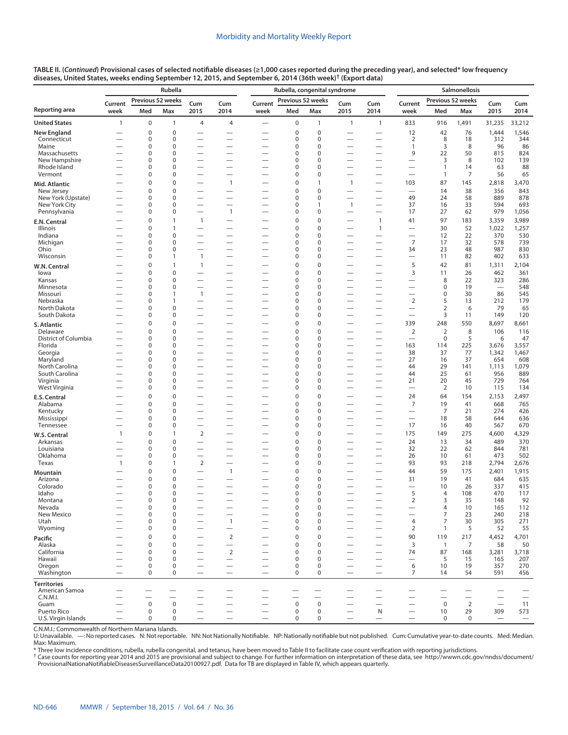|                                     |                          |                            | Rubella                     |                                                      |                                                      | Rubella, congenital syndrome                         | Salmonellosis                   |                             |                                                      |                                                      |                                        |                          |                          |                                 |                          |
|-------------------------------------|--------------------------|----------------------------|-----------------------------|------------------------------------------------------|------------------------------------------------------|------------------------------------------------------|---------------------------------|-----------------------------|------------------------------------------------------|------------------------------------------------------|----------------------------------------|--------------------------|--------------------------|---------------------------------|--------------------------|
|                                     | Current                  |                            | Previous 52 weeks           | Cum                                                  | Cum                                                  | Current                                              | Previous 52 weeks               |                             | Cum                                                  | Cum                                                  | Current                                |                          | Previous 52 weeks        | Cum                             | Cum                      |
| Reporting area                      | week                     | Med                        | Max                         | 2015                                                 | 2014                                                 | week                                                 | Med                             | Max                         | 2015                                                 | 2014                                                 | week                                   | Med                      | Max                      | 2015                            | 2014                     |
| <b>United States</b>                | $\mathbf{1}$             | $\mathbf 0$                | $\mathbf{1}$                | 4                                                    | $\overline{4}$                                       | $\overline{\phantom{0}}$                             | $\mathbf 0$                     | $\mathbf{1}$                | $\mathbf{1}$                                         | $\mathbf{1}$                                         | 833                                    | 916                      | 1,491                    | 31,235                          | 33,212                   |
| <b>New England</b>                  |                          | 0                          | $\mathbf 0$                 |                                                      |                                                      |                                                      | $\mathbf 0$                     | $\pmb{0}$                   |                                                      |                                                      | 12                                     | 42                       | 76                       | 1,444                           | 1,546                    |
| Connecticut                         |                          | 0                          | $\mathbf 0$                 | $\overline{\phantom{0}}$                             |                                                      |                                                      | $\mathbf 0$                     | $\mathbf 0$                 |                                                      | $\overline{\phantom{0}}$                             | $\overline{2}$                         | 8                        | 18                       | 312                             | 344                      |
| Maine<br>Massachusetts              |                          | 0<br>0                     | $\mathbf 0$<br>$\mathbf 0$  | $\overline{\phantom{0}}$                             |                                                      |                                                      | 0<br>0                          | $\mathbf 0$<br>$\mathbf 0$  |                                                      |                                                      | $\mathbf{1}$<br>9                      | 3<br>22                  | 8<br>50                  | 96<br>815                       | 86<br>824                |
| New Hampshire                       | -                        | 0                          | $\mathbf 0$                 | $\overline{\phantom{0}}$                             | $\overline{\phantom{0}}$                             |                                                      | 0                               | 0                           |                                                      |                                                      | $\overline{\phantom{0}}$               | 3                        | 8                        | 102                             | 139                      |
| Rhode Island                        |                          | 0                          | $\mathbf 0$                 | $\overline{\phantom{0}}$                             | $\overline{\phantom{0}}$                             |                                                      | 0                               | $\mathbf 0$                 |                                                      | $\overline{\phantom{0}}$                             | $\overline{\phantom{0}}$               | $\mathbf{1}$             | 14                       | 63                              | 88                       |
| Vermont                             |                          | 0                          | $\mathbf 0$                 |                                                      | —                                                    |                                                      | 0                               | $\mathbf 0$                 |                                                      |                                                      | $\overline{\phantom{0}}$               | $\overline{1}$           | 7                        | 56                              | 65                       |
| Mid. Atlantic                       | -                        | 0                          | $\mathbf 0$                 |                                                      | $\overline{1}$                                       | $\overline{\phantom{0}}$                             | 0                               | $\mathbf{1}$                | $\mathbf{1}$                                         | $\overline{\phantom{0}}$                             | 103                                    | 87                       | 145                      | 2,818                           | 3,470                    |
| New Jersey                          |                          | 0                          | $\mathbf 0$                 |                                                      | —                                                    |                                                      | $\mathbf 0$                     | $\mathbf 0$                 |                                                      |                                                      |                                        | 14                       | 38                       | 356                             | 843                      |
| New York (Upstate)<br>New York City |                          | 0<br>0                     | $\mathbf 0$<br>$\mathbf 0$  | $\overline{\phantom{0}}$<br>$\overline{\phantom{0}}$ | $\overline{\phantom{0}}$<br>$\overline{\phantom{0}}$ | $\overline{\phantom{0}}$                             | 0<br>0                          | $\mathbf 0$<br>$\mathbf{1}$ | $\overline{\phantom{0}}$<br>$\mathbf{1}$             | $\overline{\phantom{0}}$                             | 49<br>37                               | 24<br>16                 | 58<br>33                 | 889<br>594                      | 878<br>693               |
| Pennsylvania                        |                          | 0                          | $\mathbf 0$                 | $\overline{\phantom{0}}$                             | $\overline{1}$                                       | $\overline{\phantom{0}}$                             | 0                               | $\mathbf 0$                 | $\overline{\phantom{0}}$                             | $\overline{\phantom{0}}$                             | 17                                     | 27                       | 62                       | 979                             | 1,056                    |
| E.N. Central                        |                          | $\mathbf 0$                | $\mathbf{1}$                | $\mathbf{1}$                                         | —                                                    |                                                      | $\overline{0}$                  | 0                           | $\overline{\phantom{0}}$                             | $\mathbf{1}$                                         | 41                                     | 97                       | 183                      | 3,359                           | 3,989                    |
| Illinois                            |                          | 0                          | $\mathbf{1}$                | $\overline{\phantom{0}}$                             | $\overline{\phantom{0}}$                             |                                                      | 0                               | $\mathbf 0$                 |                                                      | $\mathbf{1}$                                         | $\overline{\phantom{0}}$               | 30                       | 52                       | 1,022                           | 1,257                    |
| Indiana                             |                          | 0                          | $\mathbf 0$                 |                                                      | $\overline{\phantom{0}}$                             |                                                      | 0                               | $\mathbf 0$                 |                                                      |                                                      |                                        | 12                       | 22                       | 370                             | 530                      |
| Michigan                            |                          | 0                          | $\mathbf 0$                 | $\overline{\phantom{0}}$                             |                                                      |                                                      | 0                               | $\mathbf 0$                 |                                                      |                                                      | $\overline{7}$                         | 17                       | 32                       | 578                             | 739                      |
| Ohio<br>Wisconsin                   |                          | 0<br>0                     | $\mathbf 0$<br>$\mathbf{1}$ | $\mathbf{1}$                                         | $\overline{\phantom{0}}$<br>$\overline{\phantom{0}}$ | $\overline{\phantom{0}}$<br>$\overline{\phantom{0}}$ | 0<br>0                          | 0<br>$\mathbf 0$            | $\overline{\phantom{0}}$<br>$\overline{\phantom{0}}$ | $\overline{\phantom{0}}$<br>$\overline{\phantom{0}}$ | 34<br>$\qquad \qquad$                  | 23<br>11                 | 48<br>82                 | 987<br>402                      | 830<br>633               |
|                                     |                          | $\mathbf 0$                | $\mathbf{1}$                | 1                                                    | -                                                    |                                                      | $\overline{0}$                  | 0                           |                                                      | —                                                    | 5                                      | 42                       | 81                       | 1,311                           | 2,104                    |
| W.N. Central<br>lowa                |                          | 0                          | $\mathbf 0$                 | $\overline{\phantom{0}}$                             | $\overline{\phantom{0}}$                             |                                                      | 0                               | $\mathbf 0$                 |                                                      | $\overline{\phantom{0}}$                             | 3                                      | 11                       | 26                       | 462                             | 361                      |
| Kansas                              |                          | 0                          | $\mathbf 0$                 |                                                      | $\overline{\phantom{0}}$                             |                                                      | 0                               | $\mathbf 0$                 |                                                      |                                                      |                                        | 8                        | 22                       | 323                             | 286                      |
| Minnesota                           |                          | 0                          | $\mathbf 0$                 | $\overline{\phantom{0}}$                             |                                                      |                                                      | 0                               | $\mathbf 0$                 |                                                      |                                                      | $\overline{\phantom{0}}$               | $\mathbf 0$              | 19                       | $\overline{\phantom{0}}$        | 548                      |
| Missouri                            | -                        | 0                          | $\mathbf{1}$                | $\mathbf{1}$                                         | $\overline{\phantom{0}}$                             | $\overline{\phantom{0}}$                             | 0                               | 0                           |                                                      | $\overline{\phantom{0}}$                             | $\overline{\phantom{0}}$               | 0                        | 30                       | 86                              | 545                      |
| Nebraska<br>North Dakota            |                          | 0<br>0                     | $\mathbf{1}$<br>$\mathbf 0$ |                                                      | $\overline{\phantom{0}}$<br>$\overline{\phantom{0}}$ | $\overline{\phantom{0}}$                             | 0<br>$\mathbf 0$                | $\mathbf 0$<br>0            | $\overline{\phantom{0}}$                             | $\overline{\phantom{0}}$<br>$\overline{\phantom{0}}$ | $\overline{2}$<br>$\qquad \qquad$      | 5<br>$\overline{2}$      | 13<br>6                  | 212<br>79                       | 179<br>65                |
| South Dakota                        |                          | 0                          | $\mathbf 0$                 | $\overline{\phantom{0}}$                             |                                                      |                                                      | 0                               | $\mathbf 0$                 | $\overline{\phantom{0}}$                             | $\overline{\phantom{0}}$                             |                                        | 3                        | 11                       | 149                             | 120                      |
| S. Atlantic                         |                          | $\mathbf 0$                | $\mathbf 0$                 | $\overline{\phantom{0}}$                             |                                                      |                                                      | $\overline{0}$                  | $\mathbf 0$                 |                                                      | $\overline{\phantom{0}}$                             | 339                                    | 248                      | 550                      | 8,697                           | 8,661                    |
| Delaware                            |                          | 0                          | $\mathbf 0$                 |                                                      | $\overline{\phantom{0}}$                             |                                                      | 0                               | $\mathbf 0$                 |                                                      |                                                      | $\overline{2}$                         | $\overline{2}$           | 8                        | 106                             | 116                      |
| District of Columbia                |                          | 0                          | $\mathbf 0$                 | $\overline{\phantom{0}}$                             | $\overline{\phantom{0}}$                             | $\overline{\phantom{0}}$                             | 0                               | $\mathbf 0$                 |                                                      | $\overline{\phantom{0}}$                             | $\overline{\phantom{0}}$               | $\mathbf 0$              | 5                        | 6                               | 47                       |
| Florida                             | —                        | 0                          | $\mathbf 0$                 |                                                      | —                                                    |                                                      | 0<br>$\mathbf 0$                | $\mathbf 0$                 |                                                      | $\overline{\phantom{0}}$                             | 163                                    | 114                      | 225                      | 3,676                           | 3,557                    |
| Georgia<br>Maryland                 |                          | 0<br>0                     | $\mathbf 0$<br>$\mathbf 0$  | $\overline{\phantom{0}}$<br>$\overline{\phantom{0}}$ | $\overline{\phantom{0}}$<br>—                        | $\overline{\phantom{0}}$                             | 0                               | $\mathbf 0$<br>$\mathbf 0$  | $\overline{\phantom{0}}$<br>$\overline{\phantom{0}}$ | $\overline{\phantom{0}}$                             | 38<br>27                               | 37<br>16                 | 77<br>37                 | 1,342<br>654                    | 1,467<br>608             |
| North Carolina                      |                          | 0                          | $\mathbf 0$                 |                                                      |                                                      | $\overline{\phantom{0}}$                             | 0                               | $\mathbf 0$                 |                                                      |                                                      | 44                                     | 29                       | 141                      | 1,113                           | 1,079                    |
| South Carolina                      |                          | 0                          | $\mathbf 0$                 | $\overline{\phantom{0}}$                             | —                                                    |                                                      | $\Omega$                        | $\mathbf 0$                 |                                                      | $\overline{\phantom{0}}$                             | 44                                     | 25                       | 61                       | 956                             | 889                      |
| Virginia                            |                          | 0                          | $\mathbf 0$                 | $\overline{\phantom{0}}$                             | $\overline{\phantom{0}}$                             | $\overline{\phantom{0}}$                             | 0                               | $\mathbf 0$                 |                                                      | $\overline{\phantom{0}}$                             | 21                                     | 20                       | 45                       | 729                             | 764                      |
| West Virginia                       | $\overline{\phantom{0}}$ | 0                          | $\mathbf 0$                 |                                                      |                                                      | $\overline{\phantom{0}}$                             | 0                               | $\mathbf 0$                 |                                                      |                                                      | $\overline{\phantom{0}}$               | 2                        | 10                       | 115                             | 134                      |
| E.S. Central<br>Alabama             | $\overline{\phantom{0}}$ | $\mathbf 0$<br>$\mathbf 0$ | $\mathbf 0$<br>$\mathbf 0$  | $\overline{\phantom{0}}$                             | $\overline{\phantom{0}}$                             |                                                      | $\mathbf 0$<br>$\overline{0}$   | $\mathbf 0$<br>$\mathbf 0$  | —                                                    |                                                      | 24<br>$\overline{7}$                   | 64<br>19                 | 154<br>41                | 2,153<br>668                    | 2,497<br>765             |
| Kentucky                            |                          | 0                          | $\mathbf 0$                 |                                                      | -                                                    | $\overline{\phantom{0}}$                             | 0                               | $\mathbf 0$                 |                                                      |                                                      | $\qquad \qquad$                        | $\overline{7}$           | 21                       | 274                             | 426                      |
| Mississippi                         |                          | 0                          | $\mathbf 0$                 | $\overline{\phantom{0}}$                             |                                                      |                                                      | 0                               | $\mathbf 0$                 |                                                      | $\overline{\phantom{0}}$                             |                                        | 18                       | 58                       | 644                             | 636                      |
| Tennessee                           |                          | 0                          | $\mathbf 0$                 | $\overline{\phantom{0}}$                             | $\overline{\phantom{0}}$                             |                                                      | 0                               | $\mathbf 0$                 |                                                      | $\overline{\phantom{0}}$                             | 17                                     | 16                       | 40                       | 567                             | 670                      |
| W.S. Central                        | $\mathbf{1}$             | 0                          | $\mathbf{1}$                | $\overline{2}$                                       |                                                      |                                                      | 0                               | $\mathbf 0$                 |                                                      | $\overline{\phantom{0}}$                             | 175                                    | 149                      | 275                      | 4,600                           | 4,329                    |
| Arkansas                            |                          | $\mathbf 0$                | $\mathbf 0$                 | $\overline{\phantom{0}}$                             | $\overline{\phantom{0}}$                             |                                                      | $\overline{0}$                  | $\mathbf 0$                 |                                                      |                                                      | 24                                     | 13                       | 34                       | 489                             | 370                      |
| Louisiana<br>Oklahoma               | $\overline{\phantom{0}}$ | 0<br>0                     | $\mathbf 0$<br>$\mathbf 0$  | $\overline{\phantom{0}}$<br>$\overline{\phantom{0}}$ | —                                                    | $\overline{\phantom{0}}$                             | 0<br>0                          | $\mathbf 0$<br>$\mathbf 0$  | $\overline{\phantom{0}}$                             | $\overline{\phantom{0}}$                             | 32<br>26                               | 22<br>10                 | 62<br>61                 | 844<br>473                      | 781<br>502               |
| Texas                               | $\mathbf{1}$             | 0                          | $\mathbf{1}$                | $\overline{2}$                                       |                                                      | $\overline{\phantom{0}}$                             | 0                               | $\mathbf 0$                 |                                                      | $\overline{\phantom{0}}$                             | 93                                     | 93                       | 218                      | 2,794                           | 2,676                    |
| Mountain                            |                          | $\mathbf 0$                | $\mathbf 0$                 | $\overline{\phantom{0}}$                             | $\mathbf{1}$                                         |                                                      | $\mathbf 0$                     | $\mathbf 0$                 | —                                                    |                                                      | 44                                     | 59                       | 175                      | 2,401                           | 1,915                    |
| Arizona                             |                          | 0                          | $\mathbf 0$                 |                                                      | —                                                    |                                                      | 0                               | 0                           |                                                      | $\overline{\phantom{0}}$                             | 31                                     | 19                       | 41                       | 684                             | 635                      |
| Colorado                            |                          | 0                          | $\mathbf 0$                 |                                                      |                                                      |                                                      | 0                               | 0                           |                                                      |                                                      | $\overline{\phantom{0}}$               | 10                       | 26                       | 337                             | 415                      |
| Idaho                               | —                        | 0                          | $\mathbf 0$                 |                                                      | -                                                    |                                                      | 0                               | $\mathbf 0$                 | $\overline{\phantom{0}}$                             | $\overline{\phantom{0}}$                             | 5                                      | $\overline{4}$           | 108                      | 470                             | 117                      |
| Montana<br>Nevada                   | $\overline{\phantom{0}}$ | 0<br>0                     | $\mathbf 0$<br>0            | $\overline{\phantom{0}}$                             | $\overline{\phantom{0}}$<br>$\qquad \qquad$          |                                                      | $\mathbf 0$<br>$\mathbf 0$      | $\Omega$<br>0               | $\overline{\phantom{0}}$<br>—                        | $\overline{\phantom{0}}$                             | $\overline{2}$                         | 3<br>4                   | 35<br>10                 | 148<br>165                      | 92<br>112                |
| New Mexico                          |                          | 0                          | $\mathbf 0$                 |                                                      | $\overline{\phantom{0}}$                             |                                                      | $\mathbf 0$                     | $\pmb{0}$                   | $\overline{\phantom{0}}$                             |                                                      | $\overline{\phantom{0}}$               | $\overline{7}$           | 23                       | 240                             | 218                      |
| Utah                                |                          | 0                          | $\mathbf 0$                 | $\overline{\phantom{0}}$                             | $\mathbf{1}$                                         |                                                      | $\mathbf 0$                     | $\mathbf 0$                 | —                                                    | $\overline{\phantom{0}}$                             | 4                                      | 7                        | 30                       | 305                             | 271                      |
| Wyoming                             | $\overline{\phantom{0}}$ | 0                          | $\mathbf 0$                 | $\overline{\phantom{0}}$                             | $\overline{\phantom{0}}$                             | $\overline{\phantom{0}}$                             | 0                               | $\pmb{0}$                   | $\overline{\phantom{0}}$                             | $\overline{\phantom{0}}$                             | $\overline{2}$                         | $\mathbf{1}$             | 5                        | 52                              | 55                       |
| Pacific                             |                          | 0                          | $\mathbf 0$                 |                                                      | $\overline{2}$                                       |                                                      | $\mathbf 0$                     | $\pmb{0}$                   |                                                      | $\overline{\phantom{0}}$                             | 90                                     | 119                      | 217                      | 4,452                           | 4,701                    |
| Alaska<br>California                | $\overline{\phantom{0}}$ | 0                          | $\mathbf 0$                 |                                                      | $\overline{\phantom{0}}$                             | $\overline{\phantom{0}}$                             | $\mathbf 0$                     | $\mathbf 0$                 |                                                      |                                                      | 3                                      | $\overline{1}$           | 7                        | 58                              | 50                       |
| Hawaii                              |                          | 0<br>0                     | $\mathbf 0$<br>$\mathbf 0$  | $\overline{\phantom{0}}$<br>$\overline{\phantom{0}}$ | $\overline{2}$                                       | $\overline{\phantom{0}}$<br>$\overline{\phantom{0}}$ | $\mathbf 0$<br>$\mathbf 0$      | $\mathbf 0$<br>$\mathbf 0$  | $\overline{\phantom{0}}$<br>$\overline{\phantom{0}}$ | $\overline{\phantom{0}}$                             | 74<br>$\overbrace{\phantom{12322111}}$ | 87<br>5                  | 168<br>15                | 3,281<br>165                    | 3,718<br>207             |
| Oregon                              |                          | 0                          | $\mathbf 0$                 | $\overline{\phantom{0}}$                             | $\overline{\phantom{0}}$                             | $\overline{\phantom{0}}$                             | $\mathbf 0$                     | 0                           | —                                                    |                                                      | 6                                      | 10                       | 19                       | 357                             | 270                      |
| Washington                          |                          | $\mathbf 0$                | $\mathbf 0$                 | $\overline{\phantom{0}}$                             | $\overline{\phantom{0}}$                             | $\overline{\phantom{0}}$                             | $\mathbf 0$                     | $\mathbf 0$                 | $\overline{\phantom{0}}$                             | $\overline{\phantom{0}}$                             | 7                                      | 14                       | 54                       | 591                             | 456                      |
| <b>Territories</b>                  |                          |                            |                             |                                                      |                                                      |                                                      |                                 |                             |                                                      |                                                      |                                        |                          |                          |                                 |                          |
| American Samoa                      |                          |                            |                             |                                                      |                                                      |                                                      |                                 |                             |                                                      |                                                      |                                        |                          |                          |                                 |                          |
| C.N.M.I.                            |                          |                            |                             |                                                      | $\overline{\phantom{0}}$                             |                                                      |                                 | $\overline{\phantom{0}}$    |                                                      | $\overline{\phantom{0}}$                             |                                        | $\overline{\phantom{0}}$ | $\overline{\phantom{0}}$ |                                 | $\overline{\phantom{0}}$ |
| Guam<br>Puerto Rico                 |                          | $\mathsf 0$<br>$\mathbf 0$ | $\mathbf 0$<br>0            |                                                      |                                                      |                                                      | $\mathbf 0$<br>$\boldsymbol{0}$ | $\mathbf 0$<br>0            |                                                      | N                                                    | $\qquad \qquad$                        | $\mathbf 0$<br>10        | 2<br>29                  | $\overline{\phantom{0}}$<br>309 | 11<br>573                |
| U.S. Virgin Islands                 |                          | 0                          | $\mathbf 0$                 |                                                      | $\overline{\phantom{0}}$                             |                                                      | $\mathbf 0$                     | 0                           |                                                      | $\overline{\phantom{0}}$                             |                                        | $\mathbf 0$              | $\mathbf 0$              | $\overline{\phantom{m}}$        | $\qquad \qquad -$        |

C.N.M.I.: Commonwealth of Northern Mariana Islands.

U: Unavailable. —: No reported cases. N: Not reportable. NN: Not Nationally Notifiable. NP: Nationally notifiable but not published. Cum: Cumulative year-to-date counts. Med: Median. Max: Maximum.

\* Three low incidence conditions, rubella, rubella congenital, and tetanus, have been moved to Table II to facilitate case count verification with reporting jurisdictions.<br><sup>†</sup> Case counts for reporting year 2014 and 2015 a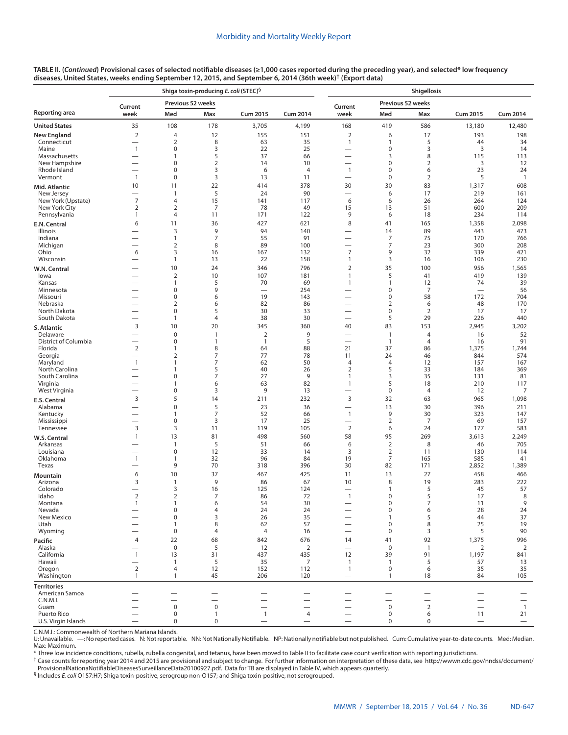|                                     |                               |                      | Shiga toxin-producing E. coli (STEC) <sup>§</sup> |                                |                          | Shigellosis                      |                                  |                     |                                   |                          |  |  |  |
|-------------------------------------|-------------------------------|----------------------|---------------------------------------------------|--------------------------------|--------------------------|----------------------------------|----------------------------------|---------------------|-----------------------------------|--------------------------|--|--|--|
|                                     | Current                       | Previous 52 weeks    |                                                   |                                |                          | Current                          | Previous 52 weeks                |                     |                                   |                          |  |  |  |
| Reporting area                      | week                          | Med                  | Max                                               | <b>Cum 2015</b>                | <b>Cum 2014</b>          | week                             | Med                              | Max                 | <b>Cum 2015</b>                   | <b>Cum 2014</b>          |  |  |  |
| United States                       | 35                            | 108                  | 178                                               | 3,705                          | 4,199                    | 168                              | 419                              | 586                 | 13,180                            | 12,480                   |  |  |  |
| New England<br>Connecticut          | $\overline{2}$<br>-           | 4<br>$\overline{2}$  | 12<br>8                                           | 155<br>63                      | 151<br>35                | $\overline{2}$<br>$\mathbf{1}$   | 6<br>1                           | 17<br>5             | 193<br>44                         | 198<br>34                |  |  |  |
| Maine                               | $\mathbf{1}$                  | 0                    | 3                                                 | 22                             | 25                       | $\overline{\phantom{0}}$         | $\mathbf 0$                      | 3                   | 3                                 | 14                       |  |  |  |
| Massachusetts                       | $\overline{\phantom{0}}$      | 1                    | 5                                                 | 37                             | 66                       | $\overline{\phantom{0}}$         | 3                                | 8                   | 115                               | 113                      |  |  |  |
| New Hampshire<br>Rhode Island       | $\overline{\phantom{0}}$      | 0<br>0               | $\overline{2}$<br>3                               | 14<br>6                        | 10<br>$\overline{4}$     | $\mathbf{1}$                     | $\pmb{0}$<br>$\pmb{0}$           | $\overline{2}$<br>6 | 3<br>23                           | 12<br>24                 |  |  |  |
| Vermont                             | $\mathbf{1}$                  | 0                    | 3                                                 | 13                             | 11                       | $\overline{\phantom{0}}$         | $\pmb{0}$                        | $\overline{2}$      | 5                                 | $\mathbf{1}$             |  |  |  |
| Mid. Atlantic                       | 10                            | 11                   | 22                                                | 414                            | 378                      | 30                               | 30                               | 83                  | 1,317                             | 608                      |  |  |  |
| New Jersey                          | $\overline{7}$                | 1                    | 5                                                 | 24                             | 90                       |                                  | 6                                | 17                  | 219                               | 161                      |  |  |  |
| New York (Upstate)<br>New York City | $\overline{2}$                | 4<br>$\overline{2}$  | 15<br>7                                           | 141<br>78                      | 117<br>49                | 6<br>15                          | 6<br>13                          | 26<br>51            | 264<br>600                        | 124<br>209               |  |  |  |
| Pennsylvania                        | $\mathbf{1}$                  | 4                    | 11                                                | 171                            | 122                      | 9                                | 6                                | 18                  | 234                               | 114                      |  |  |  |
| E.N. Central                        | 6                             | 11                   | 36                                                | 427                            | 621                      | 8                                | 41                               | 165                 | 1,358                             | 2,098                    |  |  |  |
| Illinois<br>Indiana                 | $\overline{\phantom{0}}$      | 3<br>$\mathbf{1}$    | 9<br>$\overline{7}$                               | 94<br>55                       | 140<br>91                | $\overline{\phantom{0}}$         | 14<br>7                          | 89<br>75            | 443<br>170                        | 473<br>766               |  |  |  |
| Michigan                            |                               | $\overline{2}$       | 8                                                 | 89                             | 100                      | <u>.</u>                         | 7                                | 23                  | 300                               | 208                      |  |  |  |
| Ohio                                | 6                             | 3                    | 16                                                | 167                            | 132                      | $\overline{7}$                   | 9                                | 32                  | 339                               | 421                      |  |  |  |
| Wisconsin                           | $\overline{\phantom{0}}$      | $\mathbf{1}$         | 13                                                | 22                             | 158                      | $\mathbf{1}$                     | 3                                | 16                  | 106                               | 230                      |  |  |  |
| W.N. Central<br>lowa                | $\overline{\phantom{a}}$      | 10<br>$\overline{2}$ | 24<br>10                                          | 346<br>107                     | 796<br>181               | $\overline{2}$<br>$\mathbf{1}$   | 35<br>5                          | 100<br>41           | 956<br>419                        | 1,565<br>139             |  |  |  |
| Kansas                              |                               | 1                    | 5                                                 | 70                             | 69                       | $\mathbf{1}$                     | $\mathbf{1}$                     | 12                  | 74                                | 39                       |  |  |  |
| Minnesota                           |                               | 0                    | 9                                                 |                                | 254                      | -                                | $\pmb{0}$                        | 7                   | $\overline{\phantom{0}}$          | 56                       |  |  |  |
| Missouri<br>Nebraska                | $\overline{\phantom{0}}$      | 0<br>$\overline{2}$  | 6<br>6                                            | 19<br>82                       | 143<br>86                | $\overline{\phantom{0}}$<br>-    | $\pmb{0}$<br>2                   | 58<br>6             | 172<br>48                         | 704<br>170               |  |  |  |
| North Dakota                        | $\overline{\phantom{0}}$      | 0                    | 5                                                 | 30                             | 33                       |                                  | $\mathbf 0$                      | $\overline{2}$      | 17                                | 17                       |  |  |  |
| South Dakota                        | $\overline{\phantom{0}}$      | 1                    | $\overline{4}$                                    | 38                             | 30                       |                                  | 5                                | 29                  | 226                               | 440                      |  |  |  |
| S. Atlantic                         | 3                             | 10                   | 20                                                | 345                            | 360                      | 40                               | 83                               | 153                 | 2,945                             | 3,202                    |  |  |  |
| Delaware<br>District of Columbia    | $\overline{\phantom{0}}$<br>— | 0<br>0               | 1<br>1                                            | $\overline{2}$<br>$\mathbf{1}$ | 9<br>5                   | $\overline{\phantom{0}}$         | $\overline{1}$<br>$\overline{1}$ | 4<br>$\overline{4}$ | 16<br>16                          | 52<br>91                 |  |  |  |
| Florida                             | $\overline{2}$                | 1                    | 8                                                 | 64                             | 88                       | 21                               | 37                               | 86                  | 1,375                             | 1,744                    |  |  |  |
| Georgia                             | -                             | $\overline{2}$       | $\overline{7}$                                    | 77                             | 78                       | 11                               | 24                               | 46                  | 844                               | 574                      |  |  |  |
| Maryland<br>North Carolina          | $\mathbf{1}$<br>-             | 1<br>1               | $\overline{7}$<br>5                               | 62<br>40                       | 50<br>26                 | $\overline{4}$<br>$\overline{2}$ | $\overline{4}$<br>5              | 12<br>33            | 157<br>184                        | 167<br>369               |  |  |  |
| South Carolina                      |                               | 0                    | $\overline{7}$                                    | 27                             | 9                        | $\mathbf{1}$                     | 3                                | 35                  | 131                               | 81                       |  |  |  |
| Virginia                            | -                             | 1                    | 6                                                 | 63                             | 82                       | $\mathbf{1}$                     | 5                                | 18                  | 210                               | 117                      |  |  |  |
| West Virginia                       | $\overline{\phantom{0}}$<br>3 | 0<br>5               | 3<br>14                                           | 9<br>211                       | 13<br>232                | $\overline{\phantom{0}}$<br>3    | $\pmb{0}$<br>32                  | 4<br>63             | 12<br>965                         | 7<br>1,098               |  |  |  |
| E.S. Central<br>Alabama             | $\overline{\phantom{0}}$      | $\mathbf 0$          | 5                                                 | 23                             | 36                       | $\overline{\phantom{0}}$         | 13                               | 30                  | 396                               | 211                      |  |  |  |
| Kentucky                            | —                             | 1                    | $\overline{7}$                                    | 52                             | 66                       | $\mathbf{1}$                     | 9                                | 30                  | 323                               | 147                      |  |  |  |
| Mississippi<br>Tennessee            | $\overline{\phantom{0}}$<br>3 | 0<br>3               | 3<br>11                                           | 17<br>119                      | 25<br>105                | $\mathbf 2$                      | $\overline{2}$<br>6              | 7<br>24             | 69<br>177                         | 157<br>583               |  |  |  |
| W.S. Central                        | $\mathbf{1}$                  | 13                   | 81                                                | 498                            | 560                      | 58                               | 95                               | 269                 | 3,613                             | 2,249                    |  |  |  |
| Arkansas                            | <u>—</u>                      | 1                    | 5                                                 | 51                             | 66                       | 6                                | $\mathbf 2$                      | 8                   | 46                                | 705                      |  |  |  |
| Louisiana                           |                               | 0                    | 12                                                | 33                             | 14                       | 3                                | $\overline{2}$                   | 11                  | 130                               | 114                      |  |  |  |
| Oklahoma<br>Texas                   | $\mathbf{1}$<br>-             | 1<br>9               | 32<br>70                                          | 96<br>318                      | 84<br>396                | 19<br>30                         | $\overline{7}$<br>82             | 165<br>171          | 585<br>2,852                      | 41<br>1,389              |  |  |  |
| Mountain                            | 6                             | 10                   | 37                                                | 467                            | 425                      | 11                               | 13                               | 27                  | 458                               | 466                      |  |  |  |
| Arizona                             | 3                             | 1                    | 9                                                 | 86                             | 67                       | 10                               | 8                                | 19                  | 283                               | 222                      |  |  |  |
| Colorado                            | -                             | 3                    | 16                                                | 125                            | 124                      |                                  | 1                                | 5                   | 45                                | 57                       |  |  |  |
| Idaho<br>Montana                    | $\overline{2}$                | $\overline{2}$       | $\overline{7}$<br>6                               | 86<br>54                       | 72<br>30                 | $\overline{1}$                   | 0<br>0                           | 5<br>7              | 17<br>11                          | 8<br>9                   |  |  |  |
| Nevada                              |                               | 0                    | 4                                                 | 24                             | 24                       |                                  | $\pmb{0}$                        | 6                   | 28                                | 24                       |  |  |  |
| New Mexico                          |                               | 0                    | 3                                                 | 26                             | 35                       |                                  | 1                                | 5                   | 44                                | 37                       |  |  |  |
| Utah<br>Wyoming                     |                               | 1<br>0               | 8<br>4                                            | 62<br>4                        | 57<br>16                 | -<br>$\overline{\phantom{0}}$    | 0<br>$\mathbf 0$                 | 8<br>3              | 25<br>5                           | 19<br>90                 |  |  |  |
| Pacific                             | 4                             | 22                   | 68                                                | 842                            | 676                      | 14                               | 41                               | 92                  | 1,375                             | 996                      |  |  |  |
| Alaska                              |                               | $\bf 0$              | 5                                                 | 12                             | $\overline{2}$           | $\overline{\phantom{0}}$         | $\mathbf 0$                      | $\mathbf{1}$        | 2                                 | $\overline{2}$           |  |  |  |
| California                          | $\mathbf{1}$                  | 13                   | 31                                                | 437                            | 435                      | 12                               | 39                               | 91                  | 1,197                             | 841                      |  |  |  |
| Hawaii<br>Oregon                    | ۰<br>$\overline{2}$           | $\mathbf{1}$<br>4    | 5<br>12                                           | 35<br>152                      | 7<br>112                 | $\mathbf{1}$<br>$\mathbf{1}$     | $\overline{1}$<br>$\mathbf 0$    | 5<br>6              | 57<br>35                          | 13<br>35                 |  |  |  |
| Washington                          | $\mathbf{1}$                  | 1                    | 45                                                | 206                            | 120                      |                                  | $\mathbf{1}$                     | 18                  | 84                                | 105                      |  |  |  |
| <b>Territories</b>                  |                               |                      |                                                   |                                |                          |                                  |                                  |                     |                                   |                          |  |  |  |
| American Samoa<br>C.N.M.I.          |                               |                      |                                                   |                                |                          |                                  |                                  |                     |                                   |                          |  |  |  |
| Guam                                |                               | $\pmb{0}$            | $\mathbf 0$                                       |                                |                          |                                  | $\mathbf 0$                      | $\sqrt{2}$          |                                   | $\overline{1}$           |  |  |  |
| Puerto Rico                         |                               | $\pmb{0}$            | $\mathbf{1}$                                      | $\overline{1}$                 | 4                        |                                  | $\mathbf 0$                      | 6                   | 11                                | 21                       |  |  |  |
| U.S. Virgin Islands                 |                               | $\pmb{0}$            | 0                                                 |                                | $\overline{\phantom{0}}$ |                                  | $\mathbf 0$                      | 0                   | $\overbrace{\phantom{123221111}}$ | $\overline{\phantom{m}}$ |  |  |  |

C.N.M.I.: Commonwealth of Northern Mariana Islands.

U: Unavailable. —: No reported cases. N: Not reportable. NN: Not Nationally Notifiable. NP: Nationally notifiable but not published. Cum: Cumulative year-to-date counts. Med: Median. Max: Maximum.

\* Three low incidence conditions, rubella, rubella congenital, and tetanus, have been moved to Table II to facilitate case count verification with reporting jurisdictions.

† Case counts for reporting year 2014 and 2015 are provisional and subject to change. For further information on interpretation of these data, see [http://wwwn.cdc.gov/nndss/document/](http://wwwn.cdc.gov/nndss/document/ProvisionalNationaNotifiableDiseasesSurveillanceData20100927.pdf) [ProvisionalNationaNotifiableDiseasesSurveillanceData20100927.pdf](http://wwwn.cdc.gov/nndss/document/ProvisionalNationaNotifiableDiseasesSurveillanceData20100927.pdf). Data for TB are displayed in Table IV, which appears quarterly.

§ Includes *E. coli* O157:H7; Shiga toxin-positive, serogroup non-O157; and Shiga toxin-positive, not serogrouped.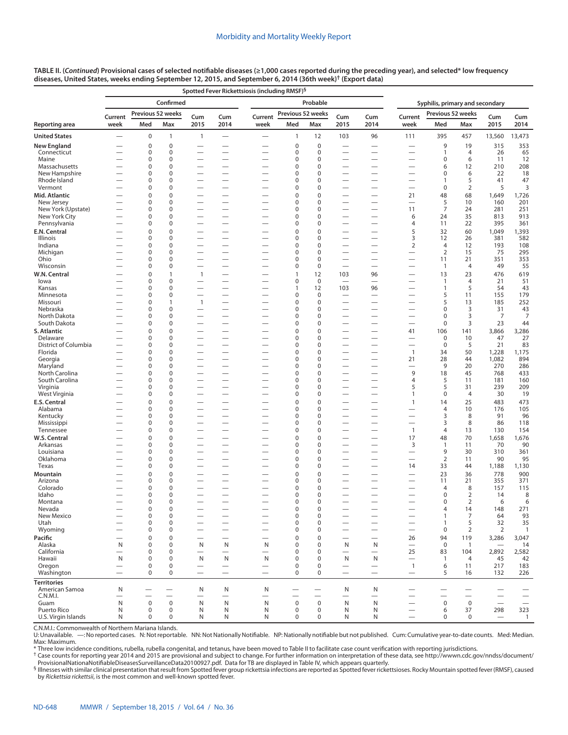|                               | Spotted Fever Rickettsiosis (including RMSF) <sup>§</sup> |             |                               |                                                      |                                                      |                                        |                   |                            |                          |                                                      |                                 |                        |                       |                          |                |  |
|-------------------------------|-----------------------------------------------------------|-------------|-------------------------------|------------------------------------------------------|------------------------------------------------------|----------------------------------------|-------------------|----------------------------|--------------------------|------------------------------------------------------|---------------------------------|------------------------|-----------------------|--------------------------|----------------|--|
|                               |                                                           |             | Confirmed                     |                                                      |                                                      |                                        |                   | Probable                   |                          |                                                      | Syphilis, primary and secondary |                        |                       |                          |                |  |
|                               | Current                                                   |             | Previous 52 weeks             | Cum                                                  | Cum                                                  | Current                                | Previous 52 weeks |                            | Cum                      | Cum                                                  | Current                         | Previous 52 weeks      |                       | Cum<br>Cum               |                |  |
| Reporting area                | week                                                      | Med         | Max                           | 2015                                                 | 2014                                                 | week                                   | Med               | Max                        | 2015                     | 2014                                                 | week                            | Med                    | Max                   | 2015                     | 2014           |  |
| <b>United States</b>          | $\overline{\phantom{0}}$                                  | 0           | 1                             | $\mathbf{1}$                                         | $\qquad \qquad$                                      | $\overline{\phantom{0}}$               | $\mathbf{1}$      | 12                         | 103                      | 96                                                   | 111                             | 395                    | 457                   | 13,560                   | 13,473         |  |
| New England                   |                                                           | 0           | $\mathbf 0$                   |                                                      |                                                      |                                        | 0                 | $\boldsymbol{0}$           |                          |                                                      |                                 | 9                      | 19                    | 315                      | 353            |  |
| Connecticut<br>Maine          |                                                           | 0<br>0      | $\mathbf 0$<br>$\mathbf 0$    |                                                      | $\overline{\phantom{0}}$                             | -                                      | 0<br>0            | $\mathbf 0$<br>$\mathbf 0$ | -                        | $\overline{\phantom{0}}$<br>$\overline{\phantom{0}}$ | -                               | 1<br>0                 | 4<br>6                | 26<br>11                 | 65<br>12       |  |
| Massachusetts                 |                                                           | 0           | $\mathbf 0$                   |                                                      | $\overline{\phantom{0}}$                             |                                        | $\Omega$          | $\mathbf 0$                |                          | $\overline{\phantom{0}}$                             | -                               | 6                      | 12                    | 210                      | 208            |  |
| New Hampshire                 |                                                           | 0           | $\mathbf 0$                   |                                                      |                                                      |                                        | $\Omega$          | $\mathbf 0$                |                          |                                                      |                                 | 0                      | 6                     | 22                       | 18             |  |
| Rhode Island                  |                                                           | 0<br>0      | $\mathbf 0$                   |                                                      |                                                      |                                        | 0<br>0            | $\mathbf 0$<br>$\mathbf 0$ |                          | $\overline{\phantom{0}}$<br>$\overline{\phantom{0}}$ |                                 | $\mathbf{1}$<br>0      | 5                     | 41                       | 47             |  |
| Vermont<br>Mid. Atlantic      |                                                           | $\Omega$    | 0<br>$\mathbf 0$              |                                                      | $\overline{\phantom{0}}$                             | $\overline{\phantom{0}}$               | $\Omega$          | $\mathbf 0$                | -                        | $\overline{\phantom{0}}$                             | —<br>21                         | 48                     | $\overline{2}$<br>68  | 5<br>1,649               | 3<br>1,726     |  |
| New Jersey                    |                                                           | 0           | $\mathbf 0$                   |                                                      | <u>—</u>                                             |                                        | 0                 | $\mathbf 0$                |                          |                                                      | $\hspace{0.1mm}-\hspace{0.1mm}$ | 5                      | 10                    | 160                      | 201            |  |
| New York (Upstate)            |                                                           | 0           | $\mathbf 0$                   |                                                      | $\overline{\phantom{0}}$                             |                                        | $\Omega$          | $\mathbf 0$                |                          |                                                      | 11                              | $\overline{7}$         | 24                    | 281                      | 251            |  |
| New York City<br>Pennsylvania |                                                           | 0<br>0      | $\mathbf 0$<br>$\mathbf 0$    |                                                      | -<br>$\overline{\phantom{0}}$                        |                                        | 0<br>$\Omega$     | $\mathbf 0$<br>$\mathbf 0$ |                          | $\overline{\phantom{0}}$                             | 6<br>4                          | 24<br>11               | 35<br>22              | 813<br>395               | 913<br>361     |  |
| E.N. Central                  |                                                           | $\mathbf 0$ | $\mathbf 0$                   |                                                      |                                                      |                                        | $\Omega$          | $\mathbf 0$                |                          | -                                                    | 5                               | 32                     | 60                    | 1,049                    | 1,393          |  |
| Illinois                      |                                                           | 0           | $\mathbf 0$                   |                                                      | <u>.</u>                                             |                                        | 0                 | $\mathbf 0$                |                          |                                                      | 3                               | 12                     | 26                    | 381                      | 582            |  |
| Indiana                       |                                                           | 0           | $\mathbf 0$                   |                                                      |                                                      |                                        | $\Omega$          | $\mathbf 0$                |                          |                                                      | $\overline{2}$                  | $\overline{4}$         | 12                    | 193                      | 108            |  |
| Michigan<br>Ohio              |                                                           | 0<br>0      | $\mathbf 0$<br>$\mathbf 0$    |                                                      |                                                      |                                        | 0<br>0            | $\mathbf 0$<br>$\mathbf 0$ |                          | $\overline{\phantom{0}}$                             |                                 | $\overline{2}$<br>11   | 15<br>21              | 75<br>351                | 295<br>353     |  |
| Wisconsin                     |                                                           | 0           | $\mathbf 0$                   |                                                      |                                                      | -                                      | $\Omega$          | $\mathbf 0$                | $\overline{\phantom{0}}$ |                                                      | -                               | $\overline{1}$         | $\overline{4}$        | 49                       | 55             |  |
| W.N. Central                  |                                                           | 0           | $\mathbf{1}$                  | $\mathbf{1}$                                         |                                                      |                                        | $\mathbf{1}$      | 12                         | 103                      | 96                                                   |                                 | 13                     | 23                    | 476                      | 619            |  |
| lowa                          |                                                           | 0           | 0                             |                                                      |                                                      |                                        | 0                 | $\mathbf 0$                |                          |                                                      |                                 | $\overline{1}$         | $\overline{4}$        | 21                       | 51             |  |
| Kansas<br>Minnesota           |                                                           | 0<br>0      | 0<br>$\mathbf 0$              |                                                      |                                                      |                                        | 1<br>0            | 12<br>$\mathbf 0$          | 103                      | 96                                                   | $\overline{\phantom{0}}$        | 1<br>5                 | 5<br>11               | 54<br>155                | 43<br>179      |  |
| Missouri                      |                                                           | 0           | $\mathbf{1}$                  | $\mathbf{1}$                                         |                                                      |                                        | 0                 | $\mathbf 0$                |                          |                                                      |                                 | 5                      | 13                    | 185                      | 252            |  |
| Nebraska                      |                                                           | 0           | $\mathbf 0$                   |                                                      |                                                      |                                        | 0                 | $\mathbf 0$                |                          | $\overline{\phantom{0}}$                             |                                 | $\pmb{0}$              | 3                     | 31                       | 43             |  |
| North Dakota<br>South Dakota  |                                                           | 0<br>0      | $\mathbf 0$<br>$\mathbf 0$    |                                                      | $\overline{\phantom{0}}$                             |                                        | 0<br>0            | $\mathbf 0$<br>$\mathbf 0$ |                          | $\overline{\phantom{0}}$                             |                                 | $\pmb{0}$<br>$\pmb{0}$ | 3<br>3                | 7<br>23                  | 7<br>44        |  |
| S. Atlantic                   |                                                           | 0           | $\mathbf 0$                   |                                                      |                                                      |                                        | $\mathbf 0$       | $\mathbf 0$                |                          |                                                      | 41                              | 106                    | 141                   | 3,866                    | 3,286          |  |
| Delaware                      |                                                           | 0           | 0                             | $\overline{\phantom{0}}$                             | $\overline{\phantom{0}}$                             |                                        | 0                 | 0                          | -                        |                                                      | -                               | 0                      | 10                    | 47                       | 27             |  |
| District of Columbia          |                                                           | 0           | $\mathbf 0$                   |                                                      |                                                      |                                        | 0                 | $\mathbf 0$                |                          | $\overline{\phantom{0}}$                             |                                 | $\mathbf 0$            | 5                     | 21                       | 83             |  |
| Florida<br>Georgia            |                                                           | 0<br>0      | 0<br>0                        |                                                      | $\overline{\phantom{0}}$                             |                                        | 0<br>0            | 0<br>$\mathbf 0$           |                          |                                                      | $\overline{1}$<br>21            | 34<br>28               | 50<br>44              | 1,228<br>1,082           | 1,175<br>894   |  |
| Maryland                      |                                                           | 0           | 0                             |                                                      |                                                      |                                        | 0                 | 0                          |                          | $\overline{\phantom{0}}$                             |                                 | 9                      | 20                    | 270                      | 286            |  |
| North Carolina                |                                                           | 0           | $\mathbf 0$                   |                                                      |                                                      |                                        | $\Omega$          | $\mathbf 0$                |                          | $\overline{\phantom{0}}$                             | 9                               | 18                     | 45                    | 768                      | 433            |  |
| South Carolina                |                                                           | 0           | $\mathbf 0$<br>$\mathbf 0$    |                                                      |                                                      |                                        | 0                 | $\mathbf 0$                |                          | $\overline{\phantom{0}}$                             | 4                               | 5<br>5                 | 11                    | 181                      | 160            |  |
| Virginia<br>West Virginia     |                                                           | 0<br>0      | $\mathbf 0$                   |                                                      |                                                      |                                        | 0<br>0            | $\mathbf 0$<br>$\mathbf 0$ |                          | $\overline{\phantom{0}}$                             | 5<br>1                          | $\pmb{0}$              | 31<br>$\overline{4}$  | 239<br>30                | 209<br>19      |  |
| E.S. Central                  |                                                           | 0           | $\mathbf 0$                   |                                                      |                                                      |                                        | $\Omega$          | $\mathbf 0$                |                          |                                                      | $\mathbf{1}$                    | 14                     | 25                    | 483                      | 473            |  |
| Alabama                       |                                                           | 0           | 0                             |                                                      |                                                      |                                        | 0                 | $\mathbf 0$                |                          |                                                      |                                 | 4                      | 10                    | 176                      | 105            |  |
| Kentucky                      |                                                           | 0<br>0      | 0<br>$\mathbf 0$              |                                                      | $\overline{\phantom{0}}$<br>$\overline{\phantom{0}}$ |                                        | 0<br>0            | 0<br>$\mathbf 0$           | $\overline{\phantom{0}}$ |                                                      | -<br>—                          | 3<br>3                 | 8<br>8                | 91<br>86                 | 96<br>118      |  |
| Mississippi<br>Tennessee      |                                                           | 0           | 0                             |                                                      |                                                      |                                        | 0                 | $\mathbf 0$                |                          |                                                      | $\mathbf{1}$                    | 4                      | 13                    | 130                      | 154            |  |
| W.S. Central                  |                                                           | 0           | $\mathbf 0$                   |                                                      |                                                      |                                        | $\Omega$          | $\mathbf 0$                |                          | $\overline{\phantom{0}}$                             | 17                              | 48                     | 70                    | 1,658                    | 1,676          |  |
| Arkansas                      |                                                           | 0           | $\mathbf 0$                   |                                                      | $\overline{\phantom{0}}$                             |                                        | O                 | $\mathbf 0$                |                          | $\overline{\phantom{0}}$                             | 3                               | $\mathbf{1}$           | 11                    | 70                       | 90             |  |
| Louisiana<br>Oklahoma         |                                                           | 0<br>0      | $\mathbf 0$<br>$\mathbf 0$    |                                                      | $\overline{\phantom{0}}$                             |                                        | 0<br>0            | $\mathbf 0$<br>0           |                          | $\overline{\phantom{0}}$<br>$\overline{\phantom{0}}$ | -                               | 9<br>$\overline{2}$    | 30<br>11              | 310<br>90                | 361<br>95      |  |
| Texas                         |                                                           | 0           | 0                             |                                                      | $\overline{\phantom{0}}$                             |                                        | 0                 | $\mathbf 0$                |                          | $\overline{\phantom{0}}$                             | 14                              | 33                     | 44                    | 1,188                    | 1,130          |  |
| Mountain                      |                                                           | $\Omega$    | $\mathbf 0$                   |                                                      |                                                      |                                        | $\Omega$          | $\mathbf 0$                |                          |                                                      |                                 | 23                     | 36                    | 778                      | 900            |  |
| Arizona                       |                                                           | 0           | $\mathbf 0$                   |                                                      |                                                      |                                        | 0                 | $\mathbf 0$                |                          | $\overline{\phantom{0}}$                             |                                 | 11                     | 21                    | 355                      | 371            |  |
| Colorado<br>Idaho             |                                                           | 0<br>0      | $\mathbf 0$<br>0              |                                                      |                                                      | $\overline{\phantom{0}}$               | $\Omega$<br>0     | $\mathbf 0$<br>$\mathbf 0$ | $\overline{\phantom{0}}$ | $\overline{\phantom{0}}$                             | $\overline{\phantom{0}}$        | 4<br>$\mathbf 0$       | 8<br>2                | 157<br>14                | 115<br>8       |  |
| Montana                       |                                                           | $\Omega$    | $\Omega$                      |                                                      |                                                      |                                        | $\Omega$          | $\Omega$                   |                          |                                                      |                                 | $\Omega$               | 2                     | 6                        | 6              |  |
| Nevada                        |                                                           | $\pmb{0}$   | $\pmb{0}$                     |                                                      |                                                      |                                        | 0                 | $\pmb{0}$                  |                          |                                                      |                                 | 4                      | 14                    | 148                      | 271            |  |
| New Mexico                    |                                                           | 0<br>0      | 0<br>0                        | $\overline{\phantom{0}}$                             | $\overline{\phantom{0}}$                             | $\overline{\phantom{0}}$               | 0                 | $\pmb{0}$                  |                          |                                                      | $\overline{\phantom{0}}$        | $\mathbf{1}$           | 7                     | 64                       | 93<br>35       |  |
| Utah<br>Wyoming               |                                                           | 0           | 0                             | $\overline{\phantom{0}}$<br>$\overline{\phantom{0}}$ | $\overline{\phantom{0}}$                             |                                        | 0<br>0            | 0<br>0                     |                          | $\equiv$                                             | —<br>$\overline{\phantom{0}}$   | $\mathbf{1}$<br>0      | 5<br>2                | 32<br>2                  | $\overline{1}$ |  |
| Pacific                       |                                                           | 0           | $\mathbf 0$                   |                                                      |                                                      |                                        | 0                 | $\mathbf 0$                |                          | $\overline{\phantom{0}}$                             | 26                              | 94                     | 119                   | 3,286                    | 3,047          |  |
| Alaska                        | N                                                         | 0           | 0                             | N                                                    | N                                                    | N                                      | 0                 | $\mathbf 0$                | N                        | N                                                    | $\qquad \qquad$                 | $\mathbf 0$            | $\mathbf{1}$          |                          | 14             |  |
| California<br>Hawaii          | N                                                         | 0<br>0      | 0<br>0                        | $\overbrace{\phantom{123221111}}$<br>N               | $\qquad \qquad$<br>N                                 | $\overbrace{\phantom{123221111}}$<br>N | 0<br>0            | $\mathbf 0$<br>$\mathbf 0$ | N                        | N                                                    | 25                              | 83<br>$\mathbf{1}$     | 104<br>$\overline{4}$ | 2,892                    | 2,582<br>42    |  |
| Oregon                        | $\overline{\phantom{0}}$                                  | $\pmb{0}$   | 0                             |                                                      |                                                      |                                        | 0                 | $\pmb{0}$                  |                          |                                                      | $\qquad \qquad$<br>$\mathbf{1}$ | 6                      | 11                    | 45<br>217                | 183            |  |
| Washington                    |                                                           | $\mathbf 0$ | 0                             | $\overline{\phantom{0}}$                             | $\qquad \qquad -$                                    |                                        | 0                 | 0                          |                          | $\overline{\phantom{m}}$                             | $\qquad \qquad -$               | 5                      | 16                    | 132                      | 226            |  |
| Territories                   |                                                           |             |                               |                                                      |                                                      |                                        |                   |                            |                          |                                                      |                                 |                        |                       |                          |                |  |
| American Samoa<br>C.N.M.I.    | N                                                         | —           | —<br>$\overline{\phantom{0}}$ | N<br>$\overline{\phantom{0}}$                        | N<br>$\overline{\phantom{0}}$                        | N<br>$\overline{\phantom{0}}$          |                   |                            | N                        | N                                                    | $\overline{\phantom{0}}$        |                        |                       | $\overline{\phantom{0}}$ |                |  |
| Guam                          | N                                                         | $\mathbf 0$ | $\mathbf 0$                   | N                                                    | N                                                    | N                                      | $\mathbf 0$       | $\mathbf 0$                | ${\sf N}$                | N                                                    |                                 | $\mathbf 0$            | $\mathbf 0$           | $\overline{\phantom{0}}$ |                |  |
| Puerto Rico                   | N                                                         | 0           | $\mathbf 0$                   | N                                                    | N                                                    | N                                      | 0                 | 0                          | N                        | N                                                    |                                 | 6                      | 37                    | 298                      | 323            |  |
| U.S. Virgin Islands           | N                                                         | $\mathbf 0$ | 0                             | N                                                    | N                                                    | N                                      | 0                 | $\pmb{0}$                  | N                        | N                                                    |                                 | 0                      | $\mathbf 0$           |                          | $\mathbf{1}$   |  |

C.N.M.I.: Commonwealth of Northern Mariana Islands.

U: Unavailable. —: No reported cases. N: Not reportable. NN: Not Nationally Notifiable. NP: Nationally notifiable but not published. Cum: Cumulative year-to-date counts. Med: Median. Max: Maximum.

\* Three low incidence conditions, rubella, rubella congenital, and tetanus, have been moved to Table II to facilitate case count verification with reporting jurisdictions.

† Case counts for reporting year 2014 and 2015 are provisional and subject to change. For further information on interpretation of these data, see [http://wwwn.cdc.gov/nndss/document/](http://wwwn.cdc.gov/nndss/document/ProvisionalNationaNotifiableDiseasesSurveillanceData20100927.pdf)

[ProvisionalNationaNotifiableDiseasesSurveillanceData20100927.pdf](http://wwwn.cdc.gov/nndss/document/ProvisionalNationaNotifiableDiseasesSurveillanceData20100927.pdf). Data for TB are displayed in Table IV, which appears quarterly.<br><sup>§</sup> Illnesses with similar clinical presentation that result from Spotted fever group ricket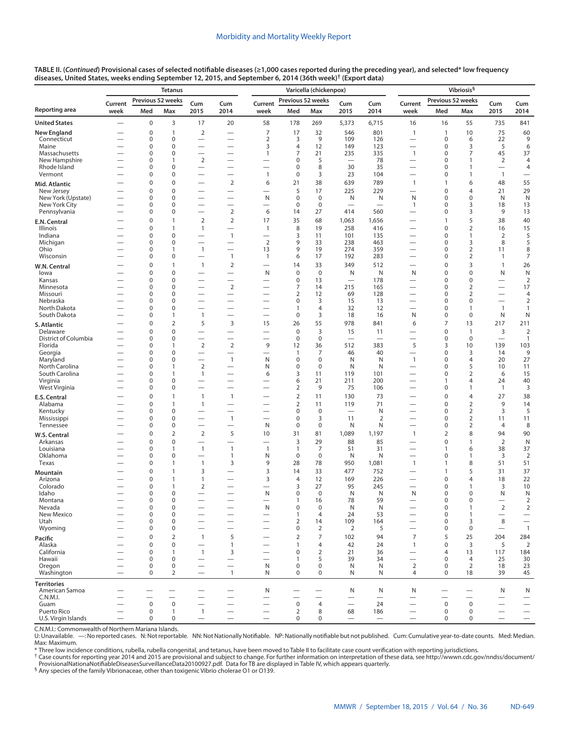|                                     |                          |                          | <b>Tetanus</b>                |                                                      |                                                                        |                                          | Vibriosis <sup>§</sup>      |                                  |                                   |                               |                                          |                          |                          |                          |                                  |
|-------------------------------------|--------------------------|--------------------------|-------------------------------|------------------------------------------------------|------------------------------------------------------------------------|------------------------------------------|-----------------------------|----------------------------------|-----------------------------------|-------------------------------|------------------------------------------|--------------------------|--------------------------|--------------------------|----------------------------------|
| Reporting area                      | Current<br>week          | Previous 52 weeks<br>Med | Max                           | Cum<br>2015                                          | Cum<br>2014                                                            | Current<br>week                          | Previous 52 weeks<br>Med    | Max                              | Cum<br>2015                       | Cum<br>2014                   | Current<br>week                          | Previous 52 weeks<br>Med | Max                      | Cum<br>2015              | Cum<br>2014                      |
| <b>United States</b>                |                          | $\mathbf 0$              | 3                             | 17                                                   | 20                                                                     | 58                                       | 178                         | 269                              | 5,373                             | 6,715                         | 16                                       | 16                       | 55                       | 735                      | 841                              |
| New England                         |                          | 0                        | $\overline{1}$                | $\overline{2}$                                       |                                                                        | $\overline{7}$                           | 17                          | 32                               | 546                               | 801                           | $\mathbf{1}$                             | $\overline{1}$           | 10                       | 75                       | 60                               |
| Connecticut                         |                          | $\mathbf 0$              | $\mathbf 0$                   |                                                      |                                                                        | $\overline{2}$                           | 3                           | 9                                | 109                               | 126                           | —                                        | $\mathbf 0$              | 6                        | 22                       | 9                                |
| Maine                               |                          | 0                        | $\mathbf 0$                   | $\overline{\phantom{0}}$                             |                                                                        | 3                                        | $\overline{4}$              | 12                               | 149                               | 123                           |                                          | $\pmb{0}$                | 3                        | 5                        | 6                                |
| Massachusetts<br>New Hampshire      |                          | $\mathbf 0$<br>0         | $\mathbf 0$<br>$\mathbf{1}$   | $\overline{\phantom{0}}$<br>$\overline{2}$           | $\overline{\phantom{0}}$<br>$\overline{\phantom{0}}$                   | $\mathbf{1}$<br>-                        | 7<br>$\pmb{0}$              | 21<br>5                          | 235                               | 335<br>78                     | $\mathbf{1}$<br>—                        | 0<br>$\mathbf 0$         | 7<br>1                   | 45<br>$\overline{2}$     | 37<br>$\overline{4}$             |
| Rhode Island                        |                          | 0                        | $\mathbf 0$                   |                                                      | $\overline{\phantom{0}}$                                               |                                          | $\mathbf 0$                 | 8                                | 30                                | 35                            |                                          | 0                        | $\mathbf{1}$             |                          | $\overline{4}$                   |
| Vermont                             |                          | 0                        | $\pmb{0}$                     |                                                      |                                                                        | $\mathbf{1}$                             | $\mathbf 0$                 | 3                                | 23                                | 104                           |                                          | 0                        | $\mathbf{1}$             | $\overline{1}$           |                                  |
| Mid. Atlantic                       |                          | $\Omega$                 | $\mathbf 0$                   | $\overline{\phantom{0}}$                             | $\overline{2}$                                                         | 6                                        | 21                          | 38                               | 639                               | 789                           | $\mathbf{1}$                             | $\mathbf{1}$             | 6                        | 48                       | 55                               |
| New Jersey                          |                          | $\mathbf 0$              | $\mathbf 0$                   |                                                      |                                                                        | $\overline{\phantom{0}}$                 | 5                           | 17                               | 225                               | 229                           | $\overline{\phantom{0}}$                 | 0                        | $\overline{4}$           | 21                       | 29                               |
| New York (Upstate)<br>New York City |                          | 0<br>0                   | $\pmb{0}$<br>$\mathbf 0$      | $\overline{\phantom{0}}$<br>$\overline{\phantom{0}}$ | $\overline{\phantom{0}}$<br>$\overline{\phantom{0}}$                   | N<br>$\overline{\phantom{0}}$            | $\mathbf 0$<br>$\mathbf 0$  | $\boldsymbol{0}$<br>$\mathbf 0$  | N                                 | N<br>$\overline{\phantom{0}}$ | N<br>$\mathbf{1}$                        | 0<br>0                   | 0<br>3                   | N<br>18                  | N<br>13                          |
| Pennsylvania                        |                          | 0                        | $\mathbf 0$                   | $\overline{\phantom{0}}$                             | $\overline{2}$                                                         | 6                                        | 14                          | 27                               | 414                               | 560                           | —                                        | $\mathbf 0$              | 3                        | 9                        | 13                               |
| E.N. Central                        |                          | $\mathbf 0$              | $\overline{1}$                | $\overline{2}$                                       | $\overline{2}$                                                         | 17                                       | 35                          | 68                               | 1,063                             | 1,656                         | $\overline{\phantom{0}}$                 | $\mathbf{1}$             | 5                        | 38                       | 40                               |
| Illinois                            |                          | $\mathbf 0$              | $\overline{1}$                | $\mathbf{1}$                                         | $\overbrace{\phantom{1232211}}$                                        | $\mathbf{1}$                             | 8                           | 19                               | 258                               | 416                           | $\overline{\phantom{0}}$                 | $\mathbf 0$              | $\overline{2}$           | 16                       | 15                               |
| Indiana                             |                          | $\mathbf 0$              | $\mathbf 0$                   | $\overline{\phantom{0}}$                             | $\overline{1}$                                                         |                                          | 3                           | 11                               | 101                               | 135                           |                                          | $\mathbf 0$              | $\mathbf{1}$             | $\overline{2}$           | 5                                |
| Michigan                            |                          | 0<br>0                   | $\mathbf 0$<br>$\mathbf{1}$   | $\overline{\phantom{0}}$<br>$\mathbf{1}$             | $\overline{\phantom{0}}$                                               | $\overline{2}$<br>13                     | 9<br>9                      | 33<br>19                         | 238<br>274                        | 463<br>359                    | $\overline{\phantom{0}}$                 | 0<br>$\mathbf 0$         | 3<br>$\overline{2}$      | 8                        | 5                                |
| Ohio<br>Wisconsin                   |                          | 0                        | $\mathbf 0$                   | $\overline{\phantom{0}}$                             | $\overline{1}$                                                         | $\mathbf{1}$                             | 6                           | 17                               | 192                               | 283                           |                                          | $\mathbf 0$              | $\overline{2}$           | 11<br>$\mathbf{1}$       | 8<br>7                           |
| W.N. Central                        |                          | $\mathbf 0$              | $\overline{1}$                | $\mathbf{1}$                                         | $\overline{2}$                                                         | $\overline{\phantom{0}}$                 | 14                          | 33                               | 349                               | 512                           |                                          | $\mathbf 0$              | 3                        | $\mathbf{1}$             | 26                               |
| lowa                                |                          | $\mathbf 0$              | $\pmb{0}$                     | $\overline{\phantom{0}}$                             | $\equiv$                                                               | N                                        | $\mathbf 0$                 | $\mathbf 0$                      | N                                 | N                             | N                                        | 0                        | 0                        | N                        | N                                |
| Kansas                              |                          | 0                        | $\mathbf 0$                   | $\overline{\phantom{0}}$                             | $\overline{\phantom{0}}$                                               | $\overline{\phantom{0}}$                 | $\mathbf 0$                 | 13                               | $\overline{\phantom{0}}$          | 178                           | —                                        | $\mathbf 0$              | 0                        |                          | $\overline{2}$                   |
| Minnesota                           |                          | 0                        | $\mathbf 0$                   |                                                      | $\overline{2}$                                                         |                                          | 7                           | 14                               | 215                               | 165                           |                                          | 0                        | $\overline{2}$           |                          | 17                               |
| Missouri<br>Nebraska                |                          | 0<br>0                   | $\mathbf 0$<br>$\mathbf 0$    |                                                      | —<br>$\overline{\phantom{0}}$                                          |                                          | 2<br>$\pmb{0}$              | 12<br>3                          | 69<br>15                          | 128<br>13                     |                                          | 0<br>0                   | 2<br>0                   | $\overline{\phantom{0}}$ | $\overline{4}$<br>$\overline{2}$ |
| North Dakota                        |                          | 0                        | $\mathbf 0$                   | $\overline{\phantom{0}}$                             |                                                                        | -                                        | $\mathbf{1}$                | $\overline{4}$                   | 32                                | 12                            | $\overline{\phantom{0}}$                 | $\mathbf 0$              | $\mathbf{1}$             | $\overline{1}$           | $\mathbf{1}$                     |
| South Dakota                        | —                        | 0                        | $\mathbf{1}$                  | $\mathbf{1}$                                         | $\overbrace{\phantom{123221111}}$                                      |                                          | $\mathbf 0$                 | 3                                | 18                                | 16                            | N                                        | $\mathbf 0$              | $\boldsymbol{0}$         | N                        | $\mathsf{N}$                     |
| S. Atlantic                         |                          | $\Omega$                 | $\overline{2}$                | 5                                                    | 3                                                                      | 15                                       | 26                          | 55                               | 978                               | 841                           | 6                                        | $\overline{7}$           | 13                       | 217                      | 211                              |
| Delaware                            |                          | $\mathbf 0$              | $\pmb{0}$                     | $\overline{\phantom{0}}$                             | $\overline{\phantom{0}}$                                               | $\overline{\phantom{0}}$                 | $\mathbf 0$                 | 3                                | 15                                | 11                            | $\overline{\phantom{0}}$                 | $\mathbf 0$              | $\mathbf{1}$             | 3                        | $\overline{2}$                   |
| District of Columbia                |                          | 0                        | $\mathbf 0$                   |                                                      |                                                                        | $\overline{\phantom{0}}$                 | $\mathbf 0$                 | $\bf 0$                          |                                   |                               |                                          | $\mathbf 0$              | $\mathbf 0$              |                          | $\mathbf{1}$                     |
| Florida<br>Georgia                  |                          | $\Omega$<br>0            | $\mathbf{1}$<br>$\mathbf 0$   | $\overline{2}$                                       | $\overline{2}$<br>$\overline{\phantom{0}}$                             | 9<br>$\overline{\phantom{0}}$            | 12<br>1                     | 36<br>7                          | 512<br>46                         | 383<br>40                     | 5                                        | 3<br>$\mathbf 0$         | 10<br>3                  | 139<br>14                | 103<br>9                         |
| Maryland                            | —                        | 0                        | $\mathbf 0$                   | $\overline{\phantom{0}}$                             | $\mathbf{1}$                                                           | N                                        | $\mathbf 0$                 | $\mathbf 0$                      | N                                 | N                             | $\mathbf{1}$                             | 0                        | 4                        | 20                       | 27                               |
| North Carolina                      | -                        | 0                        | $\mathbf{1}$                  | $\overline{2}$                                       |                                                                        | N                                        | $\mathbf 0$                 | $\mathbf 0$                      | N                                 | N                             | $\overline{\phantom{0}}$                 | 0                        | 5                        | 10                       | 11                               |
| South Carolina                      |                          | $\Omega$                 | $\mathbf{1}$                  | $\mathbf{1}$                                         | $\overline{\phantom{0}}$                                               | 6                                        | 3                           | 11                               | 119                               | 101                           | $\overline{\phantom{0}}$                 | $\mathbf 0$              | 2                        | 6                        | 15                               |
| Virginia<br>West Virginia           | —                        | 0<br>0                   | $\mathbf 0$<br>$\mathbf 0$    | $\overline{\phantom{0}}$<br>$\overline{\phantom{0}}$ | $\overbrace{\phantom{123221111}}$<br>$\overbrace{\phantom{123221111}}$ | -                                        | 6<br>$\overline{2}$         | 21<br>9                          | 211<br>75                         | 200<br>106                    | $\overline{\phantom{0}}$                 | 1<br>$\mathbf 0$         | 4<br>$\mathbf{1}$        | 24<br>$\overline{1}$     | 40<br>3                          |
|                                     |                          | $\mathbf 0$              | $\mathbf{1}$                  | $\mathbf{1}$                                         | $\overline{1}$                                                         |                                          | $\overline{2}$              | 11                               | 130                               | 73                            |                                          | $\pmb{0}$                | 4                        | 27                       | 38                               |
| E.S. Central<br>Alabama             |                          | $\mathbf 0$              | $\overline{1}$                | $\mathbf{1}$                                         | $\overbrace{\phantom{123221111}}$                                      | -                                        | $\overline{2}$              | 11                               | 119                               | 71                            |                                          | $\mathbf 0$              | $\overline{2}$           | 9                        | 14                               |
| Kentucky                            | -                        | 0                        | $\mathbf 0$                   | $\overline{\phantom{0}}$                             | $\overbrace{\phantom{123221111}}$                                      |                                          | $\mathbf 0$                 | $\mathbf 0$                      | $\overbrace{\phantom{123221111}}$ | N                             | $\overline{\phantom{0}}$                 | $\mathbf 0$              | $\overline{2}$           | 3                        | 5                                |
| Mississippi                         |                          | $\Omega$                 | $\mathbf 0$                   | $\overline{\phantom{0}}$                             | $\mathbf{1}$                                                           | $\overline{\phantom{0}}$                 | $\mathbf 0$                 | 3                                | 11                                | 2                             | $\overline{\phantom{0}}$                 | $\mathbf 0$              | 2                        | 11                       | 11                               |
| Tennessee                           |                          | 0                        | $\mathbf 0$                   | $\overline{\phantom{0}}$                             | $\overline{\phantom{0}}$                                               | N                                        | $\mathbf 0$                 | $\bf 0$                          | N                                 | N                             | $\overline{\phantom{0}}$                 | $\mathbf 0$              | 2                        | 4                        | 8                                |
| W.S. Central                        |                          | $\Omega$                 | $\overline{2}$                | $\overline{2}$                                       | 5                                                                      | 10                                       | 31                          | 81                               | 1,089                             | 1,197                         | $\mathbf{1}$                             | $\overline{2}$           | 8                        | 94                       | 90                               |
| Arkansas<br>Louisiana               |                          | $\Omega$<br>0            | $\mathbf 0$<br>$\mathbf{1}$   | $\overline{\phantom{0}}$<br>$\mathbf{1}$             | $\overline{\phantom{0}}$<br>$\mathbf{1}$                               | $\overline{\phantom{0}}$<br>$\mathbf{1}$ | $\overline{3}$<br>1         | 29<br>7                          | 88<br>51                          | 85<br>31                      |                                          | $\mathbf 0$<br>1         | $\mathbf{1}$<br>6        | $\mathbf 2$<br>38        | $\mathsf{N}$<br>37               |
| Oklahoma                            | -                        | 0                        | $\mathbf 0$                   |                                                      | $\mathbf{1}$                                                           | N                                        | $\mathbf 0$                 | $\mathbf 0$                      | N                                 | N                             |                                          | $\mathbf 0$              | 1                        | 3                        | $\overline{2}$                   |
| Texas                               |                          | 0                        | $\mathbf{1}$                  | $\mathbf{1}$                                         | 3                                                                      | 9                                        | 28                          | 78                               | 950                               | 1,081                         | $\mathbf{1}$                             | $\mathbf{1}$             | 8                        | 51                       | 51                               |
| Mountain                            |                          | 0                        | $\overline{1}$                | 3                                                    | $\overline{\phantom{0}}$                                               | 3                                        | 14                          | 33                               | 477                               | 752                           |                                          | $\mathbf{1}$             | 5                        | 31                       | 37                               |
| Arizona                             |                          | $\Omega$                 | $\mathbf{1}$                  | $\mathbf{1}$                                         | $\overline{\phantom{0}}$                                               | 3                                        | $\overline{4}$              | 12                               | 169                               | 226                           | $\overline{\phantom{0}}$                 | $\mathbf 0$              | 4                        | 18                       | 22                               |
| Colorado                            |                          | 0<br>0                   | $\mathbf{1}$<br>$\mathbf 0$   | $\overline{2}$                                       |                                                                        | -                                        | 3<br>$\pmb{0}$              | 27<br>$\mathbf 0$                | 95<br>N                           | 245<br>N                      | —                                        | $\mathbf 0$<br>0         | 1<br>$\mathbf 0$         | 3                        | 10                               |
| Idaho<br>Montana                    | —                        | 0                        | $\Omega$                      |                                                      | $\overbrace{\phantom{123221111}}$                                      | N                                        | 1                           | 16                               | 78                                | 59                            | N                                        | 0                        | 0                        | N                        | N<br>2                           |
| Nevada                              |                          | $\mathbf 0$              | $\pmb{0}$                     |                                                      |                                                                        | N                                        | $\pmb{0}$                   | $\bf 0$                          | N                                 | N                             |                                          | $\mathbf 0$              | $\mathbf{1}$             | $\overline{2}$           | $\overline{2}$                   |
| New Mexico                          |                          | 0                        | $\pmb{0}$                     |                                                      |                                                                        | $\overline{\phantom{0}}$                 | $\mathbf{1}$                | $\overline{4}$                   | 24                                | 53                            | —                                        | $\mathbf 0$              | $\mathbf{1}$             | $\overline{\phantom{0}}$ |                                  |
| Utah                                |                          | 0                        | $\mathbf 0$                   | $\overline{\phantom{0}}$                             | $\overline{\phantom{0}}$                                               |                                          | 2                           | 14                               | 109                               | 164                           | $\overline{\phantom{0}}$                 | 0                        | 3                        | 8                        | $\equiv$                         |
| Wyoming                             |                          | 0                        | $\mathbf 0$                   | $\overline{\phantom{0}}$                             |                                                                        | $\overline{\phantom{0}}$                 | $\mathbf 0$                 | $\overline{2}$                   | 2                                 | 5                             | $\overline{\phantom{0}}$                 | $\mathbf 0$              | $\mathbf 0$              |                          | $\overline{1}$                   |
| Pacific                             |                          | 0<br>$\mathbf 0$         | $\overline{2}$<br>$\mathbf 0$ | $\mathbf{1}$                                         | 5<br>$\mathbf{1}$                                                      |                                          | $\overline{2}$              | $\overline{7}$<br>$\overline{4}$ | 102                               | 94                            | $\overline{7}$                           | 5<br>$\mathbf 0$         | 25<br>3                  | 204<br>5                 | 284                              |
| Alaska<br>California                |                          | 0                        | $\mathbf{1}$                  | $\mathbf{1}$                                         | 3                                                                      | $\overline{\phantom{0}}$                 | $\mathbf{1}$<br>$\mathbf 0$ | $\mathbf 2$                      | 42<br>21                          | 24<br>36                      | $\mathbf{1}$<br>$\overline{\phantom{0}}$ | 4                        | 13                       | 117                      | $\overline{2}$<br>184            |
| Hawaii                              |                          | 0                        | $\mathbf 0$                   |                                                      | $\overline{\phantom{0}}$                                               |                                          | 1                           | 5                                | 39                                | 34                            | —                                        | $\mathbf 0$              | 4                        | 25                       | 30                               |
| Oregon                              | $\overline{\phantom{0}}$ | 0                        | $\mathbf 0$                   | $\overline{\phantom{0}}$                             | $\overbrace{\phantom{1232211}}$                                        | N                                        | 0                           | $\mathbf 0$                      | N                                 | N                             | $\overline{2}$                           | $\mathbf 0$              | $\overline{2}$           | 18                       | 23                               |
| Washington                          | $\overline{\phantom{0}}$ | 0                        | 2                             |                                                      | $\mathbf{1}$                                                           | N                                        | $\mathbf 0$                 | 0                                | N                                 | N                             | $\overline{4}$                           | $\Omega$                 | 18                       | 39                       | 45                               |
| <b>Territories</b>                  |                          |                          |                               |                                                      |                                                                        |                                          |                             |                                  |                                   |                               |                                          |                          |                          |                          |                                  |
| American Samoa<br>C.N.M.I.          |                          |                          |                               |                                                      |                                                                        | N                                        |                             |                                  | N                                 | N                             | N                                        | $\overline{\phantom{0}}$ | $\overline{\phantom{0}}$ | N                        | N                                |
| Guam                                |                          | $\mathbf 0$              | $\pmb{0}$                     |                                                      |                                                                        |                                          | $\mathbf 0$                 | $\overline{4}$                   |                                   | 24                            |                                          | $\mathbf 0$              | $\mathbf 0$              |                          |                                  |
| Puerto Rico                         |                          | 0                        | $\mathbf{1}$                  | $\mathbf{1}$                                         | $\overline{\phantom{0}}$                                               |                                          | $\overline{2}$              | 8                                | 68                                | 186                           |                                          | $\mathbf 0$              | $\mathbf 0$              |                          |                                  |
| U.S. Virgin Islands                 | $\overline{\phantom{0}}$ | 0                        | $\mathbf 0$                   | $\overline{\phantom{m}}$                             | $\overbrace{\phantom{123221111}}$                                      | $\overline{\phantom{0}}$                 | $\mathbf 0$                 | 0                                | $\overline{\phantom{0}}$          | $\overline{\phantom{0}}$      | $\overline{\phantom{0}}$                 | $\pmb{0}$                | $\mathbf 0$              |                          | $\qquad \qquad -$                |

C.N.M.I.: Commonwealth of Northern Mariana Islands.

U: Unavailable. —: No reported cases. N: Not reportable. NN: Not Nationally Notifiable. NP: Nationally notifiable but not published. Cum: Cumulative year-to-date counts. Med: Median. Max: Maximum.<br>\* Three low incidence conditions, rubella, rubella congenital, and tetanus, have been moved to Table II to facilitate case count verification with reporting jurisdictions.<br><sup>†</sup> Case counts for reporting year 2

[ProvisionalNationaNotifiableDiseasesSurveillanceData20100927.pdf](http://wwwn.cdc.gov/nndss/document/ProvisionalNationaNotifiableDiseasesSurveillanceData20100927.pdf). Data for TB are displayed in Table IV, which appears quarterly.<br><sup>§</sup> Any species of the family Vibrionaceae, other than toxigenic Vibrio cholerae O1 or O139.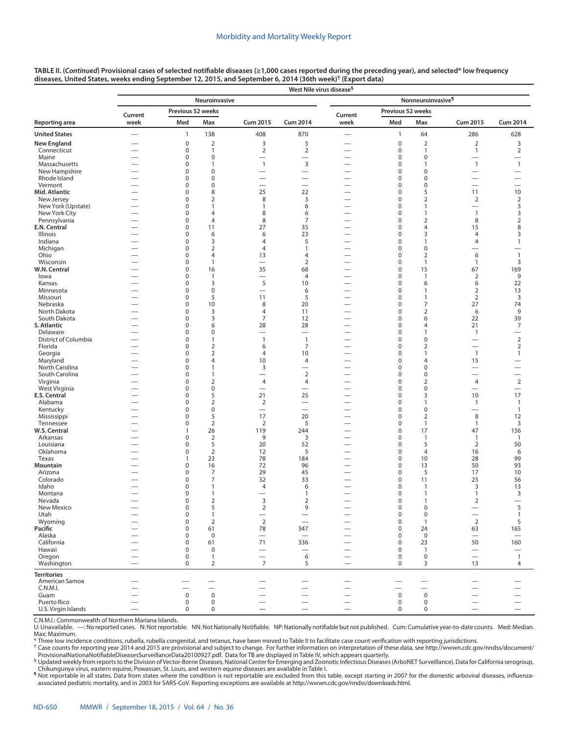|                                    |                                      | West Nile virus disease <sup>§</sup> |                               |                                          |                          |                               |                            |                               |                               |                                            |  |  |  |  |  |
|------------------------------------|--------------------------------------|--------------------------------------|-------------------------------|------------------------------------------|--------------------------|-------------------------------|----------------------------|-------------------------------|-------------------------------|--------------------------------------------|--|--|--|--|--|
|                                    |                                      |                                      | Neuroinvasive                 |                                          |                          | Nonneuroinvasive <sup>¶</sup> |                            |                               |                               |                                            |  |  |  |  |  |
|                                    | Current                              | Previous 52 weeks                    |                               |                                          |                          | Current                       | Previous 52 weeks          |                               |                               |                                            |  |  |  |  |  |
| Reporting area                     | week                                 | Med                                  | Max                           | <b>Cum 2015</b>                          | <b>Cum 2014</b>          | week                          | Med                        | Max                           | <b>Cum 2015</b>               | <b>Cum 2014</b>                            |  |  |  |  |  |
| <b>United States</b>               |                                      | $\mathbf{1}$                         | 138                           | 408                                      | 870                      | $\qquad \qquad$               | $\mathbf{1}$               | 64                            | 286                           | 628                                        |  |  |  |  |  |
| New England                        |                                      | $\pmb{0}$                            | $\overline{2}$                | 3                                        | 5                        |                               | $\pmb{0}$                  | $\overline{2}$                | 2                             | 3                                          |  |  |  |  |  |
| Connecticut                        | -                                    | $\mathbf 0$                          | $\mathbf{1}$                  | $\overline{2}$                           | $\overline{2}$           |                               | $\mathbf 0$                | $\mathbf{1}$                  | $\mathbf{1}$                  | $\overline{2}$                             |  |  |  |  |  |
| Maine                              | <u>—</u><br>$\overline{\phantom{0}}$ | $\mathbf 0$<br>0                     | $\mathbf 0$<br>1              | $\overline{\phantom{0}}$<br>$\mathbf{1}$ | 3                        |                               | $\mathbf 0$<br>$\mathbf 0$ | $\mathbf 0$<br>$\mathbf{1}$   | $\mathbf{1}$                  |                                            |  |  |  |  |  |
| Massachusetts<br>New Hampshire     |                                      | $\Omega$                             | $\mathbf 0$                   | —                                        | $\overline{\phantom{0}}$ |                               | $\mathbf 0$                | $\mathbf 0$                   | —                             | $\mathbf{1}$                               |  |  |  |  |  |
| Rhode Island                       |                                      | 0                                    | $\mathbf 0$                   | —                                        | -                        |                               | $\mathbf 0$                | $\mathbf 0$                   | $\overline{\phantom{0}}$      | $\overline{\phantom{0}}$                   |  |  |  |  |  |
| Vermont                            |                                      | 0                                    | $\mathbf 0$                   | $\overline{\phantom{0}}$                 | $\overline{\phantom{0}}$ |                               | $\mathbf 0$                | $\mathbf 0$                   | $\overline{\phantom{0}}$      | $\overline{\phantom{0}}$                   |  |  |  |  |  |
| Mid. Atlantic                      |                                      | $\Omega$                             | 8                             | 25                                       | 22                       |                               | $\mathbf 0$                | 5                             | 11                            | 10                                         |  |  |  |  |  |
| New Jersey                         |                                      | $\Omega$                             | $\overline{2}$                | 8                                        | 3                        |                               | $\mathbf 0$                | $\overline{2}$                | $\overline{2}$                | $\overline{2}$                             |  |  |  |  |  |
| New York (Upstate)                 |                                      | 0                                    | 1                             | 1                                        | 6                        |                               | $\mathbf 0$                | $\mathbf{1}$                  | $\overline{\phantom{0}}$      | 3                                          |  |  |  |  |  |
| New York City                      |                                      | 0                                    | 4                             | 8                                        | 6                        |                               | $\mathbf 0$                | $\mathbf{1}$                  | $\overline{1}$                | 3                                          |  |  |  |  |  |
| Pennsylvania                       | $\overline{\phantom{0}}$             | $\mathbf 0$                          | 4                             | 8                                        | 7                        |                               | $\mathbf 0$                | $\overline{2}$                | 8                             | $\overline{2}$                             |  |  |  |  |  |
| E.N. Central                       | -                                    | $\mathbf 0$                          | 11                            | 27                                       | 35                       |                               | $\mathbf 0$                | $\overline{4}$                | 15                            | 8                                          |  |  |  |  |  |
| Illinois                           |                                      | 0                                    | 6                             | 6                                        | 23                       |                               | $\mathbf 0$                | 3                             | 4                             | 3                                          |  |  |  |  |  |
| Indiana                            |                                      | 0                                    | 3                             | 4                                        | 5                        |                               | 0                          | $\mathbf{1}$                  | $\overline{4}$                | $\mathbf{1}$                               |  |  |  |  |  |
| Michigan                           |                                      | 0                                    | $\overline{2}$                | 4                                        | $\mathbf{1}$             |                               | 0                          | $\mathbf 0$                   |                               | $\overline{\phantom{0}}$                   |  |  |  |  |  |
| Ohio                               |                                      | 0                                    | $\overline{4}$                | 13                                       | $\overline{4}$           |                               | $\mathbf 0$                | $\overline{2}$                | 6                             | $\mathbf{1}$                               |  |  |  |  |  |
| Wisconsin<br>W.N. Central          | $\overline{\phantom{0}}$             | 0<br>$\mathbf 0$                     | $\mathbf{1}$                  |                                          | $\overline{2}$           | $\overline{\phantom{0}}$      | $\mathbf 0$<br>$\mathbf 0$ | $\mathbf{1}$                  | $\mathbf{1}$<br>67            | 3<br>169                                   |  |  |  |  |  |
| lowa                               |                                      | 0                                    | 16<br>$\mathbf{1}$            | 35                                       | 68<br>$\overline{4}$     |                               | $\mathbf 0$                | 15<br>$\mathbf{1}$            | $\overline{2}$                | 9                                          |  |  |  |  |  |
| Kansas                             |                                      | 0                                    | 3                             | 5                                        | 10                       |                               | $\mathbf 0$                | 6                             | 6                             | 22                                         |  |  |  |  |  |
| Minnesota                          |                                      | $\mathbf 0$                          | $\mathbf 0$                   |                                          | 6                        |                               | $\mathbf 0$                | $\mathbf{1}$                  | 2                             | 13                                         |  |  |  |  |  |
| Missouri                           |                                      | 0                                    | 5                             | 11                                       | 5                        |                               | $\mathbf 0$                | $\mathbf{1}$                  | 2                             | 3                                          |  |  |  |  |  |
| Nebraska                           |                                      | 0                                    | 10                            | 8                                        | 20                       |                               | $\mathbf 0$                | 7                             | 27                            | 74                                         |  |  |  |  |  |
| North Dakota                       |                                      | 0                                    | 3                             | 4                                        | 11                       |                               | $\mathbf 0$                | $\overline{2}$                | 6                             | 9                                          |  |  |  |  |  |
| South Dakota                       |                                      | $\mathbf 0$                          | 3                             | 7                                        | 12                       |                               | $\mathbf 0$                | 6                             | 22                            | 39                                         |  |  |  |  |  |
| S. Atlantic                        |                                      | 0                                    | 6                             | 28                                       | 28                       |                               | $\mathbf 0$                | $\overline{4}$                | 21                            | 7                                          |  |  |  |  |  |
| Delaware                           |                                      | 0                                    | $\mathbf 0$                   | $\overline{\phantom{0}}$                 |                          |                               | $\mathbf 0$                | $\mathbf{1}$                  | $\overline{1}$                | —                                          |  |  |  |  |  |
| District of Columbia               |                                      | 0                                    | $\mathbf{1}$                  | $\overline{1}$                           | $\overline{1}$           | —                             | $\mathbf 0$                | $\mathbf 0$                   |                               | $\overline{2}$                             |  |  |  |  |  |
| Florida                            |                                      | $\mathbf 0$                          | $\mathbf 2$                   | 6                                        | $\overline{7}$           |                               | $\mathbf 0$                | $\overline{2}$                |                               | $\sqrt{2}$                                 |  |  |  |  |  |
| Georgia                            |                                      | 0                                    | $\mathbf 2$                   | 4                                        | 10                       |                               | $\mathbf 0$                | $\mathbf{1}$                  | $\overline{1}$                | $\mathbf{1}$                               |  |  |  |  |  |
| Maryland                           | -                                    | 0                                    | $\overline{4}$                | 10                                       | $\overline{4}$           |                               | $\mathbf 0$                | 4                             | 15                            | -                                          |  |  |  |  |  |
| North Carolina                     | -                                    | 0                                    | 1                             | 3                                        | $\overline{\phantom{0}}$ | —                             | $\mathbf 0$                | $\mathbf 0$                   |                               | <u>.</u>                                   |  |  |  |  |  |
| South Carolina                     |                                      | $\mathbf 0$                          | 1                             | $\overline{\phantom{0}}$                 | $\sqrt{2}$               |                               | $\mathbf 0$                | $\mathbf 0$                   | $\overline{\phantom{0}}$      | $\overline{\phantom{0}}$                   |  |  |  |  |  |
| Virginia<br>West Virginia          | -                                    | 0<br>$\Omega$                        | $\overline{2}$<br>$\mathbf 0$ | 4                                        | $\overline{4}$<br>-      | $\overline{\phantom{0}}$      | $\mathbf 0$<br>$\mathbf 0$ | $\overline{2}$<br>$\mathbf 0$ | 4<br>$\overline{\phantom{0}}$ | $\overline{2}$<br>$\overline{\phantom{0}}$ |  |  |  |  |  |
| <b>E.S. Central</b>                |                                      | 0                                    | 5                             | 21                                       | 25                       |                               | $\mathbf 0$                | 3                             | 10                            | 17                                         |  |  |  |  |  |
| Alabama                            |                                      | $\mathbf 0$                          | $\mathbf 2$                   | $\overline{2}$                           | $\overline{\phantom{0}}$ |                               | $\mathbf 0$                | $\mathbf{1}$                  | $\mathbf{1}$                  | $\mathbf{1}$                               |  |  |  |  |  |
| Kentucky                           |                                      | $\Omega$                             | $\pmb{0}$                     | $\overline{\phantom{0}}$                 | $\overline{\phantom{0}}$ | $\overline{\phantom{0}}$      | $\mathbf 0$                | $\mathbf 0$                   | -                             | $\mathbf{1}$                               |  |  |  |  |  |
| Mississippi                        |                                      | $\Omega$                             | 5                             | 17                                       | 20                       |                               | $\mathbf 0$                | $\overline{2}$                | 8                             | 12                                         |  |  |  |  |  |
| Tennessee                          |                                      | $\mathbf 0$                          | $\mathbf 2$                   | 2                                        | 5                        |                               | $\mathbf 0$                | $\mathbf{1}$                  | $\mathbf{1}$                  | 3                                          |  |  |  |  |  |
| W.S. Central                       |                                      | $\mathbf{1}$                         | 26                            | 119                                      | 244                      |                               | $\mathbf 0$                | 17                            | 47                            | 156                                        |  |  |  |  |  |
| Arkansas                           | $\overline{\phantom{0}}$             | $\mathbf 0$                          | $\overline{2}$                | 9                                        | 3                        |                               | $\mathbf 0$                | $\mathbf{1}$                  | $\overline{1}$                | $\mathbf{1}$                               |  |  |  |  |  |
| Louisiana                          |                                      | 0                                    | 5                             | 20                                       | 52                       |                               | 0                          | 5                             | $\overline{2}$                | 50                                         |  |  |  |  |  |
| Oklahoma                           | $\overline{\phantom{0}}$             | 0                                    | 2                             | 12                                       | 5                        | $\overline{\phantom{0}}$      | $\mathbf 0$                | $\overline{4}$                | 16                            | 6                                          |  |  |  |  |  |
| Texas                              |                                      | $\mathbf{1}$                         | 23                            | 78                                       | 184                      |                               | $\mathbf 0$                | 10                            | 28                            | 99                                         |  |  |  |  |  |
| Mountain                           |                                      | 0                                    | 16                            | 72<br>29                                 | 96                       |                               | $\mathbf 0$                | 13                            | 50                            | 93                                         |  |  |  |  |  |
| Arizona<br>Colorado                |                                      | 0<br>0                               | 7<br>7                        | 32                                       | 45<br>33                 |                               | $\mathbf 0$<br>$\mathbf 0$ | 5<br>11                       | 17<br>25                      | 10<br>56                                   |  |  |  |  |  |
| Idaho                              |                                      | 0                                    | $\mathbf{1}$                  | $\overline{4}$                           | 6                        |                               | $\mathbf 0$                | $\mathbf{1}$                  | 3                             | 13                                         |  |  |  |  |  |
| Montana                            |                                      | 0                                    | $\mathbf{1}$                  |                                          | $\mathbf{1}$             |                               | $\mathbf 0$                | $\mathbf{1}$                  | $\mathbf{1}$                  | 3                                          |  |  |  |  |  |
| Nevada                             |                                      | 0                                    | $\overline{2}$                | 3                                        | $\overline{2}$           |                               | $\mathbf 0$                | -1                            | 2                             |                                            |  |  |  |  |  |
| New Mexico                         |                                      | $\mathsf 0$                          | 5                             | $\mathbf 2$                              | 9                        |                               | $\pmb{0}$                  | $\mathbf 0$                   | $\qquad \qquad -$             | 5                                          |  |  |  |  |  |
| Utah                               |                                      | $\mathbf 0$                          | $\mathbf{1}$                  | $\overline{\phantom{0}}$                 |                          |                               | $\pmb{0}$                  | $\pmb{0}$                     | $\overline{\phantom{0}}$      | $\mathbf{1}$                               |  |  |  |  |  |
| Wyoming                            |                                      | $\mathbf 0$                          | 2                             | $\overline{2}$                           |                          |                               | $\mathbf 0$                | $\mathbf{1}$                  | 2                             | 5                                          |  |  |  |  |  |
| Pacific                            |                                      | $\mathbf 0$                          | 61                            | 78                                       | 347                      |                               | $\mathbf 0$                | 24                            | 63                            | 165                                        |  |  |  |  |  |
| Alaska                             |                                      | $\mathbf 0$                          | $\mathbf 0$                   |                                          |                          |                               | $\mathbf 0$                | $\mathbf 0$                   |                               | $\overline{\phantom{m}}$                   |  |  |  |  |  |
| California                         |                                      | $\mathbf 0$                          | 61                            | 71                                       | 336                      |                               | $\mathbf 0$                | 23                            | 50                            | 160                                        |  |  |  |  |  |
| Hawaii                             |                                      | $\mathbf 0$                          | $\mathbf 0$                   |                                          | $\qquad \qquad -$        |                               | $\mathbf 0$                | $\mathbf{1}$                  | $\qquad \qquad -$             | $\overbrace{\phantom{123221111}}$          |  |  |  |  |  |
| Oregon                             | $\overline{\phantom{0}}$             | $\mathbf 0$                          | $\mathbf{1}$                  |                                          | 6                        |                               | $\mathbf 0$                | $\pmb{0}$                     | $\overline{\phantom{0}}$      | $\mathbf{1}$                               |  |  |  |  |  |
| Washington                         |                                      | $\mathbf 0$                          | $\overline{2}$                | $\overline{7}$                           | 5                        |                               | $\mathbf 0$                | 3                             | 13                            | 4                                          |  |  |  |  |  |
| <b>Territories</b>                 |                                      |                                      |                               |                                          |                          |                               |                            |                               |                               |                                            |  |  |  |  |  |
| American Samoa                     |                                      |                                      |                               |                                          |                          |                               |                            |                               |                               |                                            |  |  |  |  |  |
| C.N.M.I.                           |                                      |                                      |                               |                                          | $\overline{\phantom{0}}$ |                               |                            |                               |                               |                                            |  |  |  |  |  |
| Guam                               |                                      | $\mathsf 0$                          | $\mathbf 0$                   |                                          |                          |                               | $\mathbf 0$                | $\mathbf 0$                   |                               |                                            |  |  |  |  |  |
| Puerto Rico<br>U.S. Virgin Islands |                                      | $\mathbf 0$                          | $\mathbf 0$                   | $\overline{\phantom{0}}$                 |                          |                               | $\mathbf 0$<br>$\mathbf 0$ | $\mathbf 0$                   |                               |                                            |  |  |  |  |  |
|                                    |                                      | 0                                    | $\mathbf 0$                   |                                          | $\overline{\phantom{0}}$ | $\overline{\phantom{0}}$      |                            | $\mathbf 0$                   | $\overline{\phantom{0}}$      | $\overline{\phantom{m}}$                   |  |  |  |  |  |

C.N.M.I.: Commonwealth of Northern Mariana Islands. -: No reported cases. N: Not reportable. NN: Not Nationally Notifiable. NP: Nationally notifiable but not published. Cum: Cumulative year-to-date counts. Med: Median. Max: Maximum.<br>\* Three low incidence conditions, rubella, rubella congenital, and tetanus, have been moved to Table II to facilitate case count verification with reporting jurisdictions.

† Case counts for reporting year 2014 and 2015 are provisional and subject to change. For further information on interpretation of these data, see [http://wwwn.cdc.gov/nndss/document/](http://wwwn.cdc.gov/nndss/document/ProvisionalNationaNotifiableDiseasesSurveillanceData20100927.pdf)

[ProvisionalNationaNotifiableDiseasesSurveillanceData20100927.pdf](http://wwwn.cdc.gov/nndss/document/ProvisionalNationaNotifiableDiseasesSurveillanceData20100927.pdf). Data for TB are displayed in Table IV, which appears quarterly.<br><sup>§</sup> Updated weekly from reports to the Division of Vector-Borne Diseases, National Center fo Chikungunya virus, eastern equine, Powassan, St. Louis, and western equine diseases are available in Table I.

¶ Not reportable in all states. Data from states where the condition is not reportable are excluded from this table, except starting in 2007 for the domestic arboviral diseases, influenzaassociated pediatric mortality, and in 2003 for SARS-CoV. Reporting exceptions are available at [http://wwwn.cdc.gov/nndss/downloads.html.](http://wwwn.cdc.gov/nndss/downloads.html)